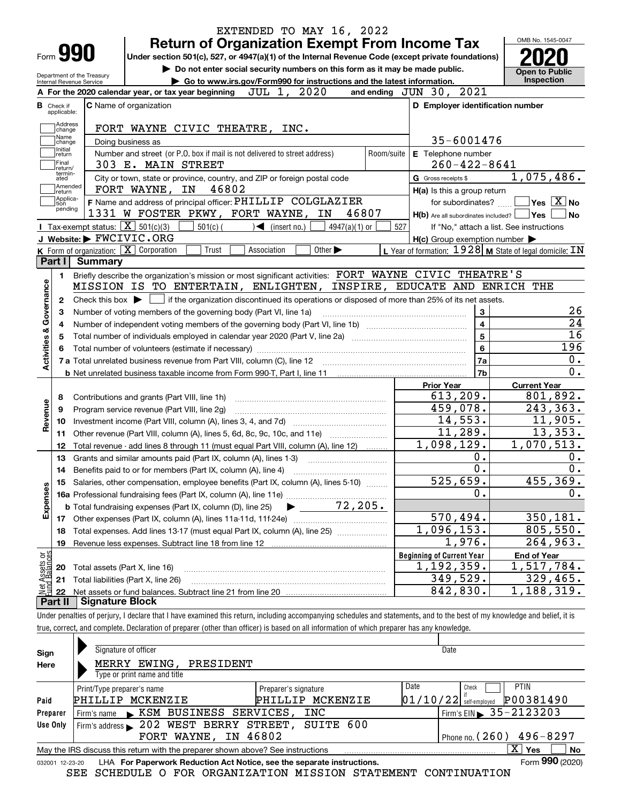|                                      | Form 990                                                   | <b>Return of Organization Exempt From Income Tax</b><br>Under section 501(c), 527, or 4947(a)(1) of the Internal Revenue Code (except private foundations) |            |                                                           | OMB No. 1545-0047                               |
|--------------------------------------|------------------------------------------------------------|------------------------------------------------------------------------------------------------------------------------------------------------------------|------------|-----------------------------------------------------------|-------------------------------------------------|
|                                      |                                                            | Do not enter social security numbers on this form as it may be made public.                                                                                |            |                                                           |                                                 |
|                                      | Department of the Treasury<br>Internal Revenue Service     | Go to www.irs.gov/Form990 for instructions and the latest information.                                                                                     |            |                                                           | <b>Open to Public</b><br>Inspection             |
|                                      |                                                            | JUL 1, 2020<br>A For the 2020 calendar year, or tax year beginning                                                                                         |            | and ending JUN 30, 2021                                   |                                                 |
| <b>B</b> Check if                    |                                                            | <b>C</b> Name of organization                                                                                                                              |            | D Employer identification number                          |                                                 |
| applicable:                          |                                                            |                                                                                                                                                            |            |                                                           |                                                 |
|                                      | Address<br>change                                          | FORT WAYNE CIVIC THEATRE, INC.                                                                                                                             |            |                                                           |                                                 |
| Name<br>change                       |                                                            | Doing business as                                                                                                                                          |            | 35-6001476                                                |                                                 |
| Initial<br>return                    |                                                            | Number and street (or P.O. box if mail is not delivered to street address)                                                                                 | Room/suite | <b>E</b> Telephone number                                 |                                                 |
| Final<br>return/                     |                                                            | 303 E. MAIN STREET                                                                                                                                         |            | $260 - 422 - 8641$                                        |                                                 |
| termin-<br>ated                      |                                                            | City or town, state or province, country, and ZIP or foreign postal code                                                                                   |            | G Gross receipts \$                                       | 1,075,486.                                      |
| return                               | Amended                                                    | 46802<br>FORT WAYNE, IN                                                                                                                                    |            | H(a) Is this a group return                               |                                                 |
| tion                                 | Applica-                                                   | F Name and address of principal officer: PHILLIP COLGLAZIER                                                                                                |            | for subordinates?                                         | $\overline{\ }$ Yes $\overline{\phantom{X}}$ No |
|                                      | pending                                                    | 1331 W FOSTER PKWY, FORT WAYNE, IN<br>46807                                                                                                                |            | $H(b)$ Are all subordinates included? $\Box$ Yes          | No                                              |
|                                      | <b>I</b> Tax-exempt status: $\boxed{\mathbf{X}}$ 501(c)(3) | $501(c)$ (<br>$\bigcup$ (insert no.)<br>4947(a)(1) or                                                                                                      | 527        | If "No," attach a list. See instructions                  |                                                 |
|                                      | J Website: FWCIVIC.ORG                                     |                                                                                                                                                            |            | $H(c)$ Group exemption number $\blacktriangleright$       |                                                 |
|                                      | K Form of organization: X Corporation                      | Trust<br>Other $\blacktriangleright$<br>Association                                                                                                        |            | L Year of formation: $1928$ M State of legal domicile: IN |                                                 |
| Part I                               | Summary                                                    |                                                                                                                                                            |            |                                                           |                                                 |
| 1.                                   |                                                            | Briefly describe the organization's mission or most significant activities: FORT WAYNE CIVIC THEATRE'S                                                     |            |                                                           |                                                 |
|                                      |                                                            | MISSION IS TO ENTERTAIN, ENLIGHTEN, INSPIRE,                                                                                                               |            | EDUCATE AND ENRICH                                        | THE                                             |
| Governance<br>$\mathbf{2}$           | Check this box $\blacktriangleright$                       | If the organization discontinued its operations or disposed of more than 25% of its net assets.                                                            |            |                                                           |                                                 |
| з                                    |                                                            | Number of voting members of the governing body (Part VI, line 1a)                                                                                          |            | 3                                                         |                                                 |
| 4                                    |                                                            |                                                                                                                                                            |            | $\overline{\mathbf{4}}$                                   |                                                 |
| 5                                    |                                                            |                                                                                                                                                            |            | $\overline{\mathbf{5}}$                                   |                                                 |
| 6                                    |                                                            |                                                                                                                                                            |            | $\bf{6}$                                                  | 196                                             |
| <b>Activities &amp;</b>              |                                                            | 7 a Total unrelated business revenue from Part VIII, column (C), line 12 [11] [12] [11] [12] [11] [11] [12] [1                                             |            | 7a                                                        |                                                 |
|                                      |                                                            |                                                                                                                                                            |            | 7b                                                        |                                                 |
|                                      |                                                            |                                                                                                                                                            |            | <b>Prior Year</b>                                         | <b>Current Year</b>                             |
| 8                                    |                                                            | Contributions and grants (Part VIII, line 1h)                                                                                                              |            | 613, 209.                                                 | 801,892.                                        |
| Revenue<br>9                         |                                                            | Program service revenue (Part VIII, line 2g)                                                                                                               |            | 459,078.                                                  | 243,363.                                        |
| 10                                   |                                                            |                                                                                                                                                            |            | 14,553.                                                   | 11,905.                                         |
| 11                                   |                                                            | Other revenue (Part VIII, column (A), lines 5, 6d, 8c, 9c, 10c, and 11e)                                                                                   |            | 11,289.                                                   | 13,353.                                         |
| 12                                   |                                                            | Total revenue - add lines 8 through 11 (must equal Part VIII, column (A), line 12)                                                                         |            | 1,098,129.                                                | 1,070,513.                                      |
| 13                                   |                                                            | Grants and similar amounts paid (Part IX, column (A), lines 1-3)                                                                                           |            | 0.                                                        |                                                 |
| 14                                   |                                                            | Benefits paid to or for members (Part IX, column (A), line 4)                                                                                              |            | $\overline{0}$ .                                          |                                                 |
| 15                                   |                                                            | Salaries, other compensation, employee benefits (Part IX, column (A), lines 5-10)                                                                          |            | 525,659.                                                  | 455,369.                                        |
|                                      |                                                            |                                                                                                                                                            |            | 0.                                                        |                                                 |
| Expenses                             |                                                            |                                                                                                                                                            |            |                                                           |                                                 |
| 17                                   |                                                            |                                                                                                                                                            |            | 570,494.                                                  | 350, 181.                                       |
|                                      |                                                            | Total expenses. Add lines 13-17 (must equal Part IX, column (A), line 25)                                                                                  |            | $\overline{1,096}, 153.$                                  | 805,550.                                        |
| 18                                   |                                                            |                                                                                                                                                            |            | $\overline{1}$ ,976.                                      | 264,963.                                        |
| 19                                   |                                                            |                                                                                                                                                            |            |                                                           |                                                 |
|                                      |                                                            |                                                                                                                                                            |            | <b>Beginning of Current Year</b>                          | <b>End of Year</b>                              |
| 20                                   | Total assets (Part X, line 16)                             |                                                                                                                                                            |            | 1, 192, 359.                                              |                                                 |
| t Assets or<br>d Balances<br>21<br>혏 |                                                            | Total liabilities (Part X, line 26)                                                                                                                        |            | 349,529.<br>842,830.                                      | 1,517,784.<br>329,465.<br>1,188,319.            |

| Sign            | Signature of officer                                                                                     |                      | Date                                     |  |  |  |  |  |  |  |
|-----------------|----------------------------------------------------------------------------------------------------------|----------------------|------------------------------------------|--|--|--|--|--|--|--|
| Here            | MERRY EWING,<br>PRESIDENT                                                                                |                      |                                          |  |  |  |  |  |  |  |
|                 | Type or print name and title                                                                             |                      |                                          |  |  |  |  |  |  |  |
|                 | Print/Type preparer's name                                                                               | Preparer's signature | Date<br><b>PTIN</b><br>Check             |  |  |  |  |  |  |  |
| Paid            | PHILLIP<br>MCKENZIE                                                                                      | MCKENZIE<br>PHILLIP  | P00381490<br>$01/10/22$ self-employed    |  |  |  |  |  |  |  |
| Preparer        | KSM BUSINESS SERVICES,<br>Firm's name                                                                    | INC                  | Firm's EIN $\triangleright$ 35 - 2123203 |  |  |  |  |  |  |  |
| Use Only        | Firm's address > 202 WEST BERRY STREET, SUITE 600                                                        |                      |                                          |  |  |  |  |  |  |  |
|                 | Phone no. $(260)$ 496-8297<br>IN 46802<br>FORT WAYNE,                                                    |                      |                                          |  |  |  |  |  |  |  |
|                 | x<br><b>No</b><br>Yes<br>May the IRS discuss this return with the preparer shown above? See instructions |                      |                                          |  |  |  |  |  |  |  |
| 032001 12-23-20 | LHA For Paperwork Reduction Act Notice, see the separate instructions.                                   |                      | Form 990 (2020)                          |  |  |  |  |  |  |  |

SEE SCHEDULE O FOR ORGANIZATION MISSION STATEMENT CONTINUATION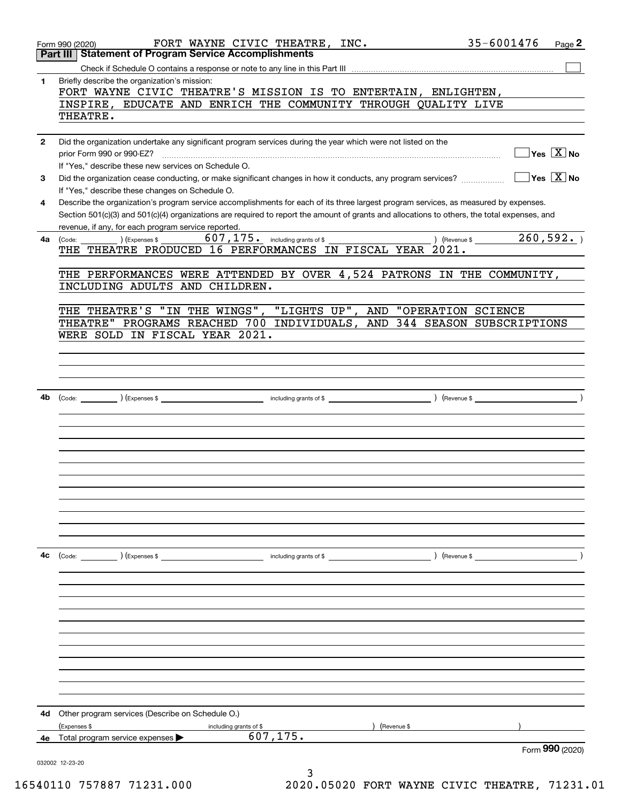|              | 35-6001476<br>FORT WAYNE CIVIC THEATRE, INC.<br>Page 2<br>Form 990 (2020)                                                                                                                                    |
|--------------|--------------------------------------------------------------------------------------------------------------------------------------------------------------------------------------------------------------|
|              | <b>Part III Statement of Program Service Accomplishments</b>                                                                                                                                                 |
|              |                                                                                                                                                                                                              |
| 1.           | Briefly describe the organization's mission:                                                                                                                                                                 |
|              | FORT WAYNE CIVIC THEATRE'S MISSION IS TO ENTERTAIN, ENLIGHTEN,                                                                                                                                               |
|              | INSPIRE, EDUCATE AND ENRICH THE COMMUNITY THROUGH QUALITY LIVE                                                                                                                                               |
|              | THEATRE.                                                                                                                                                                                                     |
| $\mathbf{2}$ | Did the organization undertake any significant program services during the year which were not listed on the                                                                                                 |
|              | $\overline{\ }$ Yes $\overline{\phantom{X}}$ No<br>prior Form 990 or 990-EZ?                                                                                                                                 |
|              | If "Yes," describe these new services on Schedule O.                                                                                                                                                         |
| 3            | $\overline{\ }$ Yes $\overline{\ \ X}$ No<br>Did the organization cease conducting, or make significant changes in how it conducts, any program services?<br>If "Yes," describe these changes on Schedule O. |
| 4            | Describe the organization's program service accomplishments for each of its three largest program services, as measured by expenses.                                                                         |
|              | Section 501(c)(3) and 501(c)(4) organizations are required to report the amount of grants and allocations to others, the total expenses, and                                                                 |
|              | revenue, if any, for each program service reported.                                                                                                                                                          |
| 4a           | $607$ , $175$ $\cdot$ including grants of \$<br>260,592.<br><u> 1990 - Johann Barbara, martxa a</u><br>) (Revenue \$<br>(Expenses \$<br>(Code:                                                               |
|              | THE THEATRE PRODUCED 16 PERFORMANCES IN FISCAL YEAR 2021.                                                                                                                                                    |
|              |                                                                                                                                                                                                              |
|              | THE PERFORMANCES WERE ATTENDED BY OVER 4,524 PATRONS IN THE COMMUNITY,<br>INCLUDING ADULTS AND CHILDREN.                                                                                                     |
|              |                                                                                                                                                                                                              |
|              | THE THEATRE'S "IN THE WINGS", "LIGHTS UP", AND "OPERATION SCIENCE                                                                                                                                            |
|              | THEATRE" PROGRAMS REACHED 700 INDIVIDUALS, AND 344 SEASON SUBSCRIPTIONS                                                                                                                                      |
|              | WERE SOLD IN FISCAL YEAR 2021.                                                                                                                                                                               |
|              |                                                                                                                                                                                                              |
|              |                                                                                                                                                                                                              |
|              |                                                                                                                                                                                                              |
|              |                                                                                                                                                                                                              |
| 4b           |                                                                                                                                                                                                              |
|              |                                                                                                                                                                                                              |
|              |                                                                                                                                                                                                              |
|              |                                                                                                                                                                                                              |
|              |                                                                                                                                                                                                              |
|              |                                                                                                                                                                                                              |
|              |                                                                                                                                                                                                              |
|              |                                                                                                                                                                                                              |
|              |                                                                                                                                                                                                              |
|              |                                                                                                                                                                                                              |
|              |                                                                                                                                                                                                              |
|              |                                                                                                                                                                                                              |
|              |                                                                                                                                                                                                              |
| 4с           |                                                                                                                                                                                                              |
|              |                                                                                                                                                                                                              |
|              |                                                                                                                                                                                                              |
|              |                                                                                                                                                                                                              |
|              |                                                                                                                                                                                                              |
|              |                                                                                                                                                                                                              |
|              |                                                                                                                                                                                                              |
|              |                                                                                                                                                                                                              |
|              |                                                                                                                                                                                                              |
|              |                                                                                                                                                                                                              |
|              |                                                                                                                                                                                                              |
|              |                                                                                                                                                                                                              |
| 4d           | Other program services (Describe on Schedule O.)                                                                                                                                                             |
|              | (Expenses \$<br>(Revenue \$<br>including grants of \$                                                                                                                                                        |
| 4e           | 607,175.<br>Total program service expenses                                                                                                                                                                   |
|              | Form 990 (2020)                                                                                                                                                                                              |
|              | 032002 12-23-20                                                                                                                                                                                              |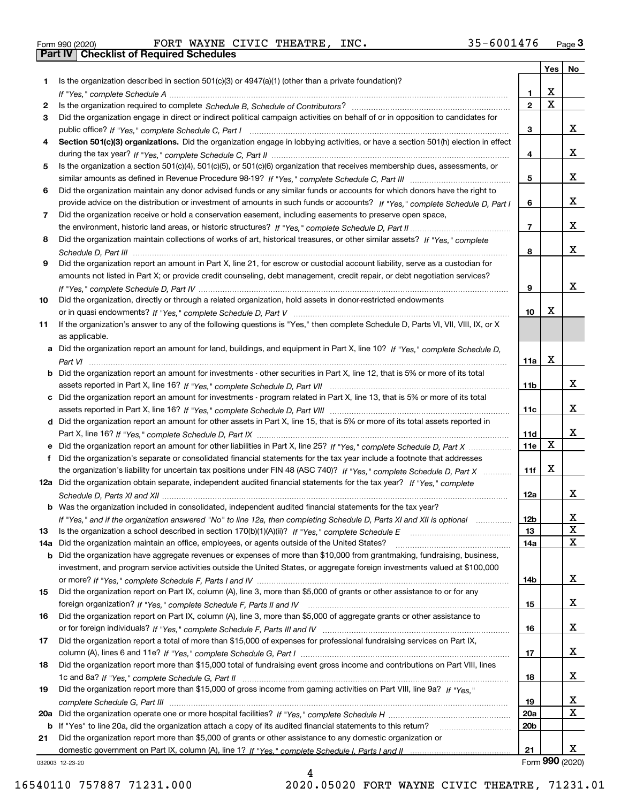|  | Form 990 (2020) |
|--|-----------------|

Form 990 (2020) Page **3Part IV Checklist of Required Schedules** FORT WAYNE CIVIC THEATRE, INC. 35-6001476

|     |                                                                                                                                  |                 | Yes                     | No              |
|-----|----------------------------------------------------------------------------------------------------------------------------------|-----------------|-------------------------|-----------------|
| 1   | Is the organization described in section $501(c)(3)$ or $4947(a)(1)$ (other than a private foundation)?                          |                 |                         |                 |
|     |                                                                                                                                  | 1.              | X                       |                 |
| 2   |                                                                                                                                  | $\overline{2}$  | $\overline{\mathbf{x}}$ |                 |
| 3   | Did the organization engage in direct or indirect political campaign activities on behalf of or in opposition to candidates for  |                 |                         |                 |
|     |                                                                                                                                  | 3               |                         | x               |
| 4   | Section 501(c)(3) organizations. Did the organization engage in lobbying activities, or have a section 501(h) election in effect |                 |                         |                 |
|     |                                                                                                                                  | 4               |                         | x               |
| 5   | Is the organization a section 501(c)(4), 501(c)(5), or 501(c)(6) organization that receives membership dues, assessments, or     |                 |                         |                 |
|     |                                                                                                                                  | 5               |                         | x               |
| 6   | Did the organization maintain any donor advised funds or any similar funds or accounts for which donors have the right to        |                 |                         |                 |
|     | provide advice on the distribution or investment of amounts in such funds or accounts? If "Yes," complete Schedule D, Part I     | 6               |                         | x               |
| 7   | Did the organization receive or hold a conservation easement, including easements to preserve open space,                        |                 |                         | x               |
|     |                                                                                                                                  | $\overline{7}$  |                         |                 |
| 8   | Did the organization maintain collections of works of art, historical treasures, or other similar assets? If "Yes," complete     |                 |                         | X.              |
|     |                                                                                                                                  | 8               |                         |                 |
| 9   | Did the organization report an amount in Part X, line 21, for escrow or custodial account liability, serve as a custodian for    |                 |                         |                 |
|     | amounts not listed in Part X; or provide credit counseling, debt management, credit repair, or debt negotiation services?        | 9               |                         | x               |
| 10  | Did the organization, directly or through a related organization, hold assets in donor-restricted endowments                     |                 |                         |                 |
|     |                                                                                                                                  | 10              | х                       |                 |
| 11  | If the organization's answer to any of the following questions is "Yes," then complete Schedule D, Parts VI, VII, VIII, IX, or X |                 |                         |                 |
|     | as applicable.                                                                                                                   |                 |                         |                 |
|     | a Did the organization report an amount for land, buildings, and equipment in Part X, line 10? If "Yes," complete Schedule D,    |                 |                         |                 |
|     |                                                                                                                                  | 11a             | X                       |                 |
| b   | Did the organization report an amount for investments - other securities in Part X, line 12, that is 5% or more of its total     |                 |                         |                 |
|     |                                                                                                                                  | 11b             |                         | x               |
| c   | Did the organization report an amount for investments - program related in Part X, line 13, that is 5% or more of its total      |                 |                         |                 |
|     |                                                                                                                                  | 11c             |                         | X.              |
|     | d Did the organization report an amount for other assets in Part X, line 15, that is 5% or more of its total assets reported in  |                 |                         |                 |
|     |                                                                                                                                  | 11d             |                         | x               |
|     |                                                                                                                                  | 11e             | X                       |                 |
| f   | Did the organization's separate or consolidated financial statements for the tax year include a footnote that addresses          |                 |                         |                 |
|     | the organization's liability for uncertain tax positions under FIN 48 (ASC 740)? If "Yes," complete Schedule D, Part X           | 11f             | Х                       |                 |
|     | 12a Did the organization obtain separate, independent audited financial statements for the tax year? If "Yes," complete          |                 |                         |                 |
|     |                                                                                                                                  | 12a             |                         | X.              |
|     | <b>b</b> Was the organization included in consolidated, independent audited financial statements for the tax year?               |                 |                         |                 |
|     | If "Yes," and if the organization answered "No" to line 12a, then completing Schedule D, Parts XI and XII is optional            | 12b             |                         | A               |
| 13  |                                                                                                                                  | 13              |                         | $\mathbf X$     |
| 14a | Did the organization maintain an office, employees, or agents outside of the United States?                                      | 14a             |                         | X               |
| b   | Did the organization have aggregate revenues or expenses of more than \$10,000 from grantmaking, fundraising, business,          |                 |                         |                 |
|     | investment, and program service activities outside the United States, or aggregate foreign investments valued at \$100,000       |                 |                         | x               |
|     | Did the organization report on Part IX, column (A), line 3, more than \$5,000 of grants or other assistance to or for any        | 14b             |                         |                 |
| 15  |                                                                                                                                  | 15              |                         | x               |
| 16  | Did the organization report on Part IX, column (A), line 3, more than \$5,000 of aggregate grants or other assistance to         |                 |                         |                 |
|     |                                                                                                                                  | 16              |                         | x               |
| 17  | Did the organization report a total of more than \$15,000 of expenses for professional fundraising services on Part IX,          |                 |                         |                 |
|     |                                                                                                                                  | 17              |                         | x               |
| 18  | Did the organization report more than \$15,000 total of fundraising event gross income and contributions on Part VIII, lines     |                 |                         |                 |
|     |                                                                                                                                  | 18              |                         | x               |
| 19  | Did the organization report more than \$15,000 of gross income from gaming activities on Part VIII, line 9a? If "Yes."           |                 |                         |                 |
|     |                                                                                                                                  | 19              |                         | x               |
| 20a |                                                                                                                                  | 20a             |                         | X               |
| b   | If "Yes" to line 20a, did the organization attach a copy of its audited financial statements to this return?                     | 20 <sub>b</sub> |                         |                 |
| 21  | Did the organization report more than \$5,000 of grants or other assistance to any domestic organization or                      |                 |                         |                 |
|     |                                                                                                                                  | 21              |                         | x               |
|     | 032003 12-23-20                                                                                                                  |                 |                         | Form 990 (2020) |

4

032003 12-23-20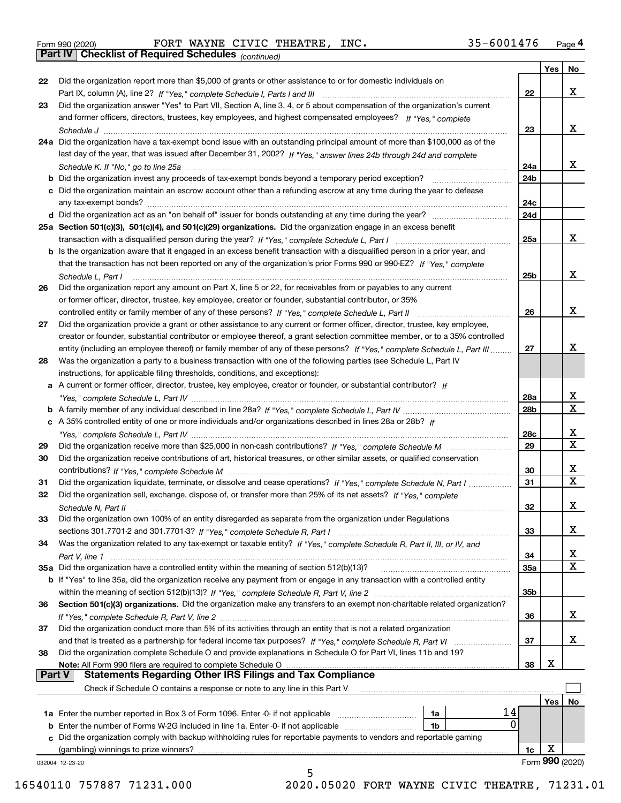*(continued)* Form 990 (2020) Page **4Part IV Checklist of Required Schedules** FORT WAYNE CIVIC THEATRE, INC. 35-6001476

|               |                                                                                                                              |                 | Yes | No              |
|---------------|------------------------------------------------------------------------------------------------------------------------------|-----------------|-----|-----------------|
| 22            | Did the organization report more than \$5,000 of grants or other assistance to or for domestic individuals on                |                 |     |                 |
|               |                                                                                                                              | 22              |     | x               |
| 23            | Did the organization answer "Yes" to Part VII, Section A, line 3, 4, or 5 about compensation of the organization's current   |                 |     |                 |
|               | and former officers, directors, trustees, key employees, and highest compensated employees? If "Yes." complete               |                 |     |                 |
|               |                                                                                                                              | 23              |     | х               |
|               | 24a Did the organization have a tax-exempt bond issue with an outstanding principal amount of more than \$100,000 as of the  |                 |     |                 |
|               | last day of the year, that was issued after December 31, 2002? If "Yes," answer lines 24b through 24d and complete           |                 |     |                 |
|               |                                                                                                                              | 24a             |     | х               |
|               | <b>b</b> Did the organization invest any proceeds of tax-exempt bonds beyond a temporary period exception?                   | 24b             |     |                 |
|               | c Did the organization maintain an escrow account other than a refunding escrow at any time during the year to defease       |                 |     |                 |
|               |                                                                                                                              | 24c             |     |                 |
|               |                                                                                                                              | 24d             |     |                 |
|               | 25a Section 501(c)(3), 501(c)(4), and 501(c)(29) organizations. Did the organization engage in an excess benefit             |                 |     |                 |
|               |                                                                                                                              | 25a             |     | х               |
|               | b Is the organization aware that it engaged in an excess benefit transaction with a disqualified person in a prior year, and |                 |     |                 |
|               | that the transaction has not been reported on any of the organization's prior Forms 990 or 990-EZ? If "Yes," complete        |                 |     |                 |
|               | Schedule L. Part I                                                                                                           | 25b             |     | х               |
| 26            | Did the organization report any amount on Part X, line 5 or 22, for receivables from or payables to any current              |                 |     |                 |
|               | or former officer, director, trustee, key employee, creator or founder, substantial contributor, or 35%                      |                 |     |                 |
|               |                                                                                                                              | 26              |     | х               |
| 27            | Did the organization provide a grant or other assistance to any current or former officer, director, trustee, key employee,  |                 |     |                 |
|               | creator or founder, substantial contributor or employee thereof, a grant selection committee member, or to a 35% controlled  |                 |     |                 |
|               | entity (including an employee thereof) or family member of any of these persons? If "Yes," complete Schedule L, Part III     | 27              |     | х               |
| 28            | Was the organization a party to a business transaction with one of the following parties (see Schedule L, Part IV            |                 |     |                 |
|               | instructions, for applicable filing thresholds, conditions, and exceptions):                                                 |                 |     |                 |
|               | a A current or former officer, director, trustee, key employee, creator or founder, or substantial contributor? If           |                 |     |                 |
|               |                                                                                                                              | 28a             |     | x               |
|               |                                                                                                                              | 28 <sub>b</sub> |     | X               |
|               | c A 35% controlled entity of one or more individuals and/or organizations described in lines 28a or 28b? If                  |                 |     |                 |
|               |                                                                                                                              | 28c             |     | х               |
| 29            |                                                                                                                              | 29              |     | X               |
| 30            | Did the organization receive contributions of art, historical treasures, or other similar assets, or qualified conservation  |                 |     |                 |
|               |                                                                                                                              | 30              |     | x               |
| 31            | Did the organization liquidate, terminate, or dissolve and cease operations? If "Yes," complete Schedule N, Part I           | 31              |     | X               |
| 32            | Did the organization sell, exchange, dispose of, or transfer more than 25% of its net assets? If "Yes," complete             |                 |     |                 |
|               | Schedule N. Part II                                                                                                          | 32              |     | x               |
| 33            | Did the organization own 100% of an entity disregarded as separate from the organization under Regulations                   |                 |     |                 |
|               |                                                                                                                              | 33              |     | х               |
| 34            | Was the organization related to any tax-exempt or taxable entity? If "Yes," complete Schedule R, Part II, III, or IV, and    |                 |     |                 |
|               |                                                                                                                              | 34              |     | х               |
|               | 35a Did the organization have a controlled entity within the meaning of section 512(b)(13)?                                  | <b>35a</b>      |     | x               |
|               | b If "Yes" to line 35a, did the organization receive any payment from or engage in any transaction with a controlled entity  |                 |     |                 |
|               |                                                                                                                              | 35b             |     |                 |
| 36            | Section 501(c)(3) organizations. Did the organization make any transfers to an exempt non-charitable related organization?   |                 |     |                 |
|               |                                                                                                                              | 36              |     | x               |
| 37            | Did the organization conduct more than 5% of its activities through an entity that is not a related organization             |                 |     |                 |
|               |                                                                                                                              | 37              |     | x               |
| 38            | Did the organization complete Schedule O and provide explanations in Schedule O for Part VI, lines 11b and 19?               |                 |     |                 |
|               | Note: All Form 990 filers are required to complete Schedule O                                                                | 38              | х   |                 |
| <b>Part V</b> | <b>Statements Regarding Other IRS Filings and Tax Compliance</b>                                                             |                 |     |                 |
|               | Check if Schedule O contains a response or note to any line in this Part V                                                   |                 |     |                 |
|               |                                                                                                                              |                 | Yes | No              |
|               | 14<br>1a                                                                                                                     |                 |     |                 |
|               | 0<br><b>b</b> Enter the number of Forms W-2G included in line 1a. Enter -0- if not applicable<br>1b                          |                 |     |                 |
|               | c Did the organization comply with backup withholding rules for reportable payments to vendors and reportable gaming         |                 |     |                 |
|               | (gambling) winnings to prize winners?                                                                                        | 1c              | х   |                 |
|               | 032004 12-23-20                                                                                                              |                 |     | Form 990 (2020) |
|               | 5                                                                                                                            |                 |     |                 |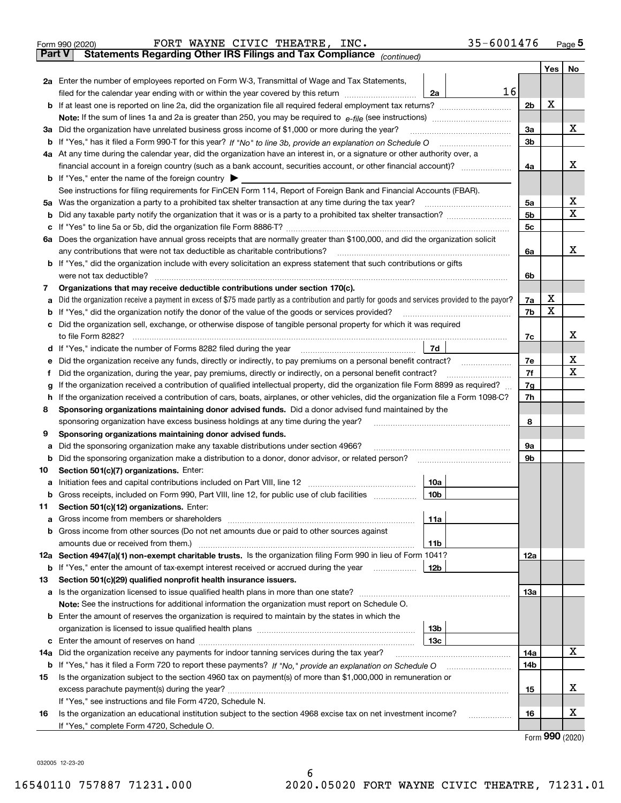|               | FORT WAYNE CIVIC THEATRE, INC.<br>Form 990 (2020)                                                                                               | 35-6001476 |     | $_{\text{Page}}$ 5          |  |  |  |  |  |  |
|---------------|-------------------------------------------------------------------------------------------------------------------------------------------------|------------|-----|-----------------------------|--|--|--|--|--|--|
| <b>Part V</b> | Statements Regarding Other IRS Filings and Tax Compliance (continued)                                                                           |            |     |                             |  |  |  |  |  |  |
|               |                                                                                                                                                 |            | Yes | No                          |  |  |  |  |  |  |
|               | 2a Enter the number of employees reported on Form W-3, Transmittal of Wage and Tax Statements,                                                  |            |     |                             |  |  |  |  |  |  |
|               | 16<br>filed for the calendar year ending with or within the year covered by this return<br>2a                                                   |            |     |                             |  |  |  |  |  |  |
|               |                                                                                                                                                 |            |     |                             |  |  |  |  |  |  |
|               |                                                                                                                                                 |            |     |                             |  |  |  |  |  |  |
| За            | Did the organization have unrelated business gross income of \$1,000 or more during the year?                                                   | 3a         |     | х                           |  |  |  |  |  |  |
|               |                                                                                                                                                 | 3b         |     |                             |  |  |  |  |  |  |
|               | 4a At any time during the calendar year, did the organization have an interest in, or a signature or other authority over, a                    |            |     |                             |  |  |  |  |  |  |
|               |                                                                                                                                                 | 4a         |     | х                           |  |  |  |  |  |  |
|               | <b>b</b> If "Yes," enter the name of the foreign country $\blacktriangleright$                                                                  |            |     |                             |  |  |  |  |  |  |
|               | See instructions for filing requirements for FinCEN Form 114, Report of Foreign Bank and Financial Accounts (FBAR).                             |            |     |                             |  |  |  |  |  |  |
| 5a            | Was the organization a party to a prohibited tax shelter transaction at any time during the tax year?                                           | 5а         |     | х                           |  |  |  |  |  |  |
| b             |                                                                                                                                                 | 5b         |     | Χ                           |  |  |  |  |  |  |
| с             |                                                                                                                                                 | 5c         |     |                             |  |  |  |  |  |  |
|               | 6a Does the organization have annual gross receipts that are normally greater than \$100,000, and did the organization solicit                  |            |     |                             |  |  |  |  |  |  |
|               | any contributions that were not tax deductible as charitable contributions?                                                                     | 6a         |     | х                           |  |  |  |  |  |  |
|               | <b>b</b> If "Yes," did the organization include with every solicitation an express statement that such contributions or gifts                   |            |     |                             |  |  |  |  |  |  |
|               | were not tax deductible?                                                                                                                        | 6b         |     |                             |  |  |  |  |  |  |
| 7             | Organizations that may receive deductible contributions under section 170(c).                                                                   |            |     |                             |  |  |  |  |  |  |
| а             | Did the organization receive a payment in excess of \$75 made partly as a contribution and partly for goods and services provided to the payor? | 7a         | х   |                             |  |  |  |  |  |  |
| b             | If "Yes," did the organization notify the donor of the value of the goods or services provided?                                                 | 7b         | X   |                             |  |  |  |  |  |  |
| с             | Did the organization sell, exchange, or otherwise dispose of tangible personal property for which it was required                               |            |     |                             |  |  |  |  |  |  |
|               |                                                                                                                                                 | 7c         |     | х                           |  |  |  |  |  |  |
|               | 7d<br>d If "Yes," indicate the number of Forms 8282 filed during the year manufactured in the second of the way.                                |            |     |                             |  |  |  |  |  |  |
| е             | Did the organization receive any funds, directly or indirectly, to pay premiums on a personal benefit contract?                                 | 7e         |     | х                           |  |  |  |  |  |  |
| f             | Did the organization, during the year, pay premiums, directly or indirectly, on a personal benefit contract?                                    | 7f         |     | Χ                           |  |  |  |  |  |  |
| g             | If the organization received a contribution of qualified intellectual property, did the organization file Form 8899 as required?                | 7g         |     |                             |  |  |  |  |  |  |
| h             | If the organization received a contribution of cars, boats, airplanes, or other vehicles, did the organization file a Form 1098-C?              | 7h         |     |                             |  |  |  |  |  |  |
| 8             | Sponsoring organizations maintaining donor advised funds. Did a donor advised fund maintained by the                                            |            |     |                             |  |  |  |  |  |  |
|               | sponsoring organization have excess business holdings at any time during the year?                                                              | 8          |     |                             |  |  |  |  |  |  |
| 9             | Sponsoring organizations maintaining donor advised funds.                                                                                       |            |     |                             |  |  |  |  |  |  |
| а             | Did the sponsoring organization make any taxable distributions under section 4966?                                                              | 9а         |     |                             |  |  |  |  |  |  |
| b             | Did the sponsoring organization make a distribution to a donor, donor advisor, or related person?                                               | 9b         |     |                             |  |  |  |  |  |  |
| 10            | Section 501(c)(7) organizations. Enter:                                                                                                         |            |     |                             |  |  |  |  |  |  |
| а             | 10a<br>Initiation fees and capital contributions included on Part VIII, line 12 [111] [11] [12] [11] [12] [11] [12] [                           |            |     |                             |  |  |  |  |  |  |
|               | 10 <sub>b</sub><br>Gross receipts, included on Form 990, Part VIII, line 12, for public use of club facilities                                  |            |     |                             |  |  |  |  |  |  |
| 11            | Section 501(c)(12) organizations. Enter:                                                                                                        |            |     |                             |  |  |  |  |  |  |
| a             | Gross income from members or shareholders<br>11a                                                                                                |            |     |                             |  |  |  |  |  |  |
| b             | Gross income from other sources (Do not net amounts due or paid to other sources against                                                        |            |     |                             |  |  |  |  |  |  |
|               | 11b                                                                                                                                             |            |     |                             |  |  |  |  |  |  |
|               | 12a Section 4947(a)(1) non-exempt charitable trusts. Is the organization filing Form 990 in lieu of Form 1041?                                  | 12a        |     |                             |  |  |  |  |  |  |
|               | 12 <sub>b</sub><br><b>b</b> If "Yes," enter the amount of tax-exempt interest received or accrued during the year                               |            |     |                             |  |  |  |  |  |  |
| 13            | Section 501(c)(29) qualified nonprofit health insurance issuers.                                                                                |            |     |                             |  |  |  |  |  |  |
|               | a Is the organization licensed to issue qualified health plans in more than one state?                                                          | 13a        |     |                             |  |  |  |  |  |  |
|               | Note: See the instructions for additional information the organization must report on Schedule O.                                               |            |     |                             |  |  |  |  |  |  |
| b             | Enter the amount of reserves the organization is required to maintain by the states in which the                                                |            |     |                             |  |  |  |  |  |  |
|               | 13b                                                                                                                                             |            |     |                             |  |  |  |  |  |  |
| с             | 13 <sub>c</sub>                                                                                                                                 |            |     |                             |  |  |  |  |  |  |
| 14a           | Did the organization receive any payments for indoor tanning services during the tax year?                                                      | 14a        |     | х                           |  |  |  |  |  |  |
|               | <b>b</b> If "Yes," has it filed a Form 720 to report these payments? If "No," provide an explanation on Schedule O                              | 14b        |     |                             |  |  |  |  |  |  |
| 15            | Is the organization subject to the section 4960 tax on payment(s) of more than \$1,000,000 in remuneration or                                   |            |     |                             |  |  |  |  |  |  |
|               |                                                                                                                                                 | 15         |     | х                           |  |  |  |  |  |  |
|               | If "Yes," see instructions and file Form 4720, Schedule N.                                                                                      |            |     |                             |  |  |  |  |  |  |
| 16            | Is the organization an educational institution subject to the section 4968 excise tax on net investment income?                                 | 16         |     | х                           |  |  |  |  |  |  |
|               | If "Yes," complete Form 4720, Schedule O.                                                                                                       |            |     |                             |  |  |  |  |  |  |
|               |                                                                                                                                                 |            |     | $F_{\text{arm}}$ 990 (2020) |  |  |  |  |  |  |

Form (2020) **990**

032005 12-23-20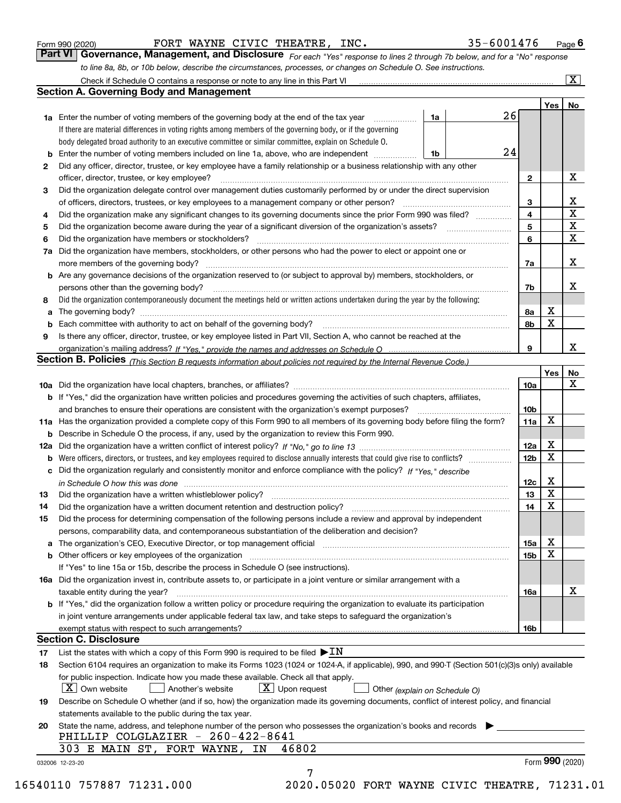|  | Form 990 (2020) |
|--|-----------------|
|  |                 |

| Form 990 (2020) |  | FORT WAYNE CIVIC THEATRE, INC. | 35-6001476                                                                                                                  | $P_{\text{aqe}}$ 6 |
|-----------------|--|--------------------------------|-----------------------------------------------------------------------------------------------------------------------------|--------------------|
|                 |  |                                | Part VI Governance, Management, and Disclosure For each "Yes" response to lines 2 through 7b below, and for a "No" response |                    |
|                 |  |                                | to line 8a, 8b, or 10b below, describe the circumstances, processes, or changes on Schedule O. See instructions.            |                    |

|     | Check if Schedule O contains a response or note to any line in this Part VI                                                                                                                                                    |    |    |                 |                 | $\boxed{\text{X}}$      |  |  |  |  |  |
|-----|--------------------------------------------------------------------------------------------------------------------------------------------------------------------------------------------------------------------------------|----|----|-----------------|-----------------|-------------------------|--|--|--|--|--|
|     | <b>Section A. Governing Body and Management</b>                                                                                                                                                                                |    |    |                 |                 |                         |  |  |  |  |  |
|     |                                                                                                                                                                                                                                |    |    |                 | Yes             | No                      |  |  |  |  |  |
|     | <b>1a</b> Enter the number of voting members of the governing body at the end of the tax year                                                                                                                                  | 1a | 26 |                 |                 |                         |  |  |  |  |  |
|     | If there are material differences in voting rights among members of the governing body, or if the governing                                                                                                                    |    |    |                 |                 |                         |  |  |  |  |  |
|     | body delegated broad authority to an executive committee or similar committee, explain on Schedule O.                                                                                                                          |    |    |                 |                 |                         |  |  |  |  |  |
| b   | Enter the number of voting members included on line 1a, above, who are independent                                                                                                                                             | 1b | 24 |                 |                 |                         |  |  |  |  |  |
| 2   | Did any officer, director, trustee, or key employee have a family relationship or a business relationship with any other                                                                                                       |    |    |                 |                 |                         |  |  |  |  |  |
|     | officer, director, trustee, or key employee?                                                                                                                                                                                   |    |    |                 |                 |                         |  |  |  |  |  |
| 3   | Did the organization delegate control over management duties customarily performed by or under the direct supervision                                                                                                          |    |    |                 |                 |                         |  |  |  |  |  |
|     | of officers, directors, trustees, or key employees to a management company or other person?                                                                                                                                    |    |    | 3               |                 | X                       |  |  |  |  |  |
| 4   | Did the organization make any significant changes to its governing documents since the prior Form 990 was filed?                                                                                                               |    |    | 4               |                 | $\overline{\mathbf{x}}$ |  |  |  |  |  |
| 5   | Did the organization become aware during the year of a significant diversion of the organization's assets?                                                                                                                     |    |    | 5               |                 | $\mathbf X$             |  |  |  |  |  |
| 6   | Did the organization have members or stockholders?                                                                                                                                                                             |    |    | 6               |                 | $\mathbf{X}$            |  |  |  |  |  |
| 7a  | Did the organization have members, stockholders, or other persons who had the power to elect or appoint one or                                                                                                                 |    |    |                 |                 |                         |  |  |  |  |  |
|     | more members of the governing body?                                                                                                                                                                                            |    |    | 7a              |                 | X                       |  |  |  |  |  |
| b   | Are any governance decisions of the organization reserved to (or subject to approval by) members, stockholders, or                                                                                                             |    |    |                 |                 |                         |  |  |  |  |  |
|     | persons other than the governing body?                                                                                                                                                                                         |    |    | 7b              |                 | х                       |  |  |  |  |  |
| 8   | Did the organization contemporaneously document the meetings held or written actions undertaken during the year by the following:                                                                                              |    |    |                 |                 |                         |  |  |  |  |  |
| a   | The governing body? [11] matter and the contract of the contract of the contract of the contract of the contract of the contract of the contract of the contract of the contract of the contract of the contract of the contra |    |    | 8a              | х               |                         |  |  |  |  |  |
| b   |                                                                                                                                                                                                                                |    |    | 8b              | X               |                         |  |  |  |  |  |
| 9   | Is there any officer, director, trustee, or key employee listed in Part VII, Section A, who cannot be reached at the                                                                                                           |    |    |                 |                 |                         |  |  |  |  |  |
|     |                                                                                                                                                                                                                                |    |    | 9               |                 | x                       |  |  |  |  |  |
|     | Section B. Policies <sub>(This Section B requests information about policies not required by the Internal Revenue Code.)</sub>                                                                                                 |    |    |                 |                 |                         |  |  |  |  |  |
|     |                                                                                                                                                                                                                                |    |    |                 | Yes             | No                      |  |  |  |  |  |
|     |                                                                                                                                                                                                                                |    |    |                 |                 | x                       |  |  |  |  |  |
|     |                                                                                                                                                                                                                                |    |    | <b>10a</b>      |                 |                         |  |  |  |  |  |
|     | <b>b</b> If "Yes," did the organization have written policies and procedures governing the activities of such chapters, affiliates,                                                                                            |    |    |                 |                 |                         |  |  |  |  |  |
|     | and branches to ensure their operations are consistent with the organization's exempt purposes?                                                                                                                                |    |    | 10 <sub>b</sub> |                 |                         |  |  |  |  |  |
|     | 11a Has the organization provided a complete copy of this Form 990 to all members of its governing body before filing the form?                                                                                                |    |    | 11a             | X               |                         |  |  |  |  |  |
| b   | Describe in Schedule O the process, if any, used by the organization to review this Form 990.                                                                                                                                  |    |    |                 |                 |                         |  |  |  |  |  |
| 12a |                                                                                                                                                                                                                                |    |    | 12a             | X               |                         |  |  |  |  |  |
| b   | Were officers, directors, or trustees, and key employees required to disclose annually interests that could give rise to conflicts?                                                                                            |    |    | 12 <sub>b</sub> | $\mathbf X$     |                         |  |  |  |  |  |
| с   | Did the organization regularly and consistently monitor and enforce compliance with the policy? If "Yes." describe                                                                                                             |    |    |                 |                 |                         |  |  |  |  |  |
|     | in Schedule O how this was done www.communication.com/www.communications.com/www.communications.com/                                                                                                                           |    |    | 12c             | X               |                         |  |  |  |  |  |
| 13  | Did the organization have a written whistleblower policy?                                                                                                                                                                      |    |    | 13              | X               |                         |  |  |  |  |  |
| 14  | Did the organization have a written document retention and destruction policy?                                                                                                                                                 |    |    | 14              | $\mathbf X$     |                         |  |  |  |  |  |
| 15  | Did the process for determining compensation of the following persons include a review and approval by independent                                                                                                             |    |    |                 |                 |                         |  |  |  |  |  |
|     | persons, comparability data, and contemporaneous substantiation of the deliberation and decision?                                                                                                                              |    |    |                 |                 |                         |  |  |  |  |  |
| а   | The organization's CEO, Executive Director, or top management official manufactured content of the organization's CEO, Executive Director, or top management official                                                          |    |    | 15a             | х               |                         |  |  |  |  |  |
| b   | Other officers or key employees of the organization                                                                                                                                                                            |    |    | 15 <sub>b</sub> | X               |                         |  |  |  |  |  |
|     | If "Yes" to line 15a or 15b, describe the process in Schedule O (see instructions).                                                                                                                                            |    |    |                 |                 |                         |  |  |  |  |  |
|     | 16a Did the organization invest in, contribute assets to, or participate in a joint venture or similar arrangement with a                                                                                                      |    |    |                 |                 |                         |  |  |  |  |  |
|     | taxable entity during the year?                                                                                                                                                                                                |    |    | 16a             |                 | X                       |  |  |  |  |  |
|     | b If "Yes," did the organization follow a written policy or procedure requiring the organization to evaluate its participation                                                                                                 |    |    |                 |                 |                         |  |  |  |  |  |
|     | in joint venture arrangements under applicable federal tax law, and take steps to safeguard the organization's                                                                                                                 |    |    |                 |                 |                         |  |  |  |  |  |
|     | exempt status with respect to such arrangements?                                                                                                                                                                               |    |    | 16b             |                 |                         |  |  |  |  |  |
|     | <b>Section C. Disclosure</b>                                                                                                                                                                                                   |    |    |                 |                 |                         |  |  |  |  |  |
| 17  | List the states with which a copy of this Form 990 is required to be filed $\blacktriangleright$ IN                                                                                                                            |    |    |                 |                 |                         |  |  |  |  |  |
| 18  | Section 6104 requires an organization to make its Forms 1023 (1024 or 1024-A, if applicable), 990, and 990-T (Section 501(c)(3)s only) available                                                                               |    |    |                 |                 |                         |  |  |  |  |  |
|     | for public inspection. Indicate how you made these available. Check all that apply.                                                                                                                                            |    |    |                 |                 |                         |  |  |  |  |  |
|     | $\lfloor X \rfloor$ Own website<br>$X$ Upon request<br>Another's website<br>Other (explain on Schedule O)                                                                                                                      |    |    |                 |                 |                         |  |  |  |  |  |
| 19  | Describe on Schedule O whether (and if so, how) the organization made its governing documents, conflict of interest policy, and financial                                                                                      |    |    |                 |                 |                         |  |  |  |  |  |
|     | statements available to the public during the tax year.                                                                                                                                                                        |    |    |                 |                 |                         |  |  |  |  |  |
|     | State the name, address, and telephone number of the person who possesses the organization's books and records                                                                                                                 |    |    |                 |                 |                         |  |  |  |  |  |
| 20  | PHILLIP COLGLAZIER - 260-422-8641                                                                                                                                                                                              |    |    |                 |                 |                         |  |  |  |  |  |
|     | 303 E MAIN ST, FORT WAYNE,<br>46802<br>ΙN                                                                                                                                                                                      |    |    |                 |                 |                         |  |  |  |  |  |
|     |                                                                                                                                                                                                                                |    |    |                 |                 |                         |  |  |  |  |  |
|     | 032006 12-23-20<br>7                                                                                                                                                                                                           |    |    |                 | Form 990 (2020) |                         |  |  |  |  |  |
|     |                                                                                                                                                                                                                                |    |    |                 |                 |                         |  |  |  |  |  |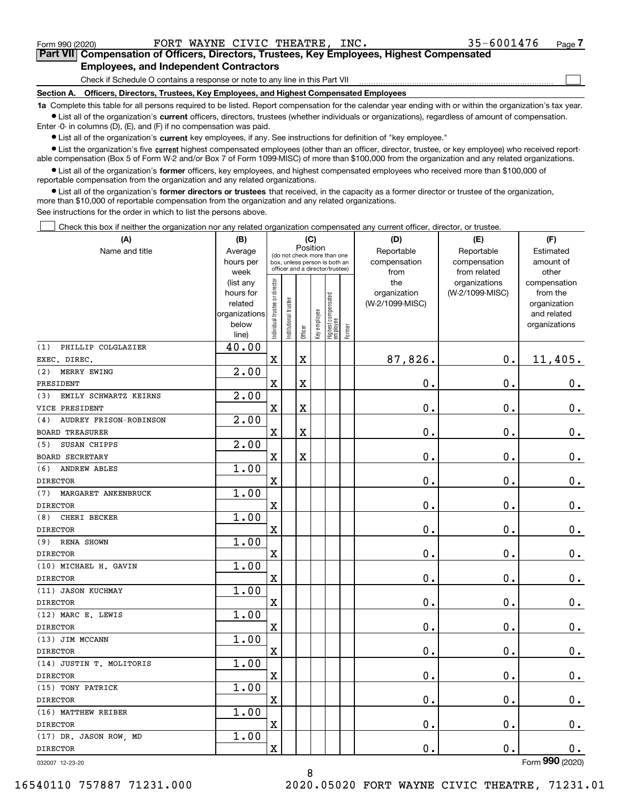$\mathcal{L}^{\text{max}}$ 

| Form 990 (2020) |                                               |  | FORT WAYNE CIVIC THEATRE, INC. | 35-6001476                                                                                 | Page 7 |
|-----------------|-----------------------------------------------|--|--------------------------------|--------------------------------------------------------------------------------------------|--------|
|                 |                                               |  |                                | Part VII Compensation of Officers, Directors, Trustees, Key Employees, Highest Compensated |        |
|                 | <b>Employees, and Independent Contractors</b> |  |                                |                                                                                            |        |

Check if Schedule O contains a response or note to any line in this Part VII

**Section A. Officers, Directors, Trustees, Key Employees, and Highest Compensated Employees**

**1a**  Complete this table for all persons required to be listed. Report compensation for the calendar year ending with or within the organization's tax year. **•** List all of the organization's current officers, directors, trustees (whether individuals or organizations), regardless of amount of compensation.

Enter -0- in columns (D), (E), and (F) if no compensation was paid.

 $\bullet$  List all of the organization's  $\,$ current key employees, if any. See instructions for definition of "key employee."

**•** List the organization's five current highest compensated employees (other than an officer, director, trustee, or key employee) who received reportable compensation (Box 5 of Form W-2 and/or Box 7 of Form 1099-MISC) of more than \$100,000 from the organization and any related organizations.

**•** List all of the organization's former officers, key employees, and highest compensated employees who received more than \$100,000 of reportable compensation from the organization and any related organizations.

**former directors or trustees**  ¥ List all of the organization's that received, in the capacity as a former director or trustee of the organization, more than \$10,000 of reportable compensation from the organization and any related organizations.

See instructions for the order in which to list the persons above.

Check this box if neither the organization nor any related organization compensated any current officer, director, or trustee.  $\mathcal{L}^{\text{max}}$ 

| (A)                                  | (B)                  | (C)                                     |                                 |             |              |                                  |        | (D)                             | (E)             | (F)                      |
|--------------------------------------|----------------------|-----------------------------------------|---------------------------------|-------------|--------------|----------------------------------|--------|---------------------------------|-----------------|--------------------------|
| Name and title                       | Average              | Position<br>(do not check more than one |                                 |             |              |                                  |        | Reportable                      | Reportable      | Estimated                |
|                                      | hours per            |                                         | box, unless person is both an   |             |              |                                  |        | compensation                    | compensation    | amount of                |
|                                      | week                 |                                         | officer and a director/trustee) |             |              |                                  |        | from                            | from related    | other                    |
|                                      | (list any            |                                         |                                 |             |              |                                  |        | the                             | organizations   | compensation             |
|                                      | hours for<br>related |                                         |                                 |             |              |                                  |        | organization<br>(W-2/1099-MISC) | (W-2/1099-MISC) | from the<br>organization |
|                                      | organizations        |                                         |                                 |             |              |                                  |        |                                 |                 | and related              |
|                                      | below                |                                         |                                 |             |              |                                  |        |                                 |                 | organizations            |
|                                      | line)                | Individual trustee or director          | Institutional trustee           | Officer     | Key employee | Highest compensated<br> employee | Former |                                 |                 |                          |
| PHILLIP COLGLAZIER<br>(1)            | 40.00                |                                         |                                 |             |              |                                  |        |                                 |                 |                          |
| EXEC. DIREC.                         |                      | $\mathbf X$                             |                                 | $\rm X$     |              |                                  |        | 87,826.                         | $\mathbf 0$ .   | 11,405.                  |
| MERRY EWING<br>(2)                   | 2.00                 |                                         |                                 |             |              |                                  |        |                                 |                 |                          |
| PRESIDENT                            |                      | $\overline{\textbf{X}}$                 |                                 | $\mathbf X$ |              |                                  |        | 0.                              | 0.              | 0.                       |
| EMILY SCHWARTZ KEIRNS<br>(3)         | 2.00                 |                                         |                                 |             |              |                                  |        |                                 |                 |                          |
| VICE PRESIDENT                       |                      | $\overline{\mathbf{X}}$                 |                                 | $\mathbf X$ |              |                                  |        | 0.                              | 0.              | $\mathbf 0$ .            |
| <b>AUDREY FRISON-ROBINSON</b><br>(4) | 2.00                 |                                         |                                 |             |              |                                  |        |                                 |                 |                          |
| <b>BOARD TREASURER</b>               |                      | $\overline{\mathbf{X}}$                 |                                 | $\mathbf X$ |              |                                  |        | 0.                              | 0.              | $0_{.}$                  |
| SUSAN CHIPPS<br>(5)                  | 2.00                 |                                         |                                 |             |              |                                  |        |                                 |                 |                          |
| <b>BOARD SECRETARY</b>               |                      | $\bar{\mathbf{X}}$                      |                                 | $\mathbf X$ |              |                                  |        | 0.                              | $\mathbf 0$ .   | 0.                       |
| <b>ANDREW ABLES</b><br>(6)           | 1.00                 |                                         |                                 |             |              |                                  |        |                                 |                 |                          |
| <b>DIRECTOR</b>                      |                      | $\overline{\mathbf{X}}$                 |                                 |             |              |                                  |        | 0.                              | $\mathbf 0$ .   | $0_{.}$                  |
| MARGARET ANKENBRUCK<br>(7)           | 1.00                 |                                         |                                 |             |              |                                  |        |                                 |                 |                          |
| <b>DIRECTOR</b>                      |                      | $\rm X$                                 |                                 |             |              |                                  |        | 0.                              | $\mathbf 0$ .   | $\mathbf 0$ .            |
| (8)<br>CHERI BECKER                  | 1.00                 |                                         |                                 |             |              |                                  |        |                                 |                 |                          |
| <b>DIRECTOR</b>                      |                      | $\overline{\mathbf{X}}$                 |                                 |             |              |                                  |        | 0.                              | 0.              | 0.                       |
| <b>RENA SHOWN</b><br>(9)             | 1.00                 |                                         |                                 |             |              |                                  |        |                                 |                 |                          |
| <b>DIRECTOR</b>                      |                      | $\rm X$                                 |                                 |             |              |                                  |        | $\mathbf 0$ .                   | $\mathbf 0$ .   | 0.                       |
| (10) MICHAEL H. GAVIN                | 1.00                 |                                         |                                 |             |              |                                  |        |                                 |                 |                          |
| <b>DIRECTOR</b>                      |                      | $\overline{\mathbf{X}}$                 |                                 |             |              |                                  |        | 0.                              | $\mathbf 0$ .   | $\mathbf 0$ .            |
| (11) JASON KUCHMAY                   | 1.00                 |                                         |                                 |             |              |                                  |        |                                 |                 |                          |
| <b>DIRECTOR</b>                      |                      | $\overline{\mathbf{X}}$                 |                                 |             |              |                                  |        | $\mathbf 0$ .                   | $\mathbf 0$ .   | $\mathbf 0$ .            |
| (12) MARC E. LEWIS                   | 1.00                 |                                         |                                 |             |              |                                  |        |                                 |                 |                          |
| <b>DIRECTOR</b>                      |                      | $\overline{\mathbf{X}}$                 |                                 |             |              |                                  |        | 0.                              | 0.              | $0_{.}$                  |
| (13) JIM MCCANN                      | 1.00                 |                                         |                                 |             |              |                                  |        |                                 |                 |                          |
| <b>DIRECTOR</b>                      |                      | $\rm X$                                 |                                 |             |              |                                  |        | 0.                              | $\mathbf 0$ .   | 0.                       |
| (14) JUSTIN T. MOLITORIS             | 1.00                 |                                         |                                 |             |              |                                  |        |                                 |                 |                          |
| <b>DIRECTOR</b>                      |                      | $\overline{\text{X}}$                   |                                 |             |              |                                  |        | 0.                              | $\mathbf 0$ .   | 0.                       |
| (15) TONY PATRICK                    | 1.00                 |                                         |                                 |             |              |                                  |        |                                 |                 |                          |
| <b>DIRECTOR</b>                      |                      | $\overline{\mathbf{X}}$                 |                                 |             |              |                                  |        | $\mathbf 0$ .                   | 0.              | $\mathbf 0$ .            |
| (16) MATTHEW REIBER                  | 1.00                 |                                         |                                 |             |              |                                  |        |                                 |                 |                          |
| <b>DIRECTOR</b>                      |                      | $\overline{\mathbf{X}}$                 |                                 |             |              |                                  |        | 0.                              | $\mathbf 0$ .   | 0.                       |
| (17) DR. JASON ROW, MD               | 1.00                 |                                         |                                 |             |              |                                  |        |                                 |                 |                          |
| <b>DIRECTOR</b>                      |                      | $\overline{\mathbf{X}}$                 |                                 |             |              |                                  |        | 0.                              | $\mathbf{0}$ .  | 0.                       |
| 032007 12-23-20                      |                      |                                         |                                 |             |              |                                  |        |                                 |                 | Form 990 (2020)          |

8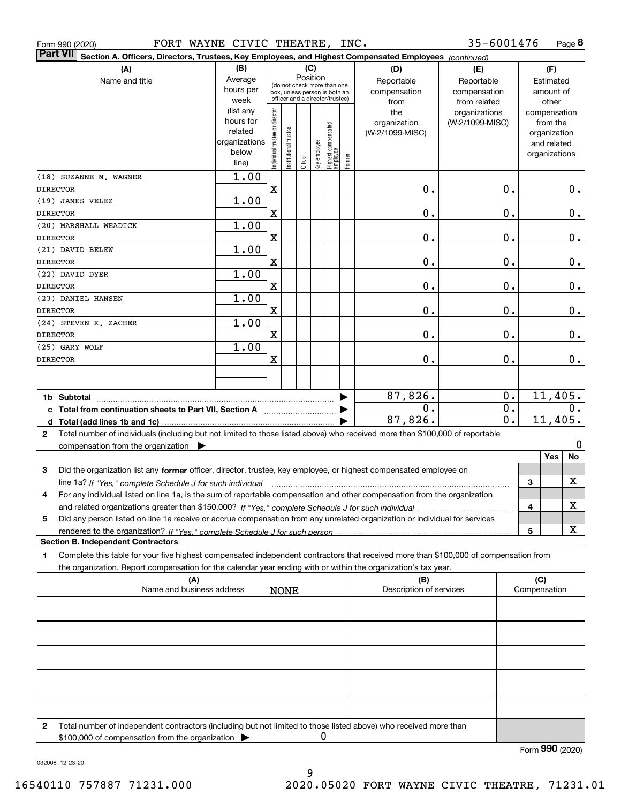| FORT WAYNE CIVIC THEATRE, INC.<br>Form 990 (2020)                                                                                            |               |                                |                                                              |         |              |                                  |        |                                | 35-6001476       |                     | Page 8          |
|----------------------------------------------------------------------------------------------------------------------------------------------|---------------|--------------------------------|--------------------------------------------------------------|---------|--------------|----------------------------------|--------|--------------------------------|------------------|---------------------|-----------------|
| <b>Part VII</b><br>Section A. Officers, Directors, Trustees, Key Employees, and Highest Compensated Employees (continued)                    |               |                                |                                                              |         |              |                                  |        |                                |                  |                     |                 |
| (A)                                                                                                                                          | (B)           |                                |                                                              | (C)     |              |                                  |        | (D)                            | (E)              |                     | (F)             |
| Name and title                                                                                                                               | Average       |                                |                                                              |         | Position     |                                  |        | Reportable                     | Reportable       |                     | Estimated       |
|                                                                                                                                              | hours per     |                                | (do not check more than one<br>box, unless person is both an |         |              |                                  |        | compensation                   | compensation     |                     | amount of       |
|                                                                                                                                              | week          |                                | officer and a director/trustee)                              |         |              |                                  |        | from                           | from related     |                     | other           |
|                                                                                                                                              | (list any     |                                |                                                              |         |              |                                  |        | the                            | organizations    |                     | compensation    |
|                                                                                                                                              | hours for     |                                |                                                              |         |              |                                  |        | organization                   | (W-2/1099-MISC)  |                     | from the        |
|                                                                                                                                              | related       |                                |                                                              |         |              |                                  |        | (W-2/1099-MISC)                |                  |                     | organization    |
|                                                                                                                                              | organizations |                                |                                                              |         |              |                                  |        |                                |                  |                     | and related     |
|                                                                                                                                              | below         | Individual trustee or director | nstitutional trustee                                         |         | Key employee |                                  |        |                                |                  |                     | organizations   |
|                                                                                                                                              | line)         |                                |                                                              | Officer |              | Highest compensated<br> employee | Former |                                |                  |                     |                 |
| (18) SUZANNE M. WAGNER                                                                                                                       | 1.00          |                                |                                                              |         |              |                                  |        |                                |                  |                     |                 |
| <b>DIRECTOR</b>                                                                                                                              |               | $\mathbf X$                    |                                                              |         |              |                                  |        | $\mathbf 0$ .                  | 0.               |                     | $0$ .           |
| (19) JAMES VELEZ                                                                                                                             | 1.00          |                                |                                                              |         |              |                                  |        |                                |                  |                     |                 |
| <b>DIRECTOR</b>                                                                                                                              |               | $\mathbf X$                    |                                                              |         |              |                                  |        | 0.                             | 0.               |                     | 0.              |
| (20) MARSHALL WEADICK                                                                                                                        | 1.00          |                                |                                                              |         |              |                                  |        |                                |                  |                     |                 |
| <b>DIRECTOR</b>                                                                                                                              |               | $\mathbf X$                    |                                                              |         |              |                                  |        | 0.                             | 0.               |                     | 0.              |
| (21) DAVID BELEW                                                                                                                             | 1.00          |                                |                                                              |         |              |                                  |        |                                |                  |                     |                 |
| <b>DIRECTOR</b>                                                                                                                              |               | $\mathbf X$                    |                                                              |         |              |                                  |        | $\mathbf 0$ .                  | 0.               |                     | 0.              |
| (22) DAVID DYER                                                                                                                              | 1.00          |                                |                                                              |         |              |                                  |        |                                |                  |                     |                 |
| <b>DIRECTOR</b>                                                                                                                              |               | $\mathbf X$                    |                                                              |         |              |                                  |        | $\mathbf 0$ .                  | 0.               |                     | 0.              |
| (23) DANIEL HANSEN                                                                                                                           | 1.00          |                                |                                                              |         |              |                                  |        |                                |                  |                     |                 |
|                                                                                                                                              |               |                                |                                                              |         |              |                                  |        |                                |                  |                     |                 |
| <b>DIRECTOR</b>                                                                                                                              |               | $\mathbf X$                    |                                                              |         |              |                                  |        | $\mathbf 0$ .                  | 0.               |                     | 0.              |
| (24) STEVEN K. ZACHER                                                                                                                        | 1.00          |                                |                                                              |         |              |                                  |        |                                |                  |                     |                 |
| <b>DIRECTOR</b>                                                                                                                              |               | $\mathbf X$                    |                                                              |         |              |                                  |        | $\mathbf 0$ .                  | 0.               |                     | 0.              |
| (25) GARY WOLF                                                                                                                               | 1.00          |                                |                                                              |         |              |                                  |        |                                |                  |                     |                 |
| <b>DIRECTOR</b>                                                                                                                              |               | X                              |                                                              |         |              |                                  |        | 0.                             | 0.               |                     | $0$ .           |
|                                                                                                                                              |               |                                |                                                              |         |              |                                  |        |                                |                  |                     |                 |
|                                                                                                                                              |               |                                |                                                              |         |              |                                  |        |                                |                  |                     |                 |
|                                                                                                                                              |               |                                |                                                              |         |              |                                  | ▶      | 87,826.                        | 0.               |                     | 11,405.         |
| c Total from continuation sheets to Part VII, Section A                                                                                      |               |                                |                                                              |         |              |                                  |        | $\mathbf 0$ .                  | $\overline{0}$ . |                     | 0.              |
|                                                                                                                                              |               |                                |                                                              |         |              |                                  |        | 87,826.                        | $\overline{0}$ . |                     | 11,405.         |
| Total number of individuals (including but not limited to those listed above) who received more than \$100,000 of reportable<br>$\mathbf{2}$ |               |                                |                                                              |         |              |                                  |        |                                |                  |                     |                 |
| compensation from the organization $\blacktriangleright$                                                                                     |               |                                |                                                              |         |              |                                  |        |                                |                  |                     | 0               |
|                                                                                                                                              |               |                                |                                                              |         |              |                                  |        |                                |                  |                     | Yes<br>No       |
| 3<br>Did the organization list any former officer, director, trustee, key employee, or highest compensated employee on                       |               |                                |                                                              |         |              |                                  |        |                                |                  |                     |                 |
| line 1a? If "Yes," complete Schedule J for such individual manufactured contained and the Ves," complete Schedule J for such individual      |               |                                |                                                              |         |              |                                  |        |                                |                  | 3                   | X               |
| For any individual listed on line 1a, is the sum of reportable compensation and other compensation from the organization                     |               |                                |                                                              |         |              |                                  |        |                                |                  |                     |                 |
|                                                                                                                                              |               |                                |                                                              |         |              |                                  |        |                                |                  | 4                   | х               |
| Did any person listed on line 1a receive or accrue compensation from any unrelated organization or individual for services<br>5              |               |                                |                                                              |         |              |                                  |        |                                |                  |                     |                 |
| rendered to the organization? If "Yes." complete Schedule J for such person.                                                                 |               |                                |                                                              |         |              |                                  |        |                                |                  | 5                   | x               |
| <b>Section B. Independent Contractors</b>                                                                                                    |               |                                |                                                              |         |              |                                  |        |                                |                  |                     |                 |
| Complete this table for your five highest compensated independent contractors that received more than \$100,000 of compensation from<br>1    |               |                                |                                                              |         |              |                                  |        |                                |                  |                     |                 |
| the organization. Report compensation for the calendar year ending with or within the organization's tax year.                               |               |                                |                                                              |         |              |                                  |        |                                |                  |                     |                 |
|                                                                                                                                              |               |                                |                                                              |         |              |                                  |        |                                |                  |                     |                 |
| (A)<br>Name and business address                                                                                                             |               |                                | <b>NONE</b>                                                  |         |              |                                  |        | (B)<br>Description of services |                  | (C)<br>Compensation |                 |
|                                                                                                                                              |               |                                |                                                              |         |              |                                  |        |                                |                  |                     |                 |
|                                                                                                                                              |               |                                |                                                              |         |              |                                  |        |                                |                  |                     |                 |
|                                                                                                                                              |               |                                |                                                              |         |              |                                  |        |                                |                  |                     |                 |
|                                                                                                                                              |               |                                |                                                              |         |              |                                  |        |                                |                  |                     |                 |
|                                                                                                                                              |               |                                |                                                              |         |              |                                  |        |                                |                  |                     |                 |
|                                                                                                                                              |               |                                |                                                              |         |              |                                  |        |                                |                  |                     |                 |
|                                                                                                                                              |               |                                |                                                              |         |              |                                  |        |                                |                  |                     |                 |
|                                                                                                                                              |               |                                |                                                              |         |              |                                  |        |                                |                  |                     |                 |
|                                                                                                                                              |               |                                |                                                              |         |              |                                  |        |                                |                  |                     |                 |
|                                                                                                                                              |               |                                |                                                              |         |              |                                  |        |                                |                  |                     |                 |
|                                                                                                                                              |               |                                |                                                              |         |              |                                  |        |                                |                  |                     |                 |
| Total number of independent contractors (including but not limited to those listed above) who received more than<br>2                        |               |                                |                                                              |         |              |                                  |        |                                |                  |                     |                 |
| \$100,000 of compensation from the organization                                                                                              |               |                                |                                                              |         | 0            |                                  |        |                                |                  |                     |                 |
|                                                                                                                                              |               |                                |                                                              |         |              |                                  |        |                                |                  |                     | Form 990 (2020) |

032008 12-23-20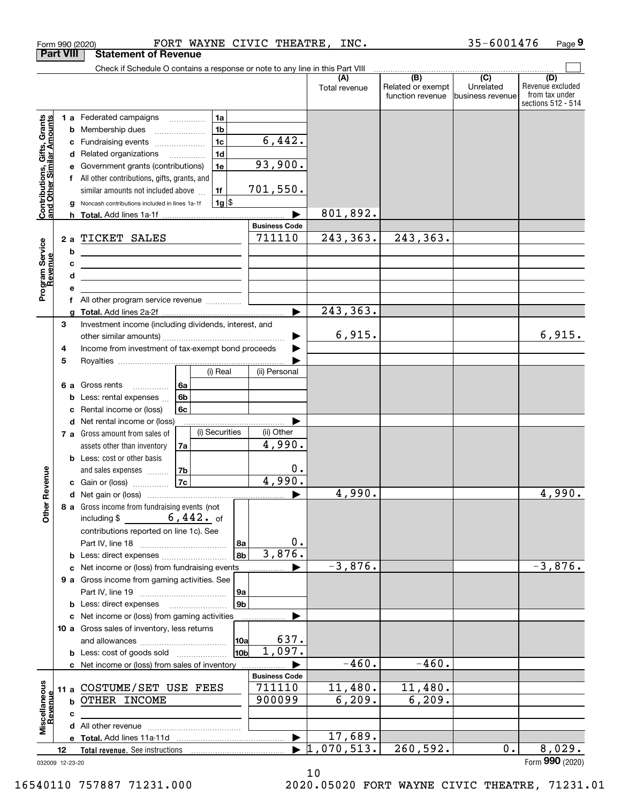|                                                           | <b>Part VIII</b>       | <b>Statement of Revenue</b>                                                                                                                                                                                                                                                                                |                                                                                 |                                |                      |                                              |                                                   |                                                                 |
|-----------------------------------------------------------|------------------------|------------------------------------------------------------------------------------------------------------------------------------------------------------------------------------------------------------------------------------------------------------------------------------------------------------|---------------------------------------------------------------------------------|--------------------------------|----------------------|----------------------------------------------|---------------------------------------------------|-----------------------------------------------------------------|
|                                                           |                        | Check if Schedule O contains a response or note to any line in this Part VIII                                                                                                                                                                                                                              |                                                                                 |                                |                      |                                              |                                                   |                                                                 |
|                                                           |                        |                                                                                                                                                                                                                                                                                                            |                                                                                 |                                | (A)<br>Total revenue | (B)<br>Related or exempt<br>function revenue | $\overline{(C)}$<br>Unrelated<br>business revenue | (D)<br>Revenue excluded<br>from tax under<br>sections 512 - 514 |
| Contributions, Gifts, Grants<br>and Other Similar Amounts | b<br>с<br>d<br>е<br>g  | 1 a Federated campaigns<br>Membership dues<br>Fundraising events<br>Related organizations<br>Government grants (contributions)<br>f All other contributions, gifts, grants, and<br>similar amounts not included above<br>Noncash contributions included in lines 1a-1f                                     | 1a<br>1 <sub>b</sub><br>1 <sub>c</sub><br>1 <sub>d</sub><br>1e<br>1f<br>$1g$ \$ | 6,442.<br>93,900.<br>701,550.  |                      |                                              |                                                   |                                                                 |
|                                                           |                        |                                                                                                                                                                                                                                                                                                            |                                                                                 |                                | 801,892.             |                                              |                                                   |                                                                 |
| Program Service<br>Revenue                                | 2a<br>b<br>c<br>d<br>е | TICKET SALES<br><u> 1989 - Johann Barn, mars ann an t-Amhain Aonaich an t-Aonaich an t-Aonaich ann an t-Aonaich ann an t-Aonaich</u><br>the contract of the contract of the contract of the contract of the contract of<br>the contract of the contract of the contract of the contract of the contract of |                                                                                 | <b>Business Code</b><br>711110 | 243, 363.            | 243, 363.                                    |                                                   |                                                                 |
|                                                           | f                      | All other program service revenue                                                                                                                                                                                                                                                                          |                                                                                 |                                |                      |                                              |                                                   |                                                                 |
|                                                           | a                      |                                                                                                                                                                                                                                                                                                            |                                                                                 |                                | 243, 363.            |                                              |                                                   |                                                                 |
|                                                           | 3<br>4                 | Investment income (including dividends, interest, and<br>Income from investment of tax-exempt bond proceeds                                                                                                                                                                                                |                                                                                 |                                | 6,915.               |                                              |                                                   | 6,915.                                                          |
|                                                           | 5<br>6а<br>b           | Gross rents<br>6а<br>.<br>6b<br>Less: rental expenses                                                                                                                                                                                                                                                      | (i) Real                                                                        | (ii) Personal                  |                      |                                              |                                                   |                                                                 |
|                                                           | c<br>d                 | 6c<br>Rental income or (loss)<br>Net rental income or (loss)                                                                                                                                                                                                                                               |                                                                                 |                                |                      |                                              |                                                   |                                                                 |
|                                                           |                        | 7 a Gross amount from sales of<br>assets other than inventory<br>7a<br><b>b</b> Less: cost or other basis<br>7b<br>and sales expenses                                                                                                                                                                      | (i) Securities                                                                  | (ii) Other<br>4,990.<br>0.     |                      |                                              |                                                   |                                                                 |
| Revenue                                                   |                        | 7c <br>c Gain or (loss)                                                                                                                                                                                                                                                                                    |                                                                                 | 4,990.                         |                      |                                              |                                                   |                                                                 |
| <b>Other</b>                                              |                        | 8 a Gross income from fundraising events (not<br>$6,442.$ of<br>including \$<br>contributions reported on line 1c). See                                                                                                                                                                                    | 8a<br>8b                                                                        | 0.<br>3,876.                   | 4,990.               |                                              |                                                   | 4,990.                                                          |
|                                                           |                        | <b>b</b> Less: direct expenses                                                                                                                                                                                                                                                                             |                                                                                 |                                | $-3,876.$            |                                              |                                                   | $-3,876.$                                                       |
|                                                           |                        | c Net income or (loss) from fundraising events<br>9 a Gross income from gaming activities. See                                                                                                                                                                                                             | 9a                                                                              |                                |                      |                                              |                                                   |                                                                 |
|                                                           |                        | <b>b</b> Less: direct expenses                                                                                                                                                                                                                                                                             | 9 <sub>b</sub>                                                                  |                                |                      |                                              |                                                   |                                                                 |
|                                                           |                        | c Net income or (loss) from gaming activities<br>10 a Gross sales of inventory, less returns                                                                                                                                                                                                               | 10a                                                                             | 637.<br>1,097.                 |                      |                                              |                                                   |                                                                 |
|                                                           |                        | <b>b</b> Less: cost of goods sold                                                                                                                                                                                                                                                                          | 10b                                                                             |                                | $-460.$              | $-460.$                                      |                                                   |                                                                 |
|                                                           |                        | c Net income or (loss) from sales of inventory                                                                                                                                                                                                                                                             |                                                                                 | <b>Business Code</b>           |                      |                                              |                                                   |                                                                 |
|                                                           | 11 a                   | COSTUME/SET USE FEES                                                                                                                                                                                                                                                                                       |                                                                                 | 711110                         | 11,480.              | 11,480.                                      |                                                   |                                                                 |
| Miscellaneous<br>Revenue                                  | b                      | OTHER INCOME                                                                                                                                                                                                                                                                                               |                                                                                 | 900099                         | 6, 209.              | 6, 209.                                      |                                                   |                                                                 |
|                                                           | c                      |                                                                                                                                                                                                                                                                                                            |                                                                                 |                                |                      |                                              |                                                   |                                                                 |
|                                                           |                        |                                                                                                                                                                                                                                                                                                            |                                                                                 |                                |                      |                                              |                                                   |                                                                 |
|                                                           |                        |                                                                                                                                                                                                                                                                                                            |                                                                                 | $\blacktriangleright$          | 17,689.              |                                              |                                                   |                                                                 |
|                                                           | 12                     |                                                                                                                                                                                                                                                                                                            |                                                                                 |                                | ,070,513.            | 260,592.                                     | $0$ .                                             | 8,029.                                                          |
|                                                           | 032009 12-23-20        |                                                                                                                                                                                                                                                                                                            |                                                                                 |                                |                      |                                              |                                                   | Form 990 (2020)                                                 |

10

Form 990 (2020) Page FORT WAYNE CIVIC THEATRE, INC. 35-6001476

**9**

032009 12-23-20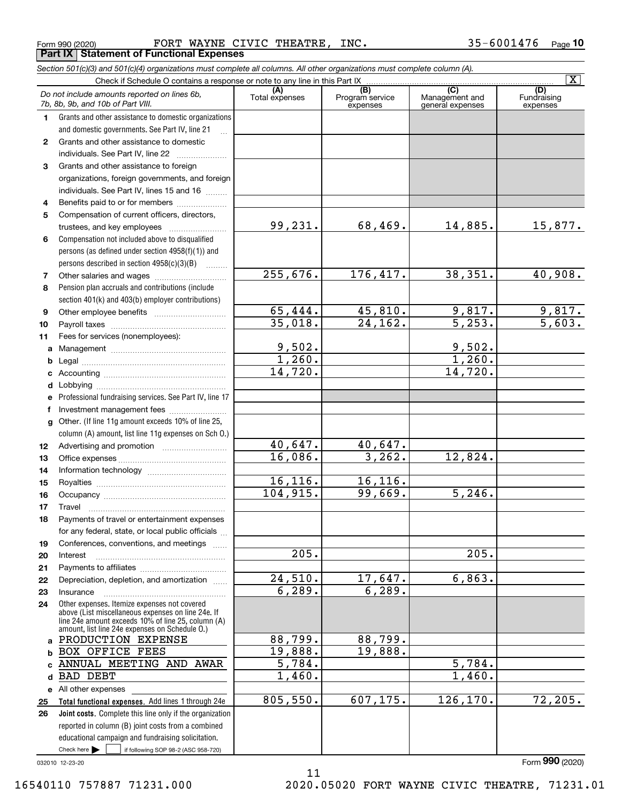Form 990 (2020) Page FORT WAYNE CIVIC THEATRE, INC. 35-6001476 **Part IX Statement of Functional Expenses**

|                   | Section 501(c)(3) and 501(c)(4) organizations must complete all columns. All other organizations must complete column (A).                                                                                 |                       |                                    |                                           |                                |
|-------------------|------------------------------------------------------------------------------------------------------------------------------------------------------------------------------------------------------------|-----------------------|------------------------------------|-------------------------------------------|--------------------------------|
|                   |                                                                                                                                                                                                            |                       |                                    |                                           | $\overline{\mathbf{X}}$        |
|                   | Do not include amounts reported on lines 6b,<br>7b, 8b, 9b, and 10b of Part VIII.                                                                                                                          | (A)<br>Total expenses | (B)<br>Program service<br>expenses | (C)<br>Management and<br>general expenses | (D)<br>Fundraising<br>expenses |
| 1.                | Grants and other assistance to domestic organizations                                                                                                                                                      |                       |                                    |                                           |                                |
|                   | and domestic governments. See Part IV, line 21                                                                                                                                                             |                       |                                    |                                           |                                |
| 2                 | Grants and other assistance to domestic                                                                                                                                                                    |                       |                                    |                                           |                                |
|                   | individuals. See Part IV, line 22                                                                                                                                                                          |                       |                                    |                                           |                                |
| 3                 | Grants and other assistance to foreign                                                                                                                                                                     |                       |                                    |                                           |                                |
|                   | organizations, foreign governments, and foreign                                                                                                                                                            |                       |                                    |                                           |                                |
|                   | individuals. See Part IV, lines 15 and 16                                                                                                                                                                  |                       |                                    |                                           |                                |
| 4                 | Benefits paid to or for members                                                                                                                                                                            |                       |                                    |                                           |                                |
| 5                 | Compensation of current officers, directors,                                                                                                                                                               |                       |                                    |                                           |                                |
|                   | trustees, and key employees                                                                                                                                                                                | 99,231.               | 68,469.                            | 14,885.                                   | 15,877.                        |
| 6                 | Compensation not included above to disqualified                                                                                                                                                            |                       |                                    |                                           |                                |
|                   | persons (as defined under section 4958(f)(1)) and                                                                                                                                                          |                       |                                    |                                           |                                |
|                   | persons described in section 4958(c)(3)(B)                                                                                                                                                                 |                       |                                    |                                           |                                |
| 7                 |                                                                                                                                                                                                            | 255,676.              | 176,417.                           | 38, 351.                                  | 40,908.                        |
| 8                 | Pension plan accruals and contributions (include                                                                                                                                                           |                       |                                    |                                           |                                |
|                   | section 401(k) and 403(b) employer contributions)                                                                                                                                                          |                       |                                    |                                           |                                |
| 9                 |                                                                                                                                                                                                            | 65,444.               | 45,810.<br>24, 162.                | 9,817.<br>$\overline{5,253}$ .            | $\frac{9,817.}{5,603.}$        |
| 10                |                                                                                                                                                                                                            | 35,018.               |                                    |                                           |                                |
| 11                | Fees for services (nonemployees):                                                                                                                                                                          | 9,502.                |                                    |                                           |                                |
| a                 |                                                                                                                                                                                                            | 1,260.                |                                    | 9,502.<br>1,260.                          |                                |
| b                 |                                                                                                                                                                                                            | 14,720.               |                                    | 14,720.                                   |                                |
| c                 |                                                                                                                                                                                                            |                       |                                    |                                           |                                |
| d                 |                                                                                                                                                                                                            |                       |                                    |                                           |                                |
| е                 | Professional fundraising services. See Part IV, line 17                                                                                                                                                    |                       |                                    |                                           |                                |
| f<br>$\mathbf{q}$ | Investment management fees<br>Other. (If line 11g amount exceeds 10% of line 25,                                                                                                                           |                       |                                    |                                           |                                |
|                   | column (A) amount, list line 11g expenses on Sch O.)                                                                                                                                                       |                       |                                    |                                           |                                |
| 12                |                                                                                                                                                                                                            | 40,647.               | 40,647.                            |                                           |                                |
| 13                |                                                                                                                                                                                                            | 16,086.               | 3, 262.                            | 12,824.                                   |                                |
| 14                |                                                                                                                                                                                                            |                       |                                    |                                           |                                |
| 15                |                                                                                                                                                                                                            | 16, 116.              | 16,116.                            |                                           |                                |
| 16                |                                                                                                                                                                                                            | 104, 915.             | 99,669.                            | $\overline{5,246}$ .                      |                                |
| 17                |                                                                                                                                                                                                            |                       |                                    |                                           |                                |
| 18                | Payments of travel or entertainment expenses                                                                                                                                                               |                       |                                    |                                           |                                |
|                   | for any federal, state, or local public officials                                                                                                                                                          |                       |                                    |                                           |                                |
| 19                | Conferences, conventions, and meetings                                                                                                                                                                     |                       |                                    |                                           |                                |
| 20                | Interest                                                                                                                                                                                                   | 205.                  |                                    | 205.                                      |                                |
| 21                |                                                                                                                                                                                                            |                       |                                    |                                           |                                |
| 22                | Depreciation, depletion, and amortization                                                                                                                                                                  | 24,510.               | 17,647.                            | 6,863.                                    |                                |
| 23                | Insurance                                                                                                                                                                                                  | 6, 289.               | 6, 289.                            |                                           |                                |
| 24                | Other expenses. Itemize expenses not covered<br>above (List miscellaneous expenses on line 24e. If<br>line 24e amount exceeds 10% of line 25, column (A)<br>amount, list line 24e expenses on Schedule O.) |                       |                                    |                                           |                                |
| a                 | PRODUCTION EXPENSE                                                                                                                                                                                         | 88,799.               | 88,799.                            |                                           |                                |
| b                 | <b>BOX OFFICE FEES</b>                                                                                                                                                                                     | 19,888.               | 19,888.                            |                                           |                                |
| C                 | ANNUAL MEETING AND AWAR                                                                                                                                                                                    | $\overline{5,784}$ .  |                                    | $\overline{5,784}$ .                      |                                |
| d                 | <b>BAD DEBT</b>                                                                                                                                                                                            | 1,460.                |                                    | 1,460.                                    |                                |
|                   | e All other expenses                                                                                                                                                                                       |                       |                                    |                                           |                                |
| 25                | Total functional expenses. Add lines 1 through 24e                                                                                                                                                         | 805,550.              | 607,175.                           | 126, 170.                                 | 72, 205.                       |
| 26                | <b>Joint costs.</b> Complete this line only if the organization                                                                                                                                            |                       |                                    |                                           |                                |
|                   | reported in column (B) joint costs from a combined                                                                                                                                                         |                       |                                    |                                           |                                |
|                   | educational campaign and fundraising solicitation.                                                                                                                                                         |                       |                                    |                                           |                                |
|                   | Check here $\blacktriangleright$<br>if following SOP 98-2 (ASC 958-720)                                                                                                                                    |                       |                                    |                                           |                                |

11

032010 12-23-20

Form (2020) **990**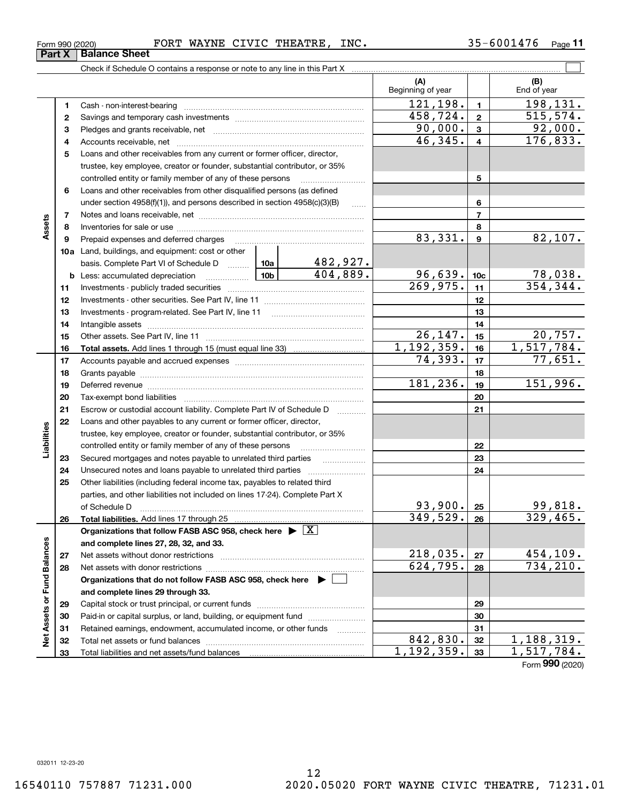**12**

**Part X** | Balance Sheet

Form (2020) **990**

|                   | 3        |                                                                                                                                                                                                                               |                                                                  |                 | 90,000.             | $\mathbf{3}$     | 92,000.                    |
|-------------------|----------|-------------------------------------------------------------------------------------------------------------------------------------------------------------------------------------------------------------------------------|------------------------------------------------------------------|-----------------|---------------------|------------------|----------------------------|
|                   | 4        |                                                                                                                                                                                                                               |                                                                  |                 | 46,345.             | $\overline{4}$   | 176,833.                   |
|                   | 5        | Loans and other receivables from any current or former officer, director,                                                                                                                                                     |                                                                  |                 |                     |                  |                            |
|                   |          | trustee, key employee, creator or founder, substantial contributor, or 35%                                                                                                                                                    |                                                                  |                 |                     |                  |                            |
|                   |          | controlled entity or family member of any of these persons                                                                                                                                                                    |                                                                  |                 |                     | 5                |                            |
|                   | 6        | Loans and other receivables from other disqualified persons (as defined                                                                                                                                                       |                                                                  |                 |                     |                  |                            |
|                   |          | under section $4958(f)(1)$ , and persons described in section $4958(c)(3)(B)$                                                                                                                                                 |                                                                  | 1.1.1.1         |                     | 6                |                            |
|                   | 7        |                                                                                                                                                                                                                               |                                                                  |                 |                     | $\overline{7}$   |                            |
| Assets            | 8        |                                                                                                                                                                                                                               |                                                                  |                 |                     | 8                |                            |
|                   | 9        | Prepaid expenses and deferred charges                                                                                                                                                                                         |                                                                  |                 | 83,331.             | $\boldsymbol{9}$ | 82,107.                    |
|                   |          | <b>10a</b> Land, buildings, and equipment: cost or other                                                                                                                                                                      |                                                                  |                 |                     |                  |                            |
|                   |          | basis. Complete Part VI of Schedule D                                                                                                                                                                                         | 10a                                                              | <u>482,927.</u> |                     |                  |                            |
|                   |          | <b>b</b> Less: accumulated depreciation                                                                                                                                                                                       | -10b l                                                           | 404,889.        | 96,639.             | 10 <sub>c</sub>  | $\frac{78,038.}{354,344.}$ |
|                   | 11       |                                                                                                                                                                                                                               |                                                                  |                 | 269,975.            | 11               |                            |
|                   | 12       |                                                                                                                                                                                                                               |                                                                  |                 |                     | 12               |                            |
|                   | 13       | Investments - program-related. See Part IV, line 11                                                                                                                                                                           |                                                                  |                 |                     | 13               |                            |
|                   | 14       |                                                                                                                                                                                                                               |                                                                  |                 |                     | 14               |                            |
|                   | 15       |                                                                                                                                                                                                                               |                                                                  |                 | 26,147.             | 15               | 20,757.                    |
|                   | 16       |                                                                                                                                                                                                                               |                                                                  |                 | 1,192,359.          | 16               | 1,517,784.                 |
|                   | 17       |                                                                                                                                                                                                                               |                                                                  |                 | 74,393.             | 17               | 77,651.                    |
|                   | 18       |                                                                                                                                                                                                                               |                                                                  |                 |                     | 18               |                            |
|                   | 19       | Deferred revenue material contracts and contracts are contracted and contract and contract are contracted and contract are contracted and contract are contracted and contract are contracted and contract are contracted and |                                                                  |                 | 181,236.            | 19               | 151,996.                   |
|                   | 20       |                                                                                                                                                                                                                               |                                                                  |                 | 20                  |                  |                            |
|                   | 21       | Escrow or custodial account liability. Complete Part IV of Schedule D                                                                                                                                                         |                                                                  |                 |                     | 21               |                            |
|                   | 22       | Loans and other payables to any current or former officer, director,                                                                                                                                                          |                                                                  |                 |                     |                  |                            |
| Liabilities       |          | trustee, key employee, creator or founder, substantial contributor, or 35%                                                                                                                                                    |                                                                  |                 |                     |                  |                            |
|                   |          | controlled entity or family member of any of these persons                                                                                                                                                                    |                                                                  |                 |                     | 22               |                            |
|                   | 23       | Secured mortgages and notes payable to unrelated third parties                                                                                                                                                                |                                                                  |                 |                     | 23               |                            |
|                   | 24       | Unsecured notes and loans payable to unrelated third parties                                                                                                                                                                  |                                                                  |                 |                     | 24               |                            |
|                   | 25       | Other liabilities (including federal income tax, payables to related third                                                                                                                                                    |                                                                  |                 |                     |                  |                            |
|                   |          | parties, and other liabilities not included on lines 17-24). Complete Part X                                                                                                                                                  |                                                                  |                 |                     |                  |                            |
|                   |          | of Schedule D                                                                                                                                                                                                                 |                                                                  |                 | 93,900.<br>349,529. | 25               | $\frac{99,818}{329,465}$   |
|                   | 26       |                                                                                                                                                                                                                               |                                                                  |                 |                     | 26               |                            |
|                   |          | Organizations that follow FASB ASC 958, check here $\triangleright \lfloor X \rfloor$                                                                                                                                         |                                                                  |                 |                     |                  |                            |
|                   |          | and complete lines 27, 28, 32, and 33.                                                                                                                                                                                        |                                                                  |                 | 218,035.            |                  | 454,109.                   |
| Balances          | 27       |                                                                                                                                                                                                                               |                                                                  |                 | 624,795.            | 27               | 734, 210.                  |
| ರ                 | 28       |                                                                                                                                                                                                                               |                                                                  |                 |                     | 28               |                            |
|                   |          | Organizations that do not follow FASB ASC 958, check here $\blacktriangleright$                                                                                                                                               |                                                                  |                 |                     |                  |                            |
|                   |          | and complete lines 29 through 33.                                                                                                                                                                                             |                                                                  |                 |                     | 29               |                            |
| Net Assets or Fun | 29       |                                                                                                                                                                                                                               | Paid-in or capital surplus, or land, building, or equipment fund |                 |                     |                  |                            |
|                   | 30       |                                                                                                                                                                                                                               |                                                                  |                 |                     | 30<br>31         |                            |
|                   | 31       | Retained earnings, endowment, accumulated income, or other funds                                                                                                                                                              |                                                                  |                 | 842,830.            | 32               | $\overline{1,188,319}$ .   |
|                   | 32<br>33 |                                                                                                                                                                                                                               |                                                                  |                 | 1, 192, 359.        | 33               | 1,517,784.                 |
|                   |          |                                                                                                                                                                                                                               |                                                                  |                 |                     |                  |                            |

Form 990 (2020) Page FORT WAYNE CIVIC THEATRE, INC. 35-6001476

Check if Schedule O contains a response or note to any line in this Part X

Cash - non-interest-bearing ~~~~~~~~~~~~~~~~~~~~~~~~~ Savings and temporary cash investments ~~~~~~~~~~~~~~~~~~ **11**

**(A) (B)**

Beginning of year | | End of year

**12**

 $121, 198.$  198,131.

 $458, 724. | 2 | 515, 574.$ 

(B)<br>End of year

 $\mathcal{L}^{\text{max}}$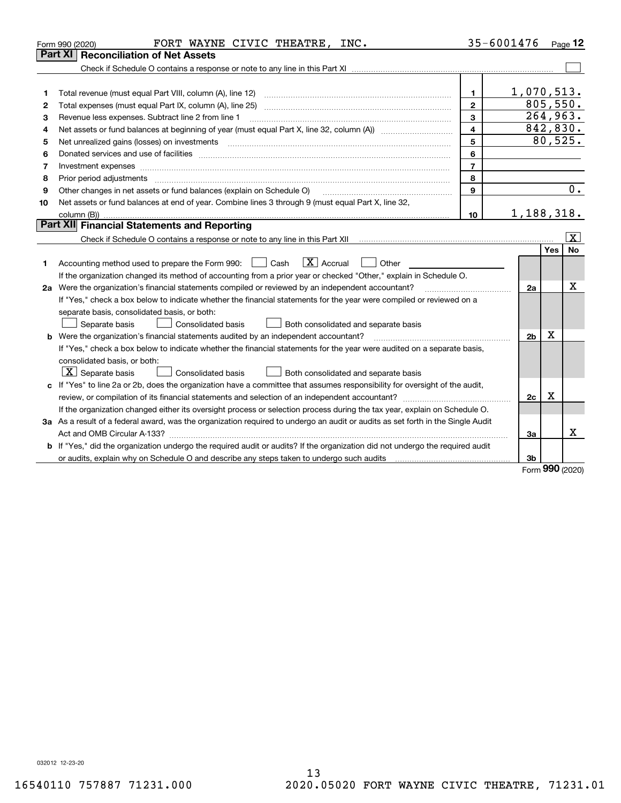|    | FORT WAYNE CIVIC THEATRE, INC.<br>Form 990 (2020)                                                                                                                                                                              |                  | 35-6001476     |          | Page $12$       |
|----|--------------------------------------------------------------------------------------------------------------------------------------------------------------------------------------------------------------------------------|------------------|----------------|----------|-----------------|
|    | Part XI<br>Reconciliation of Net Assets                                                                                                                                                                                        |                  |                |          |                 |
|    |                                                                                                                                                                                                                                |                  |                |          |                 |
|    |                                                                                                                                                                                                                                |                  |                |          |                 |
| 1  |                                                                                                                                                                                                                                | $\mathbf{1}$     | 1,070,513.     |          |                 |
| 2  |                                                                                                                                                                                                                                | $\overline{2}$   |                | 805,550. |                 |
| з  | Revenue less expenses. Subtract line 2 from line 1                                                                                                                                                                             | 3                |                |          | 264,963.        |
| 4  | Net assets or fund balances at beginning of year (must equal Part X, line 32, column (A)) <i>massets</i> or fund balances at beginning of year (must equal Part X, line 32, column (A))                                        | $\overline{4}$   |                |          | 842,830.        |
| 5  |                                                                                                                                                                                                                                | 5                |                |          | 80, 525.        |
| 6  |                                                                                                                                                                                                                                | 6                |                |          |                 |
| 7  |                                                                                                                                                                                                                                | $\overline{7}$   |                |          |                 |
| 8  | Prior period adjustments material contents and content of the content of the content of the content of the content of the content of the content of the content of the content of the content of the content of the content of | 8                |                |          |                 |
| 9  | Other changes in net assets or fund balances (explain on Schedule O)                                                                                                                                                           | 9                |                |          | 0.              |
| 10 | Net assets or fund balances at end of year. Combine lines 3 through 9 (must equal Part X, line 32,                                                                                                                             |                  |                |          |                 |
|    |                                                                                                                                                                                                                                | 10 <sup>10</sup> | 1,188,318.     |          |                 |
|    | Part XII Financial Statements and Reporting                                                                                                                                                                                    |                  |                |          |                 |
|    |                                                                                                                                                                                                                                |                  |                |          | $\vert X \vert$ |
| 1  | $\boxed{\mathbf{X}}$ Accrual<br>Accounting method used to prepare the Form 990: <u>June</u> Cash<br>Other                                                                                                                      |                  |                | Yes      | No              |
|    | If the organization changed its method of accounting from a prior year or checked "Other," explain in Schedule O.                                                                                                              |                  |                |          |                 |
|    | 2a Were the organization's financial statements compiled or reviewed by an independent accountant?                                                                                                                             |                  | 2a             |          | X               |
|    | If "Yes," check a box below to indicate whether the financial statements for the year were compiled or reviewed on a                                                                                                           |                  |                |          |                 |
|    | separate basis, consolidated basis, or both:                                                                                                                                                                                   |                  |                |          |                 |
|    | Both consolidated and separate basis<br>Separate basis<br><b>Consolidated basis</b>                                                                                                                                            |                  |                |          |                 |
|    | <b>b</b> Were the organization's financial statements audited by an independent accountant?                                                                                                                                    |                  | 2 <sub>b</sub> | х        |                 |
|    | If "Yes," check a box below to indicate whether the financial statements for the year were audited on a separate basis,                                                                                                        |                  |                |          |                 |
|    | consolidated basis, or both:                                                                                                                                                                                                   |                  |                |          |                 |
|    | $X$ Separate basis<br>Consolidated basis<br>Both consolidated and separate basis                                                                                                                                               |                  |                |          |                 |
|    | c If "Yes" to line 2a or 2b, does the organization have a committee that assumes responsibility for oversight of the audit,                                                                                                    |                  |                |          |                 |
|    |                                                                                                                                                                                                                                |                  | 2c             | х        |                 |
|    | If the organization changed either its oversight process or selection process during the tax year, explain on Schedule O.                                                                                                      |                  |                |          |                 |
|    | 3a As a result of a federal award, was the organization required to undergo an audit or audits as set forth in the Single Audit                                                                                                |                  |                |          |                 |
|    |                                                                                                                                                                                                                                |                  | 3a             |          | x               |
|    | b If "Yes," did the organization undergo the required audit or audits? If the organization did not undergo the required audit                                                                                                  |                  |                |          |                 |
|    |                                                                                                                                                                                                                                |                  | 3b             | $000 -$  |                 |
|    |                                                                                                                                                                                                                                |                  |                |          |                 |

Form (2020) **990**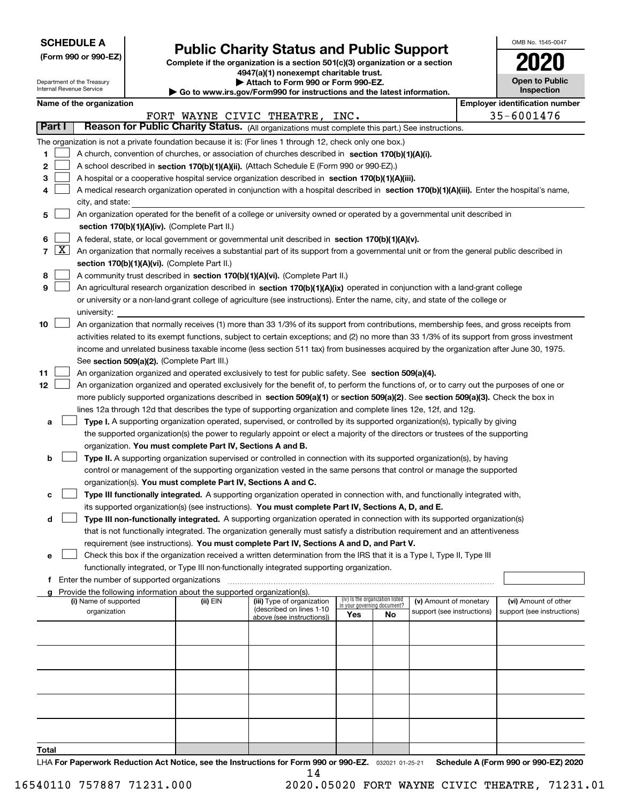| <b>SCHEDULE A</b> |
|-------------------|
|-------------------|

Department of the Treasury Internal Revenue Service

| (Form 990 or 990-EZ) |  |  |  |  |
|----------------------|--|--|--|--|
|----------------------|--|--|--|--|

## **Public Charity Status and Public Support**

**Complete if the organization is a section 501(c)(3) organization or a section 4947(a)(1) nonexempt charitable trust.**

| Attach to Form 990 or Form 990-EZ. |  |  |  |  |
|------------------------------------|--|--|--|--|
|                                    |  |  |  |  |

**| Go to www.irs.gov/Form990 for instructions and the latest information.**

| OMB No 1545-0047                    |
|-------------------------------------|
| 2020                                |
| <b>Open to Public</b><br>Inspection |

|  | Name of the organization |
|--|--------------------------|
|--|--------------------------|

|       | Name of the organization<br><b>Employer identification number</b> |                                                                                                                                              |          |                                |                                                                |     |                            |  |                            |
|-------|-------------------------------------------------------------------|----------------------------------------------------------------------------------------------------------------------------------------------|----------|--------------------------------|----------------------------------------------------------------|-----|----------------------------|--|----------------------------|
|       |                                                                   |                                                                                                                                              |          | FORT WAYNE CIVIC THEATRE, INC. |                                                                |     |                            |  | 35-6001476                 |
|       | Part I                                                            | Reason for Public Charity Status. (All organizations must complete this part.) See instructions.                                             |          |                                |                                                                |     |                            |  |                            |
|       |                                                                   | The organization is not a private foundation because it is: (For lines 1 through 12, check only one box.)                                    |          |                                |                                                                |     |                            |  |                            |
| 1.    |                                                                   | A church, convention of churches, or association of churches described in section 170(b)(1)(A)(i).                                           |          |                                |                                                                |     |                            |  |                            |
| 2     |                                                                   | A school described in section 170(b)(1)(A)(ii). (Attach Schedule E (Form 990 or 990-EZ).)                                                    |          |                                |                                                                |     |                            |  |                            |
| з     |                                                                   | A hospital or a cooperative hospital service organization described in section $170(b)(1)(A)(iii)$ .                                         |          |                                |                                                                |     |                            |  |                            |
| 4     |                                                                   | A medical research organization operated in conjunction with a hospital described in section 170(b)(1)(A)(iii). Enter the hospital's name,   |          |                                |                                                                |     |                            |  |                            |
|       |                                                                   | city, and state:                                                                                                                             |          |                                |                                                                |     |                            |  |                            |
| 5     |                                                                   | An organization operated for the benefit of a college or university owned or operated by a governmental unit described in                    |          |                                |                                                                |     |                            |  |                            |
|       |                                                                   | section 170(b)(1)(A)(iv). (Complete Part II.)                                                                                                |          |                                |                                                                |     |                            |  |                            |
| 6     |                                                                   | A federal, state, or local government or governmental unit described in section 170(b)(1)(A)(v).                                             |          |                                |                                                                |     |                            |  |                            |
|       | $7 \times$                                                        | An organization that normally receives a substantial part of its support from a governmental unit or from the general public described in    |          |                                |                                                                |     |                            |  |                            |
|       |                                                                   | section 170(b)(1)(A)(vi). (Complete Part II.)                                                                                                |          |                                |                                                                |     |                            |  |                            |
| 8     |                                                                   | A community trust described in section 170(b)(1)(A)(vi). (Complete Part II.)                                                                 |          |                                |                                                                |     |                            |  |                            |
| 9     |                                                                   | An agricultural research organization described in section 170(b)(1)(A)(ix) operated in conjunction with a land-grant college                |          |                                |                                                                |     |                            |  |                            |
|       |                                                                   | or university or a non-land-grant college of agriculture (see instructions). Enter the name, city, and state of the college or               |          |                                |                                                                |     |                            |  |                            |
|       |                                                                   | university:                                                                                                                                  |          |                                |                                                                |     |                            |  |                            |
| 10    |                                                                   | An organization that normally receives (1) more than 33 1/3% of its support from contributions, membership fees, and gross receipts from     |          |                                |                                                                |     |                            |  |                            |
|       |                                                                   | activities related to its exempt functions, subject to certain exceptions; and (2) no more than 33 1/3% of its support from gross investment |          |                                |                                                                |     |                            |  |                            |
|       |                                                                   | income and unrelated business taxable income (less section 511 tax) from businesses acquired by the organization after June 30, 1975.        |          |                                |                                                                |     |                            |  |                            |
|       |                                                                   | See section 509(a)(2). (Complete Part III.)                                                                                                  |          |                                |                                                                |     |                            |  |                            |
| 11    |                                                                   | An organization organized and operated exclusively to test for public safety. See section 509(a)(4).                                         |          |                                |                                                                |     |                            |  |                            |
| 12    |                                                                   | An organization organized and operated exclusively for the benefit of, to perform the functions of, or to carry out the purposes of one or   |          |                                |                                                                |     |                            |  |                            |
|       |                                                                   | more publicly supported organizations described in section 509(a)(1) or section 509(a)(2). See section 509(a)(3). Check the box in           |          |                                |                                                                |     |                            |  |                            |
|       |                                                                   | lines 12a through 12d that describes the type of supporting organization and complete lines 12e, 12f, and 12g.                               |          |                                |                                                                |     |                            |  |                            |
|       | a                                                                 | Type I. A supporting organization operated, supervised, or controlled by its supported organization(s), typically by giving                  |          |                                |                                                                |     |                            |  |                            |
|       |                                                                   | the supported organization(s) the power to regularly appoint or elect a majority of the directors or trustees of the supporting              |          |                                |                                                                |     |                            |  |                            |
|       |                                                                   | organization. You must complete Part IV, Sections A and B.                                                                                   |          |                                |                                                                |     |                            |  |                            |
| b     |                                                                   | Type II. A supporting organization supervised or controlled in connection with its supported organization(s), by having                      |          |                                |                                                                |     |                            |  |                            |
|       |                                                                   | control or management of the supporting organization vested in the same persons that control or manage the supported                         |          |                                |                                                                |     |                            |  |                            |
|       |                                                                   | organization(s). You must complete Part IV, Sections A and C.                                                                                |          |                                |                                                                |     |                            |  |                            |
| с     |                                                                   | Type III functionally integrated. A supporting organization operated in connection with, and functionally integrated with,                   |          |                                |                                                                |     |                            |  |                            |
|       |                                                                   | its supported organization(s) (see instructions). You must complete Part IV, Sections A, D, and E.                                           |          |                                |                                                                |     |                            |  |                            |
|       | d                                                                 | Type III non-functionally integrated. A supporting organization operated in connection with its supported organization(s)                    |          |                                |                                                                |     |                            |  |                            |
|       |                                                                   | that is not functionally integrated. The organization generally must satisfy a distribution requirement and an attentiveness                 |          |                                |                                                                |     |                            |  |                            |
|       |                                                                   | requirement (see instructions). You must complete Part IV, Sections A and D, and Part V.                                                     |          |                                |                                                                |     |                            |  |                            |
|       | е                                                                 | Check this box if the organization received a written determination from the IRS that it is a Type I, Type II, Type III                      |          |                                |                                                                |     |                            |  |                            |
|       |                                                                   | functionally integrated, or Type III non-functionally integrated supporting organization.                                                    |          |                                |                                                                |     |                            |  |                            |
|       | f                                                                 | Enter the number of supported organizations                                                                                                  |          |                                |                                                                |     |                            |  |                            |
|       |                                                                   | Provide the following information about the supported organization(s).<br>(i) Name of supported                                              | (ii) EIN | (iii) Type of organization     | (iv) Is the organization listed<br>in your governing document? |     | (v) Amount of monetary     |  | (vi) Amount of other       |
|       |                                                                   | organization                                                                                                                                 |          | (described on lines 1-10       |                                                                |     | support (see instructions) |  | support (see instructions) |
|       |                                                                   |                                                                                                                                              |          | above (see instructions))      | Yes                                                            | No. |                            |  |                            |
|       |                                                                   |                                                                                                                                              |          |                                |                                                                |     |                            |  |                            |
|       |                                                                   |                                                                                                                                              |          |                                |                                                                |     |                            |  |                            |
|       |                                                                   |                                                                                                                                              |          |                                |                                                                |     |                            |  |                            |
|       |                                                                   |                                                                                                                                              |          |                                |                                                                |     |                            |  |                            |
|       |                                                                   |                                                                                                                                              |          |                                |                                                                |     |                            |  |                            |
|       |                                                                   |                                                                                                                                              |          |                                |                                                                |     |                            |  |                            |
|       |                                                                   |                                                                                                                                              |          |                                |                                                                |     |                            |  |                            |
|       |                                                                   |                                                                                                                                              |          |                                |                                                                |     |                            |  |                            |
|       |                                                                   |                                                                                                                                              |          |                                |                                                                |     |                            |  |                            |
| Total |                                                                   |                                                                                                                                              |          |                                |                                                                |     |                            |  |                            |

LHA For Paperwork Reduction Act Notice, see the Instructions for Form 990 or 990-EZ. <sub>032021</sub> o1-25-21 Schedule A (Form 990 or 990-EZ) 2020 14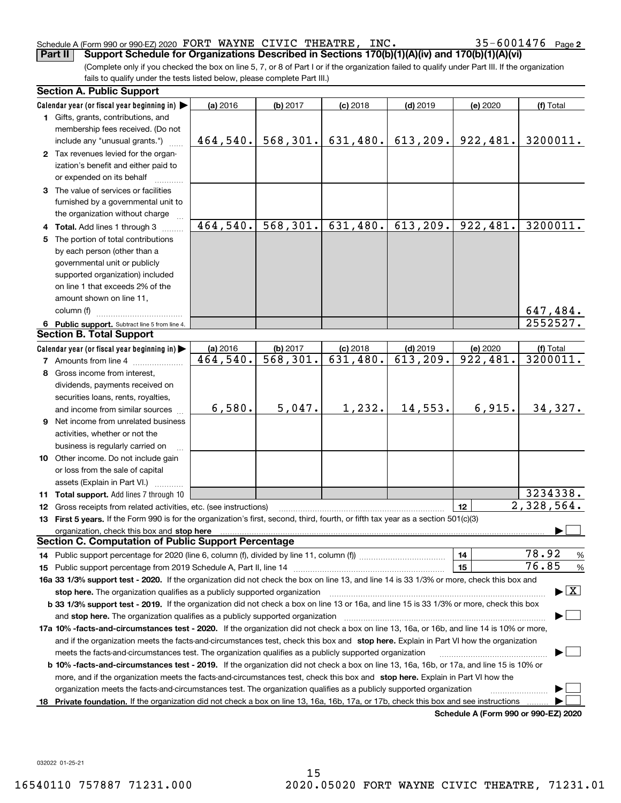#### Schedule A (Form 990 or 990-EZ) 2020 Page FORT WAYNE CIVIC THEATRE, INC. 35-6001476

(Complete only if you checked the box on line 5, 7, or 8 of Part I or if the organization failed to qualify under Part III. If the organization fails to qualify under the tests listed below, please complete Part III.) **Part II** Support Schedule for Organizations Described in Sections 170(b)(1)(A)(iv) and 170(b)(1)(A)(vi)

|    | <b>Section A. Public Support</b>                                                                                                               |                         |                         |            |            |                                      |                                 |
|----|------------------------------------------------------------------------------------------------------------------------------------------------|-------------------------|-------------------------|------------|------------|--------------------------------------|---------------------------------|
|    | Calendar year (or fiscal year beginning in) $\blacktriangleright$                                                                              | (a) 2016                | (b) 2017                | $(c)$ 2018 | $(d)$ 2019 | (e) 2020                             | (f) Total                       |
|    | 1 Gifts, grants, contributions, and                                                                                                            |                         |                         |            |            |                                      |                                 |
|    | membership fees received. (Do not                                                                                                              |                         |                         |            |            |                                      |                                 |
|    | include any "unusual grants.")                                                                                                                 | 464,540.                | 568, 301.               | 631,480.   | 613, 209.  | 922,481.                             | 3200011.                        |
|    | 2 Tax revenues levied for the organ-                                                                                                           |                         |                         |            |            |                                      |                                 |
|    | ization's benefit and either paid to                                                                                                           |                         |                         |            |            |                                      |                                 |
|    | or expended on its behalf                                                                                                                      |                         |                         |            |            |                                      |                                 |
|    | 3 The value of services or facilities                                                                                                          |                         |                         |            |            |                                      |                                 |
|    | furnished by a governmental unit to                                                                                                            |                         |                         |            |            |                                      |                                 |
|    | the organization without charge                                                                                                                |                         |                         |            |            |                                      |                                 |
|    | 4 Total. Add lines 1 through 3                                                                                                                 | 464,540.                | 568,301.                | 631,480.   | 613, 209.  | 922,481.                             | 3200011.                        |
|    | 5 The portion of total contributions                                                                                                           |                         |                         |            |            |                                      |                                 |
|    | by each person (other than a                                                                                                                   |                         |                         |            |            |                                      |                                 |
|    | governmental unit or publicly                                                                                                                  |                         |                         |            |            |                                      |                                 |
|    | supported organization) included                                                                                                               |                         |                         |            |            |                                      |                                 |
|    | on line 1 that exceeds 2% of the                                                                                                               |                         |                         |            |            |                                      |                                 |
|    | amount shown on line 11,                                                                                                                       |                         |                         |            |            |                                      |                                 |
|    | column (f)                                                                                                                                     |                         |                         |            |            |                                      | 647,484.                        |
|    | 6 Public support. Subtract line 5 from line 4.                                                                                                 |                         |                         |            |            |                                      | 2552527.                        |
|    | <b>Section B. Total Support</b>                                                                                                                |                         |                         |            |            |                                      |                                 |
|    | Calendar year (or fiscal year beginning in)                                                                                                    | (a) 2016                | (b) 2017                | $(c)$ 2018 | $(d)$ 2019 | (e) 2020                             | (f) Total                       |
|    | <b>7</b> Amounts from line 4                                                                                                                   | $\overline{464}$ , 540. | $\overline{568}$ , 301. | 631,480.   | 613,209.   | 922,481.                             | 3200011.                        |
|    | 8 Gross income from interest,                                                                                                                  |                         |                         |            |            |                                      |                                 |
|    | dividends, payments received on                                                                                                                |                         |                         |            |            |                                      |                                 |
|    | securities loans, rents, royalties,                                                                                                            |                         |                         |            |            |                                      |                                 |
|    | and income from similar sources                                                                                                                | 6,580.                  | 5,047.                  | 1,232.     | 14,553.    | 6,915.                               | 34,327.                         |
|    | 9 Net income from unrelated business                                                                                                           |                         |                         |            |            |                                      |                                 |
|    | activities, whether or not the                                                                                                                 |                         |                         |            |            |                                      |                                 |
|    | business is regularly carried on                                                                                                               |                         |                         |            |            |                                      |                                 |
|    | <b>10</b> Other income. Do not include gain                                                                                                    |                         |                         |            |            |                                      |                                 |
|    | or loss from the sale of capital                                                                                                               |                         |                         |            |            |                                      |                                 |
|    | assets (Explain in Part VI.) <b>Constant</b>                                                                                                   |                         |                         |            |            |                                      |                                 |
|    | 11 Total support. Add lines 7 through 10                                                                                                       |                         |                         |            |            |                                      | 3234338.                        |
|    | 12 Gross receipts from related activities, etc. (see instructions)                                                                             |                         |                         |            |            | 12                                   | 2,328,564.                      |
|    | 13 First 5 years. If the Form 990 is for the organization's first, second, third, fourth, or fifth tax year as a section 501(c)(3)             |                         |                         |            |            |                                      |                                 |
|    | organization, check this box and stop here                                                                                                     |                         |                         |            |            |                                      |                                 |
|    | <b>Section C. Computation of Public Support Percentage</b>                                                                                     |                         |                         |            |            |                                      |                                 |
|    | 14 Public support percentage for 2020 (line 6, column (f), divided by line 11, column (f) <i>mummumumum</i>                                    |                         |                         |            |            | 14                                   | 78.92<br>$\frac{9}{6}$          |
|    |                                                                                                                                                |                         |                         |            |            | 15                                   | 76.85<br>%                      |
|    | 16a 33 1/3% support test - 2020. If the organization did not check the box on line 13, and line 14 is 33 1/3% or more, check this box and      |                         |                         |            |            |                                      |                                 |
|    | stop here. The organization qualifies as a publicly supported organization                                                                     |                         |                         |            |            |                                      | $\blacktriangleright$ $\vert$ X |
|    | b 33 1/3% support test - 2019. If the organization did not check a box on line 13 or 16a, and line 15 is 33 1/3% or more, check this box       |                         |                         |            |            |                                      |                                 |
|    | and stop here. The organization qualifies as a publicly supported organization                                                                 |                         |                         |            |            |                                      |                                 |
|    | 17a 10% -facts-and-circumstances test - 2020. If the organization did not check a box on line 13, 16a, or 16b, and line 14 is 10% or more,     |                         |                         |            |            |                                      |                                 |
|    | and if the organization meets the facts-and-circumstances test, check this box and stop here. Explain in Part VI how the organization          |                         |                         |            |            |                                      |                                 |
|    | meets the facts-and-circumstances test. The organization qualifies as a publicly supported organization                                        |                         |                         |            |            |                                      |                                 |
|    | <b>b 10% -facts-and-circumstances test - 2019.</b> If the organization did not check a box on line 13, 16a, 16b, or 17a, and line 15 is 10% or |                         |                         |            |            |                                      |                                 |
|    | more, and if the organization meets the facts-and-circumstances test, check this box and stop here. Explain in Part VI how the                 |                         |                         |            |            |                                      |                                 |
|    | organization meets the facts-and-circumstances test. The organization qualifies as a publicly supported organization                           |                         |                         |            |            |                                      |                                 |
| 18 | Private foundation. If the organization did not check a box on line 13, 16a, 16b, 17a, or 17b, check this box and see instructions             |                         |                         |            |            |                                      |                                 |
|    |                                                                                                                                                |                         |                         |            |            | Schedule A (Form 990 or 990-F7) 2020 |                                 |

**Schedule A (Form 990 or 990-EZ) 2020**

032022 01-25-21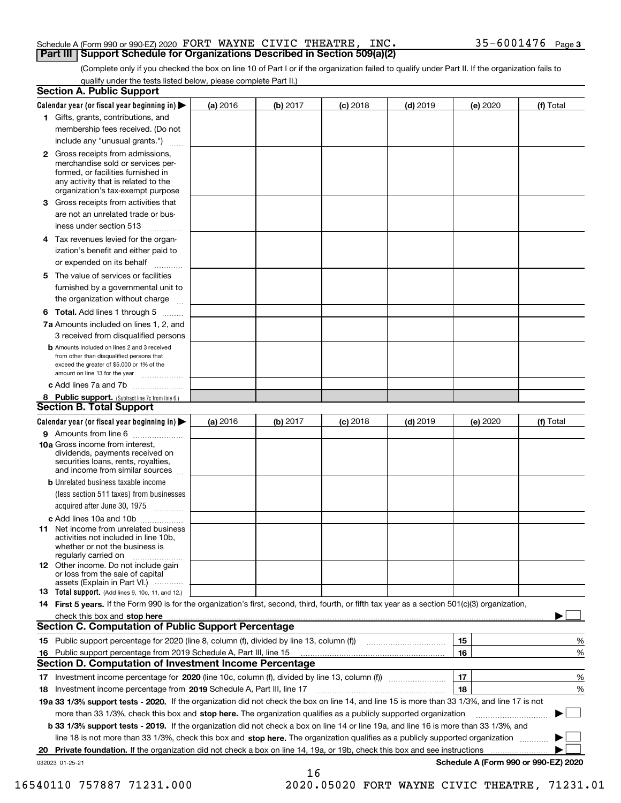#### Schedule A (Form 990 or 990-EZ) 2020 Page FORT WAYNE CIVIC THEATRE, INC. 35-6001476 **Part III Support Schedule for Organizations Described in Section 509(a)(2)**

(Complete only if you checked the box on line 10 of Part I or if the organization failed to qualify under Part II. If the organization fails to qualify under the tests listed below, please complete Part II.)

|    | <b>Section A. Public Support</b>                                                                                                                                                                                                    |          |            |            |            |          |                                      |
|----|-------------------------------------------------------------------------------------------------------------------------------------------------------------------------------------------------------------------------------------|----------|------------|------------|------------|----------|--------------------------------------|
|    | Calendar year (or fiscal year beginning in) $\blacktriangleright$                                                                                                                                                                   | (a) 2016 | (b) $2017$ | $(c)$ 2018 | $(d)$ 2019 | (e) 2020 | (f) Total                            |
|    | 1 Gifts, grants, contributions, and                                                                                                                                                                                                 |          |            |            |            |          |                                      |
|    | membership fees received. (Do not                                                                                                                                                                                                   |          |            |            |            |          |                                      |
|    | include any "unusual grants.")                                                                                                                                                                                                      |          |            |            |            |          |                                      |
|    | <b>2</b> Gross receipts from admissions,<br>merchandise sold or services per-<br>formed, or facilities furnished in<br>any activity that is related to the<br>organization's tax-exempt purpose                                     |          |            |            |            |          |                                      |
|    | 3 Gross receipts from activities that<br>are not an unrelated trade or bus-                                                                                                                                                         |          |            |            |            |          |                                      |
|    | iness under section 513                                                                                                                                                                                                             |          |            |            |            |          |                                      |
|    | 4 Tax revenues levied for the organ-                                                                                                                                                                                                |          |            |            |            |          |                                      |
|    | ization's benefit and either paid to<br>or expended on its behalf                                                                                                                                                                   |          |            |            |            |          |                                      |
|    | 5 The value of services or facilities                                                                                                                                                                                               |          |            |            |            |          |                                      |
|    | furnished by a governmental unit to                                                                                                                                                                                                 |          |            |            |            |          |                                      |
|    | the organization without charge                                                                                                                                                                                                     |          |            |            |            |          |                                      |
|    | <b>6 Total.</b> Add lines 1 through 5                                                                                                                                                                                               |          |            |            |            |          |                                      |
|    | 7a Amounts included on lines 1, 2, and                                                                                                                                                                                              |          |            |            |            |          |                                      |
|    | 3 received from disqualified persons                                                                                                                                                                                                |          |            |            |            |          |                                      |
|    | <b>b</b> Amounts included on lines 2 and 3 received<br>from other than disqualified persons that<br>exceed the greater of \$5,000 or 1% of the<br>amount on line 13 for the year                                                    |          |            |            |            |          |                                      |
|    | c Add lines 7a and 7b                                                                                                                                                                                                               |          |            |            |            |          |                                      |
|    | 8 Public support. (Subtract line 7c from line 6.)                                                                                                                                                                                   |          |            |            |            |          |                                      |
|    | <b>Section B. Total Support</b>                                                                                                                                                                                                     |          |            |            |            |          |                                      |
|    | Calendar year (or fiscal year beginning in)                                                                                                                                                                                         | (a) 2016 | (b) 2017   | $(c)$ 2018 | $(d)$ 2019 | (e) 2020 | (f) Total                            |
|    | 9 Amounts from line 6                                                                                                                                                                                                               |          |            |            |            |          |                                      |
|    | 10a Gross income from interest,<br>dividends, payments received on<br>securities loans, rents, royalties,<br>and income from similar sources                                                                                        |          |            |            |            |          |                                      |
|    | <b>b</b> Unrelated business taxable income                                                                                                                                                                                          |          |            |            |            |          |                                      |
|    | (less section 511 taxes) from businesses                                                                                                                                                                                            |          |            |            |            |          |                                      |
|    | acquired after June 30, 1975<br>$\frac{1}{2}$                                                                                                                                                                                       |          |            |            |            |          |                                      |
|    | c Add lines 10a and 10b                                                                                                                                                                                                             |          |            |            |            |          |                                      |
|    | 11 Net income from unrelated business<br>activities not included in line 10b.<br>whether or not the business is<br>regularly carried on                                                                                             |          |            |            |            |          |                                      |
|    | 12 Other income. Do not include gain<br>or loss from the sale of capital<br>assets (Explain in Part VI.)                                                                                                                            |          |            |            |            |          |                                      |
|    | <b>13</b> Total support. (Add lines 9, 10c, 11, and 12.)                                                                                                                                                                            |          |            |            |            |          |                                      |
|    | 14 First 5 years. If the Form 990 is for the organization's first, second, third, fourth, or fifth tax year as a section 501(c)(3) organization,                                                                                    |          |            |            |            |          |                                      |
|    | check this box and <b>stop here</b> measurement contracts and a structure of the state of the state of the state of the state of the state of the state of the state of the state of the state of the state of the state of the sta |          |            |            |            |          |                                      |
|    | Section C. Computation of Public Support Percentage                                                                                                                                                                                 |          |            |            |            |          |                                      |
|    | 15 Public support percentage for 2020 (line 8, column (f), divided by line 13, column (f))                                                                                                                                          |          |            |            |            | 15       | %                                    |
|    | 16 Public support percentage from 2019 Schedule A, Part III, line 15                                                                                                                                                                |          |            |            |            | 16       | %                                    |
|    | <b>Section D. Computation of Investment Income Percentage</b>                                                                                                                                                                       |          |            |            |            |          |                                      |
|    | 17 Investment income percentage for 2020 (line 10c, column (f), divided by line 13, column (f))                                                                                                                                     |          |            |            |            | 17       | %                                    |
|    | 18 Investment income percentage from 2019 Schedule A, Part III, line 17                                                                                                                                                             |          |            |            |            | 18       | %                                    |
|    | 19a 33 1/3% support tests - 2020. If the organization did not check the box on line 14, and line 15 is more than 33 1/3%, and line 17 is not                                                                                        |          |            |            |            |          |                                      |
|    | more than 33 1/3%, check this box and stop here. The organization qualifies as a publicly supported organization                                                                                                                    |          |            |            |            |          |                                      |
|    | <b>b 33 1/3% support tests - 2019.</b> If the organization did not check a box on line 14 or line 19a, and line 16 is more than 33 1/3%, and                                                                                        |          |            |            |            |          |                                      |
|    | line 18 is not more than 33 1/3%, check this box and stop here. The organization qualifies as a publicly supported organization                                                                                                     |          |            |            |            |          |                                      |
| 20 | <b>Private foundation.</b> If the organization did not check a box on line 14, 19a, or 19b, check this box and see instructions                                                                                                     |          |            |            |            |          |                                      |
|    | 032023 01-25-21                                                                                                                                                                                                                     |          | 16         |            |            |          | Schedule A (Form 990 or 990-EZ) 2020 |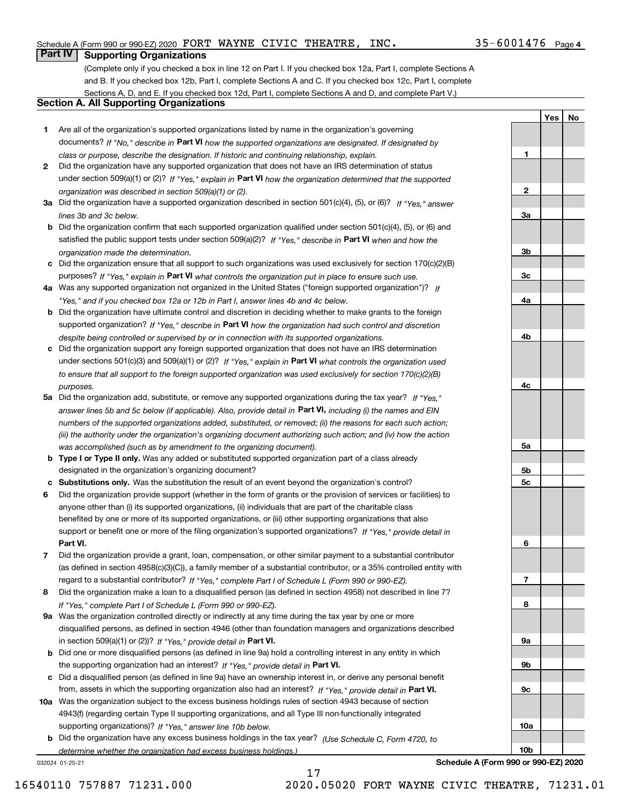**1**

**2**

**3a**

**3b**

**3c**

**4a**

**4b**

**4c**

**5a**

**5b5c**

**6**

**7**

**8**

**9a**

**9b**

**9c**

**10a**

**10b**

**YesNo**

## **Part IV Supporting Organizations**

(Complete only if you checked a box in line 12 on Part I. If you checked box 12a, Part I, complete Sections A and B. If you checked box 12b, Part I, complete Sections A and C. If you checked box 12c, Part I, complete Sections A, D, and E. If you checked box 12d, Part I, complete Sections A and D, and complete Part V.)

### **Section A. All Supporting Organizations**

- **1** Are all of the organization's supported organizations listed by name in the organization's governing documents? If "No," describe in **Part VI** how the supported organizations are designated. If designated by *class or purpose, describe the designation. If historic and continuing relationship, explain.*
- **2** Did the organization have any supported organization that does not have an IRS determination of status under section 509(a)(1) or (2)? If "Yes," explain in Part VI how the organization determined that the supported *organization was described in section 509(a)(1) or (2).*
- **3a** Did the organization have a supported organization described in section 501(c)(4), (5), or (6)? If "Yes," answer *lines 3b and 3c below.*
- **b** Did the organization confirm that each supported organization qualified under section 501(c)(4), (5), or (6) and satisfied the public support tests under section 509(a)(2)? If "Yes," describe in **Part VI** when and how the *organization made the determination.*
- **c**Did the organization ensure that all support to such organizations was used exclusively for section 170(c)(2)(B) purposes? If "Yes," explain in **Part VI** what controls the organization put in place to ensure such use.
- **4a***If* Was any supported organization not organized in the United States ("foreign supported organization")? *"Yes," and if you checked box 12a or 12b in Part I, answer lines 4b and 4c below.*
- **b** Did the organization have ultimate control and discretion in deciding whether to make grants to the foreign supported organization? If "Yes," describe in **Part VI** how the organization had such control and discretion *despite being controlled or supervised by or in connection with its supported organizations.*
- **c** Did the organization support any foreign supported organization that does not have an IRS determination under sections 501(c)(3) and 509(a)(1) or (2)? If "Yes," explain in **Part VI** what controls the organization used *to ensure that all support to the foreign supported organization was used exclusively for section 170(c)(2)(B) purposes.*
- **5a** Did the organization add, substitute, or remove any supported organizations during the tax year? If "Yes," answer lines 5b and 5c below (if applicable). Also, provide detail in **Part VI,** including (i) the names and EIN *numbers of the supported organizations added, substituted, or removed; (ii) the reasons for each such action; (iii) the authority under the organization's organizing document authorizing such action; and (iv) how the action was accomplished (such as by amendment to the organizing document).*
- **b** Type I or Type II only. Was any added or substituted supported organization part of a class already designated in the organization's organizing document?
- **cSubstitutions only.**  Was the substitution the result of an event beyond the organization's control?
- **6** Did the organization provide support (whether in the form of grants or the provision of services or facilities) to **Part VI.** *If "Yes," provide detail in* support or benefit one or more of the filing organization's supported organizations? anyone other than (i) its supported organizations, (ii) individuals that are part of the charitable class benefited by one or more of its supported organizations, or (iii) other supporting organizations that also
- **7**Did the organization provide a grant, loan, compensation, or other similar payment to a substantial contributor *If "Yes," complete Part I of Schedule L (Form 990 or 990-EZ).* regard to a substantial contributor? (as defined in section 4958(c)(3)(C)), a family member of a substantial contributor, or a 35% controlled entity with
- **8** Did the organization make a loan to a disqualified person (as defined in section 4958) not described in line 7? *If "Yes," complete Part I of Schedule L (Form 990 or 990-EZ).*
- **9a** Was the organization controlled directly or indirectly at any time during the tax year by one or more in section 509(a)(1) or (2))? If "Yes," *provide detail in* <code>Part VI.</code> disqualified persons, as defined in section 4946 (other than foundation managers and organizations described
- **b** Did one or more disqualified persons (as defined in line 9a) hold a controlling interest in any entity in which the supporting organization had an interest? If "Yes," provide detail in P**art VI**.
- **c**Did a disqualified person (as defined in line 9a) have an ownership interest in, or derive any personal benefit from, assets in which the supporting organization also had an interest? If "Yes," provide detail in P**art VI.**
- **10a** Was the organization subject to the excess business holdings rules of section 4943 because of section supporting organizations)? If "Yes," answer line 10b below. 4943(f) (regarding certain Type II supporting organizations, and all Type III non-functionally integrated
- **b** Did the organization have any excess business holdings in the tax year? (Use Schedule C, Form 4720, to *determine whether the organization had excess business holdings.)*

17

032024 01-25-21

**Schedule A (Form 990 or 990-EZ) 2020**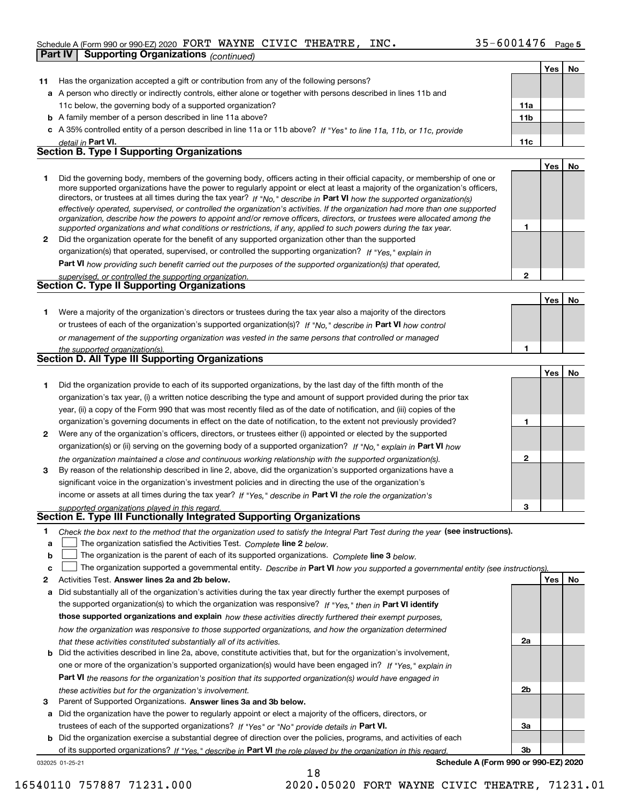#### Schedule A (Form 990 or 990-EZ) 2020 Page FORT WAYNE CIVIC THEATRE, INC. 35-6001476

|         | Part IV | <b>Supporting Organizations</b> (continued)                                                                                                                                                                                                                |                 |     |    |
|---------|---------|------------------------------------------------------------------------------------------------------------------------------------------------------------------------------------------------------------------------------------------------------------|-----------------|-----|----|
|         |         |                                                                                                                                                                                                                                                            |                 | Yes | No |
| 11      |         | Has the organization accepted a gift or contribution from any of the following persons?                                                                                                                                                                    |                 |     |    |
|         |         | a A person who directly or indirectly controls, either alone or together with persons described in lines 11b and                                                                                                                                           |                 |     |    |
|         |         | 11c below, the governing body of a supported organization?                                                                                                                                                                                                 | 11a             |     |    |
|         |         | <b>b</b> A family member of a person described in line 11a above?                                                                                                                                                                                          | 11 <sub>b</sub> |     |    |
|         |         | c A 35% controlled entity of a person described in line 11a or 11b above? If "Yes" to line 11a, 11b, or 11c, provide                                                                                                                                       |                 |     |    |
|         |         | detail in Part VI.                                                                                                                                                                                                                                         | 11c             |     |    |
|         |         | <b>Section B. Type I Supporting Organizations</b>                                                                                                                                                                                                          |                 |     |    |
|         |         |                                                                                                                                                                                                                                                            |                 | Yes | No |
| 1       |         | Did the governing body, members of the governing body, officers acting in their official capacity, or membership of one or                                                                                                                                 |                 |     |    |
|         |         | more supported organizations have the power to regularly appoint or elect at least a majority of the organization's officers,                                                                                                                              |                 |     |    |
|         |         | directors, or trustees at all times during the tax year? If "No," describe in Part VI how the supported organization(s)                                                                                                                                    |                 |     |    |
|         |         | effectively operated, supervised, or controlled the organization's activities. If the organization had more than one supported<br>organization, describe how the powers to appoint and/or remove officers, directors, or trustees were allocated among the |                 |     |    |
|         |         | supported organizations and what conditions or restrictions, if any, applied to such powers during the tax year.                                                                                                                                           | 1               |     |    |
| 2       |         | Did the organization operate for the benefit of any supported organization other than the supported                                                                                                                                                        |                 |     |    |
|         |         | organization(s) that operated, supervised, or controlled the supporting organization? If "Yes," explain in                                                                                                                                                 |                 |     |    |
|         |         | Part VI how providing such benefit carried out the purposes of the supported organization(s) that operated,                                                                                                                                                |                 |     |    |
|         |         | supervised, or controlled the supporting organization.                                                                                                                                                                                                     | 2               |     |    |
|         |         | <b>Section C. Type II Supporting Organizations</b>                                                                                                                                                                                                         |                 |     |    |
|         |         |                                                                                                                                                                                                                                                            |                 | Yes | No |
| 1.      |         | Were a majority of the organization's directors or trustees during the tax year also a majority of the directors                                                                                                                                           |                 |     |    |
|         |         | or trustees of each of the organization's supported organization(s)? If "No," describe in Part VI how control                                                                                                                                              |                 |     |    |
|         |         | or management of the supporting organization was vested in the same persons that controlled or managed                                                                                                                                                     |                 |     |    |
|         |         | the supported organization(s).                                                                                                                                                                                                                             | 1               |     |    |
|         |         | <b>Section D. All Type III Supporting Organizations</b>                                                                                                                                                                                                    |                 |     |    |
|         |         |                                                                                                                                                                                                                                                            |                 | Yes | No |
| 1.      |         | Did the organization provide to each of its supported organizations, by the last day of the fifth month of the                                                                                                                                             |                 |     |    |
|         |         | organization's tax year, (i) a written notice describing the type and amount of support provided during the prior tax                                                                                                                                      |                 |     |    |
|         |         | year, (ii) a copy of the Form 990 that was most recently filed as of the date of notification, and (iii) copies of the                                                                                                                                     |                 |     |    |
|         |         | organization's governing documents in effect on the date of notification, to the extent not previously provided?                                                                                                                                           | 1               |     |    |
| 2       |         | Were any of the organization's officers, directors, or trustees either (i) appointed or elected by the supported                                                                                                                                           |                 |     |    |
|         |         | organization(s) or (ii) serving on the governing body of a supported organization? If "No," explain in Part VI how                                                                                                                                         |                 |     |    |
|         |         | the organization maintained a close and continuous working relationship with the supported organization(s).                                                                                                                                                | 2               |     |    |
| 3       |         | By reason of the relationship described in line 2, above, did the organization's supported organizations have a                                                                                                                                            |                 |     |    |
|         |         | significant voice in the organization's investment policies and in directing the use of the organization's                                                                                                                                                 |                 |     |    |
|         |         | income or assets at all times during the tax year? If "Yes," describe in Part VI the role the organization's                                                                                                                                               |                 |     |    |
|         |         | supported organizations played in this regard.<br>Section E. Type III Functionally Integrated Supporting Organizations                                                                                                                                     | з               |     |    |
|         |         |                                                                                                                                                                                                                                                            |                 |     |    |
| 1.<br>a |         | Check the box next to the method that the organization used to satisfy the Integral Part Test during the year (see instructions).<br>The organization satisfied the Activities Test. Complete line 2 below.                                                |                 |     |    |
| b       |         | The organization is the parent of each of its supported organizations. Complete line 3 below.                                                                                                                                                              |                 |     |    |
| c       |         | The organization supported a governmental entity. Describe in Part VI how you supported a governmental entity (see instructions)                                                                                                                           |                 |     |    |
| 2       |         | Activities Test. Answer lines 2a and 2b below.                                                                                                                                                                                                             |                 | Yes | No |
| а       |         | Did substantially all of the organization's activities during the tax year directly further the exempt purposes of                                                                                                                                         |                 |     |    |
|         |         | the supported organization(s) to which the organization was responsive? If "Yes." then in Part VI identify                                                                                                                                                 |                 |     |    |
|         |         | those supported organizations and explain how these activities directly furthered their exempt purposes,                                                                                                                                                   |                 |     |    |
|         |         | how the organization was responsive to those supported organizations, and how the organization determined                                                                                                                                                  |                 |     |    |
|         |         | that these activities constituted substantially all of its activities.                                                                                                                                                                                     | 2a              |     |    |
| b       |         | Did the activities described in line 2a, above, constitute activities that, but for the organization's involvement,                                                                                                                                        |                 |     |    |
|         |         | one or more of the organization's supported organization(s) would have been engaged in? If "Yes," explain in                                                                                                                                               |                 |     |    |

**Part VI**  *the reasons for the organization's position that its supported organization(s) would have engaged in these activities but for the organization's involvement.*

**3** Parent of Supported Organizations. Answer lines 3a and 3b below.

**a** Did the organization have the power to regularly appoint or elect a majority of the officers, directors, or trustees of each of the supported organizations? If "Yes" or "No" provide details in **Part VI.** 

032025 01-25-21 **b** Did the organization exercise a substantial degree of direction over the policies, programs, and activities of each of its supported organizations? If "Yes," describe in Part VI the role played by the organization in this regard.

**Schedule A (Form 990 or 990-EZ) 2020**

**2b**

**3a**

**3b**

16540110 757887 71231.000 2020.05020 FORT WAYNE CIVIC THEATRE, 71231.01

18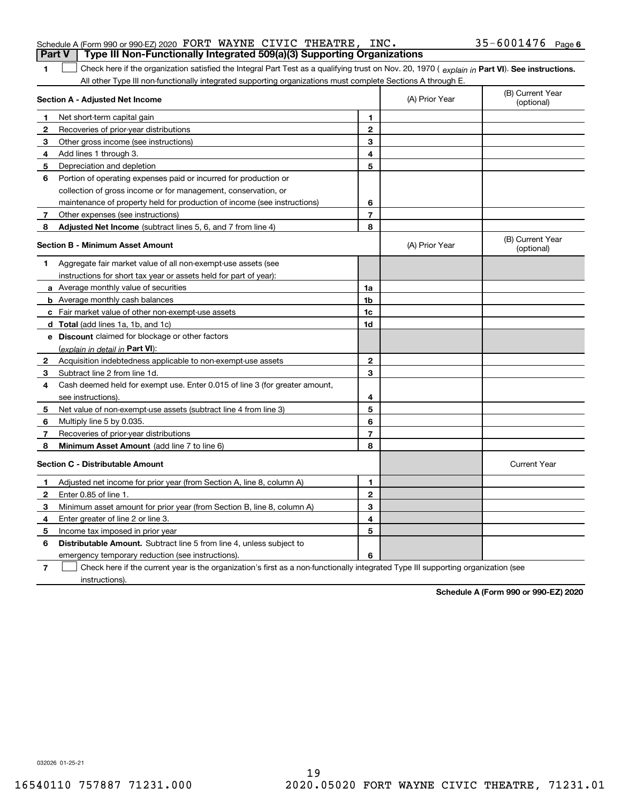| <b>Part V</b>  | Type III Non-Functionally Integrated 509(a)(3) Supporting Organizations                                                                        |                |                                |                                |
|----------------|------------------------------------------------------------------------------------------------------------------------------------------------|----------------|--------------------------------|--------------------------------|
| 1              | Check here if the organization satisfied the Integral Part Test as a qualifying trust on Nov. 20, 1970 (explain in Part VI). See instructions. |                |                                |                                |
|                | All other Type III non-functionally integrated supporting organizations must complete Sections A through E.                                    |                |                                |                                |
|                | Section A - Adjusted Net Income                                                                                                                | (A) Prior Year | (B) Current Year<br>(optional) |                                |
| 1              | Net short-term capital gain                                                                                                                    | 1              |                                |                                |
| $\mathbf{2}$   | Recoveries of prior-year distributions                                                                                                         | $\overline{2}$ |                                |                                |
| 3              | Other gross income (see instructions)                                                                                                          | 3              |                                |                                |
| 4              | Add lines 1 through 3.                                                                                                                         | 4              |                                |                                |
| 5              | Depreciation and depletion                                                                                                                     | 5              |                                |                                |
| 6              | Portion of operating expenses paid or incurred for production or                                                                               |                |                                |                                |
|                | collection of gross income or for management, conservation, or                                                                                 |                |                                |                                |
|                | maintenance of property held for production of income (see instructions)                                                                       | 6              |                                |                                |
| 7 <sup>7</sup> | Other expenses (see instructions)                                                                                                              | $\overline{7}$ |                                |                                |
| 8              | Adjusted Net Income (subtract lines 5, 6, and 7 from line 4)                                                                                   | 8              |                                |                                |
|                | <b>Section B - Minimum Asset Amount</b>                                                                                                        |                | (A) Prior Year                 | (B) Current Year<br>(optional) |
| 1              | Aggregate fair market value of all non-exempt-use assets (see                                                                                  |                |                                |                                |
|                | instructions for short tax year or assets held for part of year):                                                                              |                |                                |                                |
|                | <b>a</b> Average monthly value of securities                                                                                                   | 1a             |                                |                                |
|                | <b>b</b> Average monthly cash balances                                                                                                         | 1 <sub>b</sub> |                                |                                |
|                | c Fair market value of other non-exempt-use assets                                                                                             | 1c             |                                |                                |
|                | d Total (add lines 1a, 1b, and 1c)                                                                                                             | 1d             |                                |                                |
|                | <b>e</b> Discount claimed for blockage or other factors                                                                                        |                |                                |                                |
|                | (explain in detail in Part VI):                                                                                                                |                |                                |                                |
| $\mathbf{2}$   | Acquisition indebtedness applicable to non-exempt-use assets                                                                                   | $\mathbf{2}$   |                                |                                |
| 3.             | Subtract line 2 from line 1d.                                                                                                                  | 3              |                                |                                |
| 4              | Cash deemed held for exempt use. Enter 0.015 of line 3 (for greater amount,                                                                    |                |                                |                                |
|                | see instructions).                                                                                                                             | 4              |                                |                                |
| 5              | Net value of non-exempt-use assets (subtract line 4 from line 3)                                                                               | 5              |                                |                                |
| 6              | Multiply line 5 by 0.035.                                                                                                                      | 6              |                                |                                |
| 7              | Recoveries of prior-year distributions                                                                                                         | 7              |                                |                                |
| 8              | <b>Minimum Asset Amount</b> (add line 7 to line 6)                                                                                             | 8              |                                |                                |
|                | <b>Section C - Distributable Amount</b>                                                                                                        |                |                                | <b>Current Year</b>            |
| 1              | Adjusted net income for prior year (from Section A, line 8, column A)                                                                          | 1              |                                |                                |
| $\mathbf{2}$   | Enter 0.85 of line 1.                                                                                                                          | $\mathbf{2}$   |                                |                                |
| 3              | Minimum asset amount for prior year (from Section B, line 8, column A)                                                                         | 3              |                                |                                |
| 4              | Enter greater of line 2 or line 3.                                                                                                             | 4              |                                |                                |
| 5              | Income tax imposed in prior year                                                                                                               | 5              |                                |                                |
| 6              | <b>Distributable Amount.</b> Subtract line 5 from line 4, unless subject to                                                                    |                |                                |                                |
|                | emergency temporary reduction (see instructions).                                                                                              | 6              |                                |                                |

Check here if the current year is the organization's first as a non-functionally integrated Type III supporting organization (see

**6**

032026 01-25-21

instructions).

**7**

**Schedule A (Form 990 or 990-EZ) 2020**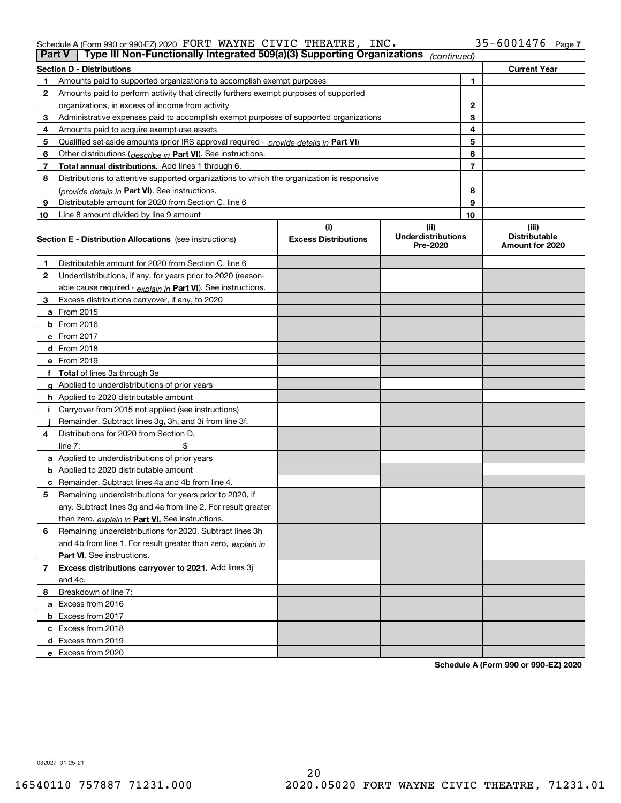#### Schedule A (Form 990 or 990-EZ) 2020 Page FORT WAYNE CIVIC THEATRE, INC. 35-6001476

| Part V         | Type III Non-Functionally Integrated 509(a)(3) Supporting Organizations                    |                                    | (continued)                                   |    |                                                  |
|----------------|--------------------------------------------------------------------------------------------|------------------------------------|-----------------------------------------------|----|--------------------------------------------------|
|                | <b>Section D - Distributions</b>                                                           |                                    |                                               |    | <b>Current Year</b>                              |
| 1.             | Amounts paid to supported organizations to accomplish exempt purposes                      |                                    |                                               | 1  |                                                  |
| 2              | Amounts paid to perform activity that directly furthers exempt purposes of supported       |                                    |                                               |    |                                                  |
|                | organizations, in excess of income from activity                                           |                                    |                                               | 2  |                                                  |
| 3              | Administrative expenses paid to accomplish exempt purposes of supported organizations      |                                    |                                               | 3  |                                                  |
| 4              | Amounts paid to acquire exempt-use assets                                                  |                                    |                                               | 4  |                                                  |
| 5              | Qualified set-aside amounts (prior IRS approval required - provide details in Part VI)     |                                    |                                               | 5  |                                                  |
| 6              | Other distributions ( <i>describe in</i> Part VI). See instructions.                       |                                    |                                               | 6  |                                                  |
| 7              | Total annual distributions. Add lines 1 through 6.                                         |                                    |                                               | 7  |                                                  |
| 8              | Distributions to attentive supported organizations to which the organization is responsive |                                    |                                               |    |                                                  |
|                | (provide details in Part VI). See instructions.                                            |                                    |                                               | 8  |                                                  |
| 9              | Distributable amount for 2020 from Section C, line 6                                       |                                    |                                               | 9  |                                                  |
| 10             | Line 8 amount divided by line 9 amount                                                     |                                    |                                               | 10 |                                                  |
|                | <b>Section E - Distribution Allocations</b> (see instructions)                             | (i)<br><b>Excess Distributions</b> | (ii)<br><b>Underdistributions</b><br>Pre-2020 |    | (iii)<br><b>Distributable</b><br>Amount for 2020 |
| 1              | Distributable amount for 2020 from Section C, line 6                                       |                                    |                                               |    |                                                  |
| 2              | Underdistributions, if any, for years prior to 2020 (reason-                               |                                    |                                               |    |                                                  |
|                | able cause required - explain in Part VI). See instructions.                               |                                    |                                               |    |                                                  |
| 3              | Excess distributions carryover, if any, to 2020                                            |                                    |                                               |    |                                                  |
|                | a From 2015                                                                                |                                    |                                               |    |                                                  |
|                | <b>b</b> From 2016                                                                         |                                    |                                               |    |                                                  |
|                | $c$ From 2017                                                                              |                                    |                                               |    |                                                  |
|                | <b>d</b> From 2018                                                                         |                                    |                                               |    |                                                  |
|                | e From 2019                                                                                |                                    |                                               |    |                                                  |
|                | f Total of lines 3a through 3e                                                             |                                    |                                               |    |                                                  |
|                | g Applied to underdistributions of prior years                                             |                                    |                                               |    |                                                  |
|                | <b>h</b> Applied to 2020 distributable amount                                              |                                    |                                               |    |                                                  |
|                | Carryover from 2015 not applied (see instructions)                                         |                                    |                                               |    |                                                  |
|                | Remainder. Subtract lines 3g, 3h, and 3i from line 3f.                                     |                                    |                                               |    |                                                  |
| 4              | Distributions for 2020 from Section D,                                                     |                                    |                                               |    |                                                  |
|                | line $7:$                                                                                  |                                    |                                               |    |                                                  |
|                | a Applied to underdistributions of prior years                                             |                                    |                                               |    |                                                  |
|                | <b>b</b> Applied to 2020 distributable amount                                              |                                    |                                               |    |                                                  |
|                | c Remainder. Subtract lines 4a and 4b from line 4.                                         |                                    |                                               |    |                                                  |
| 5              | Remaining underdistributions for years prior to 2020, if                                   |                                    |                                               |    |                                                  |
|                | any. Subtract lines 3g and 4a from line 2. For result greater                              |                                    |                                               |    |                                                  |
|                | than zero, explain in Part VI. See instructions.                                           |                                    |                                               |    |                                                  |
| 6              | Remaining underdistributions for 2020. Subtract lines 3h                                   |                                    |                                               |    |                                                  |
|                | and 4b from line 1. For result greater than zero, explain in                               |                                    |                                               |    |                                                  |
|                | Part VI. See instructions.                                                                 |                                    |                                               |    |                                                  |
| $\overline{7}$ | Excess distributions carryover to 2021. Add lines 3j                                       |                                    |                                               |    |                                                  |
|                | and 4c.                                                                                    |                                    |                                               |    |                                                  |
| 8              | Breakdown of line 7:                                                                       |                                    |                                               |    |                                                  |
|                | a Excess from 2016                                                                         |                                    |                                               |    |                                                  |
|                | <b>b</b> Excess from 2017                                                                  |                                    |                                               |    |                                                  |
|                | c Excess from 2018                                                                         |                                    |                                               |    |                                                  |
|                | d Excess from 2019                                                                         |                                    |                                               |    |                                                  |
|                | e Excess from 2020                                                                         |                                    |                                               |    |                                                  |

**Schedule A (Form 990 or 990-EZ) 2020**

032027 01-25-21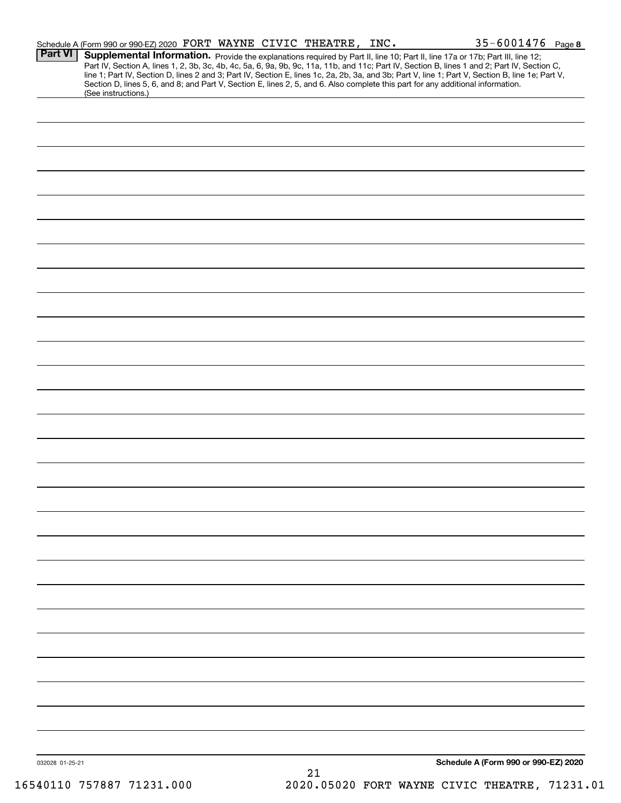|                 | Schedule A (Form 990 or 990-EZ) 2020 FORT WAYNE CIVIC THEATRE, INC. |  |    | $35 - 6001476$ Page 8                                                                                                                                                                                                                                                                                                                                                                                                                                                                                                                                                |
|-----------------|---------------------------------------------------------------------|--|----|----------------------------------------------------------------------------------------------------------------------------------------------------------------------------------------------------------------------------------------------------------------------------------------------------------------------------------------------------------------------------------------------------------------------------------------------------------------------------------------------------------------------------------------------------------------------|
| <b>Part VI</b>  | (See instructions.)                                                 |  |    | Supplemental Information. Provide the explanations required by Part II, line 10; Part II, line 17a or 17b; Part III, line 12;<br>Part IV, Section A, lines 1, 2, 3b, 3c, 4b, 4c, 5a, 6, 9a, 9b, 9c, 11a, 11b, and 11c; Part IV, Section B, lines 1 and 2; Part IV, Section C,<br>line 1; Part IV, Section D, lines 2 and 3; Part IV, Section E, lines 1c, 2a, 2b, 3a, and 3b; Part V, line 1; Part V, Section B, line 1e; Part V,<br>Section D, lines 5, 6, and 8; and Part V, Section E, lines 2, 5, and 6. Also complete this part for any additional information. |
|                 |                                                                     |  |    |                                                                                                                                                                                                                                                                                                                                                                                                                                                                                                                                                                      |
|                 |                                                                     |  |    |                                                                                                                                                                                                                                                                                                                                                                                                                                                                                                                                                                      |
|                 |                                                                     |  |    |                                                                                                                                                                                                                                                                                                                                                                                                                                                                                                                                                                      |
|                 |                                                                     |  |    |                                                                                                                                                                                                                                                                                                                                                                                                                                                                                                                                                                      |
|                 |                                                                     |  |    |                                                                                                                                                                                                                                                                                                                                                                                                                                                                                                                                                                      |
|                 |                                                                     |  |    |                                                                                                                                                                                                                                                                                                                                                                                                                                                                                                                                                                      |
|                 |                                                                     |  |    |                                                                                                                                                                                                                                                                                                                                                                                                                                                                                                                                                                      |
|                 |                                                                     |  |    |                                                                                                                                                                                                                                                                                                                                                                                                                                                                                                                                                                      |
|                 |                                                                     |  |    |                                                                                                                                                                                                                                                                                                                                                                                                                                                                                                                                                                      |
|                 |                                                                     |  |    |                                                                                                                                                                                                                                                                                                                                                                                                                                                                                                                                                                      |
|                 |                                                                     |  |    |                                                                                                                                                                                                                                                                                                                                                                                                                                                                                                                                                                      |
|                 |                                                                     |  |    |                                                                                                                                                                                                                                                                                                                                                                                                                                                                                                                                                                      |
|                 |                                                                     |  |    |                                                                                                                                                                                                                                                                                                                                                                                                                                                                                                                                                                      |
|                 |                                                                     |  |    |                                                                                                                                                                                                                                                                                                                                                                                                                                                                                                                                                                      |
|                 |                                                                     |  |    |                                                                                                                                                                                                                                                                                                                                                                                                                                                                                                                                                                      |
|                 |                                                                     |  |    |                                                                                                                                                                                                                                                                                                                                                                                                                                                                                                                                                                      |
|                 |                                                                     |  |    |                                                                                                                                                                                                                                                                                                                                                                                                                                                                                                                                                                      |
|                 |                                                                     |  |    |                                                                                                                                                                                                                                                                                                                                                                                                                                                                                                                                                                      |
|                 |                                                                     |  |    |                                                                                                                                                                                                                                                                                                                                                                                                                                                                                                                                                                      |
|                 |                                                                     |  |    |                                                                                                                                                                                                                                                                                                                                                                                                                                                                                                                                                                      |
|                 |                                                                     |  |    |                                                                                                                                                                                                                                                                                                                                                                                                                                                                                                                                                                      |
|                 |                                                                     |  |    |                                                                                                                                                                                                                                                                                                                                                                                                                                                                                                                                                                      |
|                 |                                                                     |  |    |                                                                                                                                                                                                                                                                                                                                                                                                                                                                                                                                                                      |
|                 |                                                                     |  |    |                                                                                                                                                                                                                                                                                                                                                                                                                                                                                                                                                                      |
|                 |                                                                     |  |    |                                                                                                                                                                                                                                                                                                                                                                                                                                                                                                                                                                      |
|                 |                                                                     |  |    |                                                                                                                                                                                                                                                                                                                                                                                                                                                                                                                                                                      |
|                 |                                                                     |  |    |                                                                                                                                                                                                                                                                                                                                                                                                                                                                                                                                                                      |
|                 |                                                                     |  |    |                                                                                                                                                                                                                                                                                                                                                                                                                                                                                                                                                                      |
|                 |                                                                     |  |    |                                                                                                                                                                                                                                                                                                                                                                                                                                                                                                                                                                      |
|                 |                                                                     |  |    |                                                                                                                                                                                                                                                                                                                                                                                                                                                                                                                                                                      |
| 032028 01-25-21 |                                                                     |  | 21 | Schedule A (Form 990 or 990-EZ) 2020                                                                                                                                                                                                                                                                                                                                                                                                                                                                                                                                 |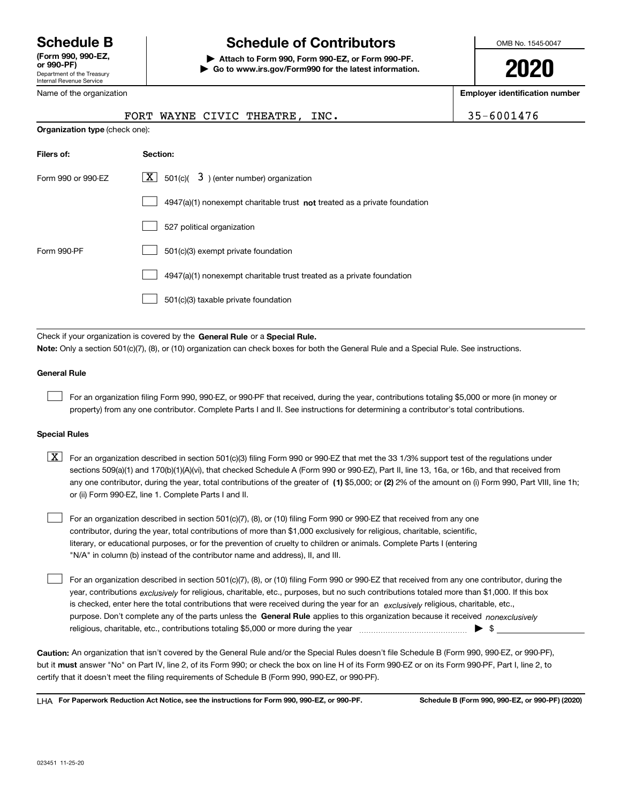Department of the Treasury Internal Revenue Service **(Form 990, 990-EZ, or 990-PF)**

Name of the organization

# **Schedule B Schedule of Contributors**

**| Attach to Form 990, Form 990-EZ, or Form 990-PF. | Go to www.irs.gov/Form990 for the latest information.** OMB No. 1545-0047

**2020**

**Employer identification number**

|                                       | FORT WAYNE CIVIC THEATRE, INC.                                                     | 35-6001476 |
|---------------------------------------|------------------------------------------------------------------------------------|------------|
| <b>Organization type</b> (check one): |                                                                                    |            |
| Filers of:                            | Section:                                                                           |            |
| Form 990 or 990-EZ                    | $\boxed{\mathbf{X}}$ 501(c)( 3) (enter number) organization                        |            |
|                                       | $4947(a)(1)$ nonexempt charitable trust <b>not</b> treated as a private foundation |            |
|                                       | 527 political organization                                                         |            |

|             | 527 political organization                                            |
|-------------|-----------------------------------------------------------------------|
| Form 990-PF | 501(c)(3) exempt private foundation                                   |
|             | 4947(a)(1) nonexempt charitable trust treated as a private foundation |
|             | 501(c)(3) taxable private foundation                                  |

Check if your organization is covered by the **General Rule** or a **Special Rule. Note:**  Only a section 501(c)(7), (8), or (10) organization can check boxes for both the General Rule and a Special Rule. See instructions.

#### **General Rule**

 $\mathcal{L}^{\text{max}}$ 

For an organization filing Form 990, 990-EZ, or 990-PF that received, during the year, contributions totaling \$5,000 or more (in money or property) from any one contributor. Complete Parts I and II. See instructions for determining a contributor's total contributions.

#### **Special Rules**

any one contributor, during the year, total contributions of the greater of  $\,$  (1) \$5,000; or **(2)** 2% of the amount on (i) Form 990, Part VIII, line 1h;  $\boxed{\textbf{X}}$  For an organization described in section 501(c)(3) filing Form 990 or 990-EZ that met the 33 1/3% support test of the regulations under sections 509(a)(1) and 170(b)(1)(A)(vi), that checked Schedule A (Form 990 or 990-EZ), Part II, line 13, 16a, or 16b, and that received from or (ii) Form 990-EZ, line 1. Complete Parts I and II.

For an organization described in section 501(c)(7), (8), or (10) filing Form 990 or 990-EZ that received from any one contributor, during the year, total contributions of more than \$1,000 exclusively for religious, charitable, scientific, literary, or educational purposes, or for the prevention of cruelty to children or animals. Complete Parts I (entering "N/A" in column (b) instead of the contributor name and address), II, and III.  $\mathcal{L}^{\text{max}}$ 

purpose. Don't complete any of the parts unless the **General Rule** applies to this organization because it received *nonexclusively* year, contributions <sub>exclusively</sub> for religious, charitable, etc., purposes, but no such contributions totaled more than \$1,000. If this box is checked, enter here the total contributions that were received during the year for an  $\;$ exclusively religious, charitable, etc., For an organization described in section 501(c)(7), (8), or (10) filing Form 990 or 990-EZ that received from any one contributor, during the religious, charitable, etc., contributions totaling \$5,000 or more during the year  $\Box$ — $\Box$   $\Box$  $\mathcal{L}^{\text{max}}$ 

**Caution:**  An organization that isn't covered by the General Rule and/or the Special Rules doesn't file Schedule B (Form 990, 990-EZ, or 990-PF),  **must** but it answer "No" on Part IV, line 2, of its Form 990; or check the box on line H of its Form 990-EZ or on its Form 990-PF, Part I, line 2, to certify that it doesn't meet the filing requirements of Schedule B (Form 990, 990-EZ, or 990-PF).

**For Paperwork Reduction Act Notice, see the instructions for Form 990, 990-EZ, or 990-PF. Schedule B (Form 990, 990-EZ, or 990-PF) (2020)** LHA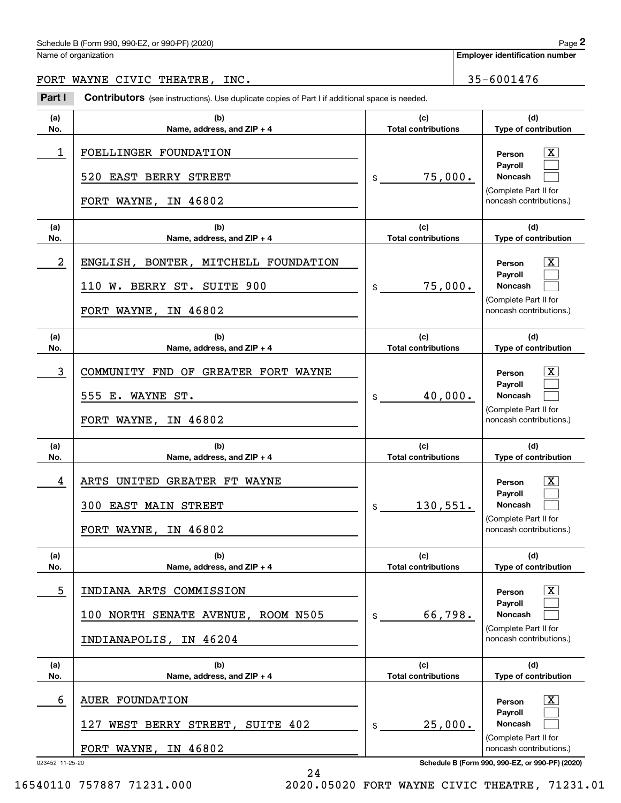## Schedule B (Form 990, 990-EZ, or 990-PF) (2020) Page 2

Name of organization

**Employer identification number**

## FORT WAYNE CIVIC THEATRE, INC. 40 | 35-6001476

Chedule B (Form 990, 990-EZ, or 990-PF) (2020)<br>
lame of organization<br> **2Part I Contributors** (see instructions). Use duplicate copies of Part I if additional space is needed.<br> **2Part I Contributors** (see instructions). Use

| (a)        | (b)                                                                                                                    | (c)                                         | (d)                                                                                                                                 |
|------------|------------------------------------------------------------------------------------------------------------------------|---------------------------------------------|-------------------------------------------------------------------------------------------------------------------------------------|
| No.        | Name, address, and ZIP + 4                                                                                             | <b>Total contributions</b>                  | Type of contribution                                                                                                                |
| 1          | FOELLINGER FOUNDATION<br>520 EAST BERRY STREET<br>IN 46802<br>FORT WAYNE,                                              | 75,000.<br>\$                               | $\overline{\text{X}}$<br>Person<br>Payroll<br><b>Noncash</b><br>(Complete Part II for<br>noncash contributions.)                    |
| (a)<br>No. | (b)<br>Name, address, and ZIP + 4                                                                                      | (c)<br><b>Total contributions</b>           | (d)<br>Type of contribution                                                                                                         |
| 2          | ENGLISH, BONTER, MITCHELL FOUNDATION<br>110 W. BERRY ST. SUITE 900<br>IN 46802<br>FORT WAYNE,                          | 75,000.<br>$\frac{1}{2}$                    | $\overline{\text{X}}$<br>Person<br>Payroll<br><b>Noncash</b><br>(Complete Part II for<br>noncash contributions.)                    |
| (a)<br>No. | (b)<br>Name, address, and ZIP + 4                                                                                      | (c)<br><b>Total contributions</b>           | (d)<br>Type of contribution                                                                                                         |
| 3          | COMMUNITY FND OF GREATER FORT WAYNE<br>555 E. WAYNE ST.<br>IN 46802<br>FORT WAYNE,                                     | 40,000.<br>$\frac{1}{2}$                    | $\overline{\text{X}}$<br>Person<br>Payroll<br><b>Noncash</b><br>(Complete Part II for<br>noncash contributions.)                    |
| (a)<br>No. | (b)<br>Name, address, and ZIP + 4                                                                                      | (c)<br><b>Total contributions</b>           | (d)<br>Type of contribution                                                                                                         |
| 4          | ARTS UNITED GREATER FT WAYNE                                                                                           |                                             | $\overline{\text{X}}$<br>Person                                                                                                     |
|            | 300 EAST MAIN STREET<br>IN 46802<br>FORT WAYNE,                                                                        | 130,551.<br>$\mathsf{\$}$                   | Payroll<br><b>Noncash</b><br>(Complete Part II for<br>noncash contributions.)                                                       |
| (a)<br>No. | (b)<br>Name, address, and ZIP + 4                                                                                      | (c)<br><b>Total contributions</b>           | (d)<br>Type of contribution                                                                                                         |
| 5          | INDIANA ARTS COMMISSION<br>100 NORTH SENATE AVENUE, ROOM N505<br>INDIANAPOLIS, IN 46204                                | 66,798.<br>\$                               | $\overline{\texttt{X}}$<br>Person<br>Payroll<br>Noncash<br>(Complete Part II for<br>noncash contributions.)                         |
| (a)        | (b)                                                                                                                    | (c)                                         | (d)                                                                                                                                 |
| No.<br>6   | Name, address, and ZIP + 4<br><b>AUER FOUNDATION</b><br>127<br>WEST BERRY STREET, SUITE 402<br>IN 46802<br>FORT WAYNE, | <b>Total contributions</b><br>25,000.<br>\$ | Type of contribution<br>$\overline{\texttt{X}}$<br>Person<br>Payroll<br>Noncash<br>(Complete Part II for<br>noncash contributions.) |

24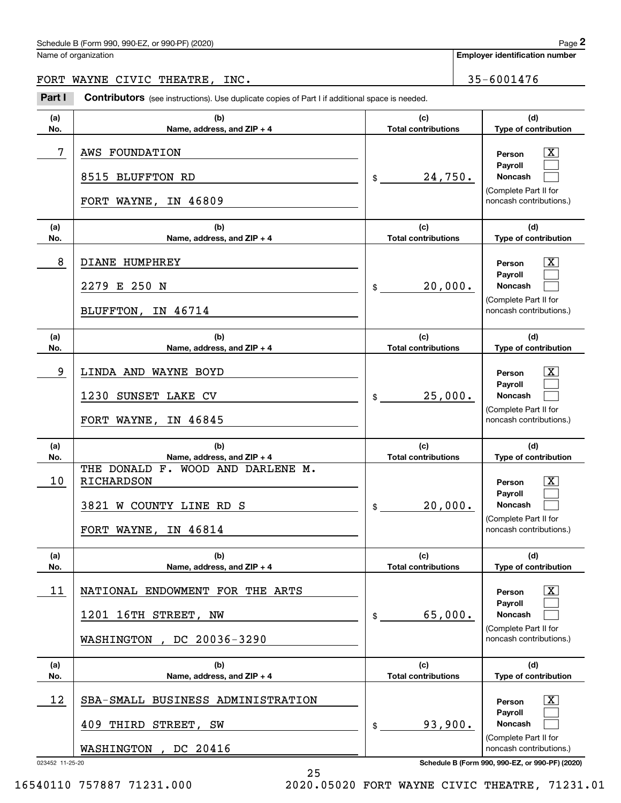## Schedule B (Form 990, 990-EZ, or 990-PF) (2020) Page 2

Name of organization

**Employer identification number**

## FORT WAYNE CIVIC THEATRE, INC. 40 | 35-6001476

Chedule B (Form 990, 990-EZ, or 990-PF) (2020)<br>
lame of organization<br> **2Part I Contributors** (see instructions). Use duplicate copies of Part I if additional space is needed.<br> **2Part I Contributors** (see instructions). Use

| (a)<br>No. | (b)<br>Name, address, and ZIP + 4                                                                        | (c)<br><b>Total contributions</b> | (d)<br>Type of contribution                                                                  |
|------------|----------------------------------------------------------------------------------------------------------|-----------------------------------|----------------------------------------------------------------------------------------------|
| 7          | AWS FOUNDATION<br>8515<br><b>BLUFFTON RD</b><br>FORT WAYNE,<br>IN 46809                                  | 24,750.<br>\$                     | х<br>Person<br>Payroll<br>Noncash<br>(Complete Part II for<br>noncash contributions.)        |
| (a)<br>No. | (b)<br>Name, address, and ZIP + 4                                                                        | (c)<br><b>Total contributions</b> | (d)<br>Type of contribution                                                                  |
| 8          | DIANE HUMPHREY<br>E 250 N<br>2279<br>IN 46714<br>BLUFFTON,                                               | 20,000.<br>\$                     | х<br>Person<br>Payroll<br>Noncash<br>(Complete Part II for<br>noncash contributions.)        |
| (a)<br>No. | (b)<br>Name, address, and ZIP + 4                                                                        | (c)<br><b>Total contributions</b> | (d)<br>Type of contribution                                                                  |
| 9          | LINDA AND WAYNE BOYD<br>1230<br>SUNSET LAKE CV<br>FORT WAYNE,<br>IN 46845                                | 25,000.<br>\$                     | х<br>Person<br>Payroll<br><b>Noncash</b><br>(Complete Part II for<br>noncash contributions.) |
| (a)<br>No. | (b)<br>Name, address, and ZIP + 4                                                                        | (c)<br><b>Total contributions</b> | (d)<br>Type of contribution                                                                  |
| 10         | THE DONALD F. WOOD AND DARLENE M.<br>RICHARDSON<br>3821<br>W COUNTY LINE RD S<br>IN 46814<br>FORT WAYNE, | 20,000.<br>\$                     | х<br>Person<br>Payroll<br>Noncash<br>(Complete Part II for<br>noncash contributions.)        |
| (a)<br>No. | (b)<br>Name, address, and ZIP + 4                                                                        | (c)<br><b>Total contributions</b> | (d)<br>Type of contribution                                                                  |
| 11         | NATIONAL ENDOWMENT FOR THE ARTS<br>1201 16TH STREET, NW<br>DC 20036-3290<br>WASHINGTON                   | 65,000.<br>\$                     | х<br>Person<br>Payroll<br>Noncash<br>(Complete Part II for<br>noncash contributions.)        |
| (a)<br>No. | (b)<br>Name, address, and ZIP + 4                                                                        | (c)<br><b>Total contributions</b> | (d)<br>Type of contribution                                                                  |
| 12         | SBA-SMALL BUSINESS ADMINISTRATION<br>409 THIRD STREET, SW<br>DC 20416<br>WASHINGTON                      | 93,900.<br>\$                     | х<br>Person<br>Payroll<br>Noncash<br>(Complete Part II for<br>noncash contributions.)        |
|            |                                                                                                          |                                   |                                                                                              |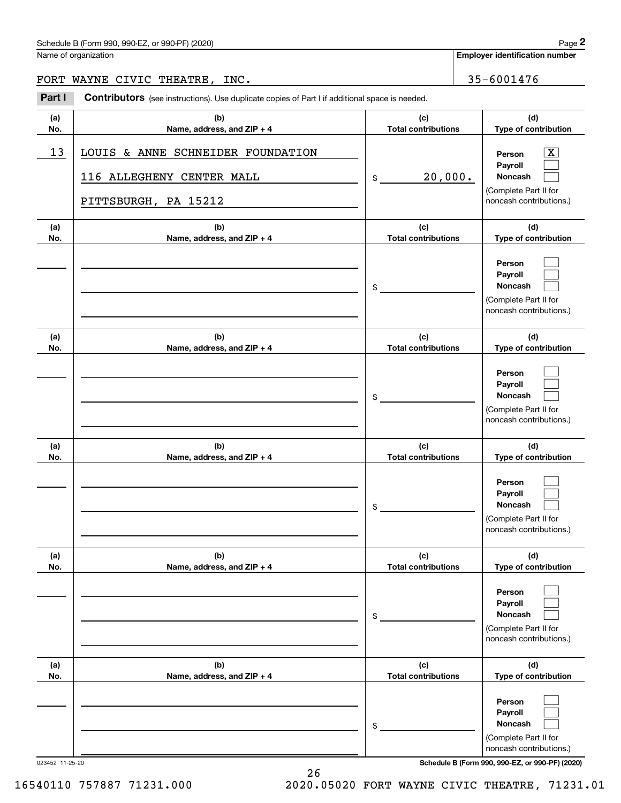## Schedule B (Form 990, 990-EZ, or 990-PF) (2020) Page 2

Name of organization

FORT WAYNE CIVIC THEATRE, INC.  $\vert$  35-6001476

Chedule B (Form 990, 990-EZ, or 990-PF) (2020)<br>
lame of organization<br> **2Part I Contributors** (see instructions). Use duplicate copies of Part I if additional space is needed.<br> **2Part I Contributors** (see instructions). Use

| (a)             | (b)                                                                                    | (c)                              | (d)                                                                                                             |
|-----------------|----------------------------------------------------------------------------------------|----------------------------------|-----------------------------------------------------------------------------------------------------------------|
| No.             | Name, address, and ZIP + 4                                                             | <b>Total contributions</b>       | Type of contribution                                                                                            |
| 13              | LOUIS & ANNE SCHNEIDER FOUNDATION<br>116 ALLEGHENY CENTER MALL<br>PITTSBURGH, PA 15212 | 20,000.<br>\$                    | Person<br>Payroll<br>Noncash<br>(Complete Part II for<br>noncash contributions.)                                |
| (a)             | (b)                                                                                    | (c)                              | (d)                                                                                                             |
| No.             | Name, address, and ZIP + 4                                                             | <b>Total contributions</b>       | Type of contribution                                                                                            |
|                 |                                                                                        | \$                               | Person<br>Payroll<br>Noncash<br>(Complete Part II for<br>noncash contributions.)                                |
| (a)             | (b)                                                                                    | (c)                              | (d)                                                                                                             |
| No.             | Name, address, and ZIP + 4                                                             | <b>Total contributions</b>       | Type of contribution                                                                                            |
|                 |                                                                                        | \$                               | Person<br>Payroll<br>Noncash<br>(Complete Part II for<br>noncash contributions.)                                |
| (a)             | (b)                                                                                    | (c)                              | (d)                                                                                                             |
| No.             | Name, address, and ZIP + 4                                                             | <b>Total contributions</b><br>\$ | Type of contribution<br>Person<br>Payroll<br><b>Noncash</b><br>(Complete Part II for<br>noncash contributions.) |
| (a)             | (b)                                                                                    | (c)                              | (d)                                                                                                             |
| No.             | Name, address, and $ZIP + 4$                                                           | Total contributions<br>\$        | <b>Type of contribution</b><br>Person<br>Payroll<br>Noncash<br>(Complete Part II for<br>noncash contributions.) |
| (a)             | (b)                                                                                    | (c)                              | (d)                                                                                                             |
| No.             | Name, address, and ZIP + 4                                                             | <b>Total contributions</b>       | Type of contribution                                                                                            |
|                 |                                                                                        | \$                               | Person<br>Payroll<br>Noncash<br>(Complete Part II for<br>noncash contributions.)                                |
| 023452 11-25-20 |                                                                                        |                                  | Schedule B (Form 990, 990-EZ, or 990-PF) (2020)                                                                 |

16540110 757887 71231.000 2020.05020 FORT WAYNE CIVIC THEATRE, 71231.01

26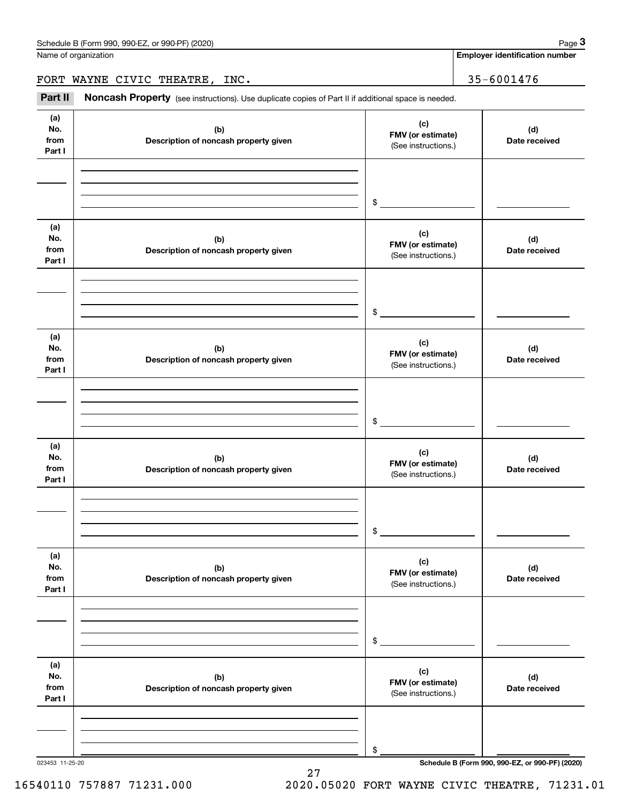Name of organization

**Employer identification number**

FORT WAYNE CIVIC THEATRE, INC. 40 | 35-6001476

Chedule B (Form 990, 990-EZ, or 990-PF) (2020)<br> **2020 Alame of organization**<br> **3Part II if additional space is needed.**<br> **299-6001476** MAYNE CIVIC THEATRE, INC.<br> **Part II Noncash Property** (see instructions). Use duplicate

| (a)<br>No.<br>from<br>Part I | (b)<br>Description of noncash property given | (c)<br>FMV (or estimate)<br>(See instructions.) | (d)<br>Date received |
|------------------------------|----------------------------------------------|-------------------------------------------------|----------------------|
|                              |                                              |                                                 |                      |
|                              |                                              |                                                 |                      |
|                              |                                              | $\frac{1}{2}$                                   |                      |
|                              |                                              |                                                 |                      |
| (a)<br>No.<br>from<br>Part I | (b)<br>Description of noncash property given | (c)<br>FMV (or estimate)<br>(See instructions.) | (d)<br>Date received |
|                              |                                              |                                                 |                      |
|                              |                                              |                                                 |                      |
|                              |                                              | $\frac{1}{2}$                                   |                      |
|                              |                                              |                                                 |                      |
| (a)<br>No.<br>from<br>Part I | (b)<br>Description of noncash property given | (c)<br>FMV (or estimate)<br>(See instructions.) | (d)<br>Date received |
|                              |                                              |                                                 |                      |
|                              |                                              |                                                 |                      |
|                              |                                              | $\frac{1}{2}$                                   |                      |
|                              |                                              |                                                 |                      |
| (a)<br>No.<br>from<br>Part I | (b)<br>Description of noncash property given | (c)<br>FMV (or estimate)<br>(See instructions.) | (d)<br>Date received |
|                              |                                              |                                                 |                      |
|                              |                                              |                                                 |                      |
|                              |                                              | $\frac{1}{2}$                                   |                      |
|                              |                                              |                                                 |                      |
| (a)<br>No.<br>from<br>Part I | (b)<br>Description of noncash property given | (c)<br>FMV (or estimate)<br>(See instructions.) | (d)<br>Date received |
|                              |                                              |                                                 |                      |
|                              |                                              |                                                 |                      |
|                              |                                              | \$                                              |                      |
|                              |                                              |                                                 |                      |
| (a)<br>No.<br>from<br>Part I | (b)<br>Description of noncash property given | (c)<br>FMV (or estimate)<br>(See instructions.) | (d)<br>Date received |
|                              |                                              |                                                 |                      |
|                              |                                              |                                                 |                      |
|                              |                                              | \$                                              |                      |
|                              |                                              |                                                 |                      |

27

023453 11-25-20 **Schedule B (Form 990, 990-EZ, or 990-PF) (2020)**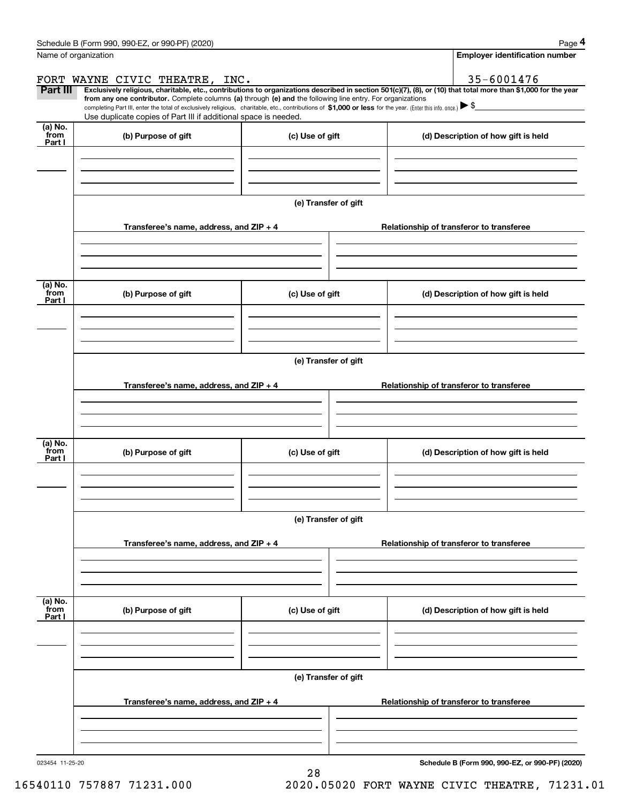|                            | Schedule B (Form 990, 990-EZ, or 990-PF) (2020)                                                                                                                                                                                                      |                                       | Page 4                                                                                                                                                         |  |  |  |  |  |
|----------------------------|------------------------------------------------------------------------------------------------------------------------------------------------------------------------------------------------------------------------------------------------------|---------------------------------------|----------------------------------------------------------------------------------------------------------------------------------------------------------------|--|--|--|--|--|
|                            | Name of organization                                                                                                                                                                                                                                 | <b>Employer identification number</b> |                                                                                                                                                                |  |  |  |  |  |
|                            | FORT WAYNE CIVIC THEATRE, INC.                                                                                                                                                                                                                       |                                       | 35-6001476                                                                                                                                                     |  |  |  |  |  |
| Part III                   | from any one contributor. Complete columns (a) through (e) and the following line entry. For organizations                                                                                                                                           |                                       | Exclusively religious, charitable, etc., contributions to organizations described in section 501(c)(7), (8), or (10) that total more than \$1,000 for the year |  |  |  |  |  |
|                            | completing Part III, enter the total of exclusively religious, charitable, etc., contributions of \$1,000 or less for the year. (Enter this info. once.) $\blacktriangleright$ \$<br>Use duplicate copies of Part III if additional space is needed. |                                       |                                                                                                                                                                |  |  |  |  |  |
| (a) No.                    |                                                                                                                                                                                                                                                      |                                       |                                                                                                                                                                |  |  |  |  |  |
| from<br>Part I             | (b) Purpose of gift<br>(c) Use of gift                                                                                                                                                                                                               |                                       | (d) Description of how gift is held                                                                                                                            |  |  |  |  |  |
|                            |                                                                                                                                                                                                                                                      |                                       |                                                                                                                                                                |  |  |  |  |  |
|                            |                                                                                                                                                                                                                                                      |                                       |                                                                                                                                                                |  |  |  |  |  |
|                            |                                                                                                                                                                                                                                                      |                                       |                                                                                                                                                                |  |  |  |  |  |
|                            |                                                                                                                                                                                                                                                      | (e) Transfer of gift                  |                                                                                                                                                                |  |  |  |  |  |
|                            | Transferee's name, address, and ZIP + 4                                                                                                                                                                                                              |                                       | Relationship of transferor to transferee                                                                                                                       |  |  |  |  |  |
|                            |                                                                                                                                                                                                                                                      |                                       |                                                                                                                                                                |  |  |  |  |  |
|                            |                                                                                                                                                                                                                                                      |                                       |                                                                                                                                                                |  |  |  |  |  |
| (a) No.                    |                                                                                                                                                                                                                                                      |                                       |                                                                                                                                                                |  |  |  |  |  |
| from<br>Part I             | (b) Purpose of gift                                                                                                                                                                                                                                  | (c) Use of gift                       | (d) Description of how gift is held                                                                                                                            |  |  |  |  |  |
|                            |                                                                                                                                                                                                                                                      |                                       |                                                                                                                                                                |  |  |  |  |  |
|                            |                                                                                                                                                                                                                                                      |                                       |                                                                                                                                                                |  |  |  |  |  |
|                            |                                                                                                                                                                                                                                                      |                                       |                                                                                                                                                                |  |  |  |  |  |
|                            | (e) Transfer of gift                                                                                                                                                                                                                                 |                                       |                                                                                                                                                                |  |  |  |  |  |
|                            | Transferee's name, address, and ZIP + 4                                                                                                                                                                                                              |                                       | Relationship of transferor to transferee                                                                                                                       |  |  |  |  |  |
|                            |                                                                                                                                                                                                                                                      |                                       |                                                                                                                                                                |  |  |  |  |  |
|                            |                                                                                                                                                                                                                                                      |                                       |                                                                                                                                                                |  |  |  |  |  |
|                            |                                                                                                                                                                                                                                                      |                                       |                                                                                                                                                                |  |  |  |  |  |
| (a) No.<br>from<br>Part I  | (b) Purpose of gift                                                                                                                                                                                                                                  | (c) Use of gift                       | (d) Description of how gift is held                                                                                                                            |  |  |  |  |  |
|                            |                                                                                                                                                                                                                                                      |                                       |                                                                                                                                                                |  |  |  |  |  |
|                            |                                                                                                                                                                                                                                                      |                                       |                                                                                                                                                                |  |  |  |  |  |
|                            |                                                                                                                                                                                                                                                      |                                       |                                                                                                                                                                |  |  |  |  |  |
|                            |                                                                                                                                                                                                                                                      | (e) Transfer of gift                  |                                                                                                                                                                |  |  |  |  |  |
|                            | Transferee's name, address, and $ZIP + 4$                                                                                                                                                                                                            |                                       | Relationship of transferor to transferee                                                                                                                       |  |  |  |  |  |
|                            |                                                                                                                                                                                                                                                      |                                       |                                                                                                                                                                |  |  |  |  |  |
|                            |                                                                                                                                                                                                                                                      |                                       |                                                                                                                                                                |  |  |  |  |  |
|                            |                                                                                                                                                                                                                                                      |                                       |                                                                                                                                                                |  |  |  |  |  |
| (a) No.<br>`from<br>Part I | (b) Purpose of gift                                                                                                                                                                                                                                  | (c) Use of gift                       | (d) Description of how gift is held                                                                                                                            |  |  |  |  |  |
|                            |                                                                                                                                                                                                                                                      |                                       |                                                                                                                                                                |  |  |  |  |  |
|                            |                                                                                                                                                                                                                                                      |                                       |                                                                                                                                                                |  |  |  |  |  |
|                            |                                                                                                                                                                                                                                                      |                                       |                                                                                                                                                                |  |  |  |  |  |
|                            |                                                                                                                                                                                                                                                      | (e) Transfer of gift                  |                                                                                                                                                                |  |  |  |  |  |
|                            | Transferee's name, address, and $ZIP + 4$                                                                                                                                                                                                            |                                       | Relationship of transferor to transferee                                                                                                                       |  |  |  |  |  |
|                            |                                                                                                                                                                                                                                                      |                                       |                                                                                                                                                                |  |  |  |  |  |
|                            |                                                                                                                                                                                                                                                      |                                       |                                                                                                                                                                |  |  |  |  |  |
|                            |                                                                                                                                                                                                                                                      |                                       |                                                                                                                                                                |  |  |  |  |  |

28

**Schedule B (Form 990, 990-EZ, or 990-PF) (2020)**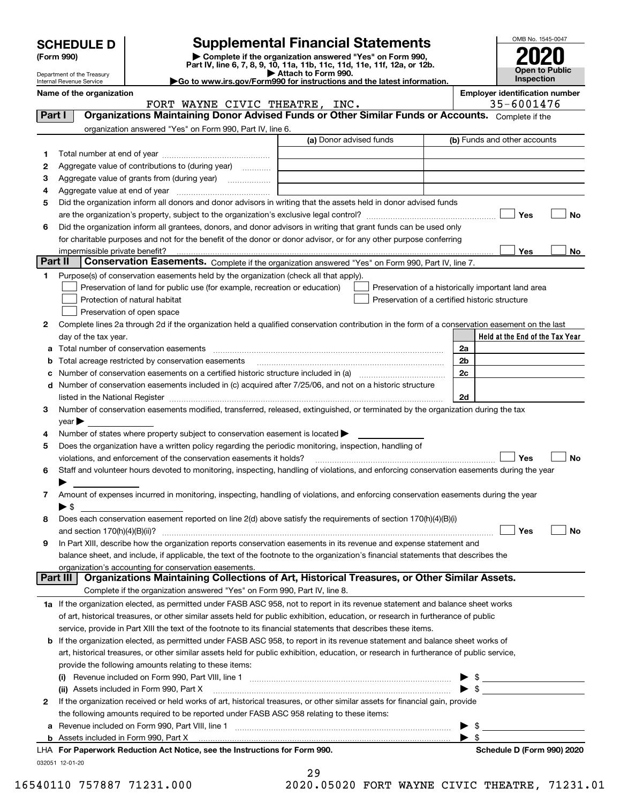| <b>SCHEDULE D</b><br>(Form 990)                                                                                                |                                 | <b>Supplemental Financial Statements</b><br>Complete if the organization answered "Yes" on Form 990,<br>Part IV, line 6, 7, 8, 9, 10, 11a, 11b, 11c, 11d, 11e, 11f, 12a, or 12b. |                                                                                                                                                                                                                                                          | OMB No. 1545-0047       |                                       |     |
|--------------------------------------------------------------------------------------------------------------------------------|---------------------------------|----------------------------------------------------------------------------------------------------------------------------------------------------------------------------------|----------------------------------------------------------------------------------------------------------------------------------------------------------------------------------------------------------------------------------------------------------|-------------------------|---------------------------------------|-----|
|                                                                                                                                | Department of the Treasury      | <b>Open to Public</b><br>Inspection                                                                                                                                              |                                                                                                                                                                                                                                                          |                         |                                       |     |
| Go to www.irs.gov/Form990 for instructions and the latest information.<br>Internal Revenue Service<br>Name of the organization |                                 |                                                                                                                                                                                  |                                                                                                                                                                                                                                                          |                         | <b>Employer identification number</b> |     |
|                                                                                                                                |                                 | FORT WAYNE CIVIC THEATRE, INC.                                                                                                                                                   |                                                                                                                                                                                                                                                          |                         | 35-6001476                            |     |
| Part I                                                                                                                         |                                 |                                                                                                                                                                                  | Organizations Maintaining Donor Advised Funds or Other Similar Funds or Accounts. Complete if the                                                                                                                                                        |                         |                                       |     |
|                                                                                                                                |                                 | organization answered "Yes" on Form 990, Part IV, line 6.                                                                                                                        |                                                                                                                                                                                                                                                          |                         |                                       |     |
|                                                                                                                                |                                 |                                                                                                                                                                                  | (a) Donor advised funds                                                                                                                                                                                                                                  |                         | (b) Funds and other accounts          |     |
| 1                                                                                                                              |                                 |                                                                                                                                                                                  |                                                                                                                                                                                                                                                          |                         |                                       |     |
| 2                                                                                                                              |                                 | Aggregate value of contributions to (during year)                                                                                                                                |                                                                                                                                                                                                                                                          |                         |                                       |     |
| 3                                                                                                                              |                                 |                                                                                                                                                                                  |                                                                                                                                                                                                                                                          |                         |                                       |     |
| 4                                                                                                                              |                                 |                                                                                                                                                                                  |                                                                                                                                                                                                                                                          |                         |                                       |     |
| 5                                                                                                                              |                                 |                                                                                                                                                                                  | Did the organization inform all donors and donor advisors in writing that the assets held in donor advised funds                                                                                                                                         |                         |                                       |     |
|                                                                                                                                |                                 |                                                                                                                                                                                  |                                                                                                                                                                                                                                                          |                         | Yes                                   | No  |
| 6                                                                                                                              |                                 |                                                                                                                                                                                  | Did the organization inform all grantees, donors, and donor advisors in writing that grant funds can be used only                                                                                                                                        |                         |                                       |     |
|                                                                                                                                |                                 |                                                                                                                                                                                  | for charitable purposes and not for the benefit of the donor or donor advisor, or for any other purpose conferring                                                                                                                                       |                         |                                       |     |
|                                                                                                                                | impermissible private benefit?  |                                                                                                                                                                                  |                                                                                                                                                                                                                                                          |                         | Yes                                   | No. |
| Part II                                                                                                                        |                                 |                                                                                                                                                                                  | Conservation Easements. Complete if the organization answered "Yes" on Form 990, Part IV, line 7.                                                                                                                                                        |                         |                                       |     |
| 1.                                                                                                                             |                                 | Purpose(s) of conservation easements held by the organization (check all that apply).                                                                                            |                                                                                                                                                                                                                                                          |                         |                                       |     |
|                                                                                                                                |                                 | Preservation of land for public use (for example, recreation or education)                                                                                                       | Preservation of a historically important land area                                                                                                                                                                                                       |                         |                                       |     |
|                                                                                                                                |                                 | Protection of natural habitat                                                                                                                                                    | Preservation of a certified historic structure                                                                                                                                                                                                           |                         |                                       |     |
| 2                                                                                                                              |                                 | Preservation of open space                                                                                                                                                       | Complete lines 2a through 2d if the organization held a qualified conservation contribution in the form of a conservation easement on the last                                                                                                           |                         |                                       |     |
|                                                                                                                                | day of the tax year.            |                                                                                                                                                                                  |                                                                                                                                                                                                                                                          |                         | Held at the End of the Tax Year       |     |
| a                                                                                                                              |                                 |                                                                                                                                                                                  |                                                                                                                                                                                                                                                          | 2a                      |                                       |     |
|                                                                                                                                |                                 | Total acreage restricted by conservation easements                                                                                                                               |                                                                                                                                                                                                                                                          | 2b                      |                                       |     |
|                                                                                                                                |                                 |                                                                                                                                                                                  |                                                                                                                                                                                                                                                          | 2c                      |                                       |     |
| d                                                                                                                              |                                 |                                                                                                                                                                                  | Number of conservation easements included in (c) acquired after 7/25/06, and not on a historic structure                                                                                                                                                 |                         |                                       |     |
|                                                                                                                                |                                 | listed in the National Register [111] [12] The Management of the National Property of the National Register [11                                                                  |                                                                                                                                                                                                                                                          | 2d                      |                                       |     |
| 3                                                                                                                              |                                 |                                                                                                                                                                                  | Number of conservation easements modified, transferred, released, extinguished, or terminated by the organization during the tax                                                                                                                         |                         |                                       |     |
|                                                                                                                                | $\vee$ ear                      |                                                                                                                                                                                  |                                                                                                                                                                                                                                                          |                         |                                       |     |
| 4                                                                                                                              |                                 | Number of states where property subject to conservation easement is located $\blacktriangleright$                                                                                |                                                                                                                                                                                                                                                          |                         |                                       |     |
| 5                                                                                                                              |                                 | Does the organization have a written policy regarding the periodic monitoring, inspection, handling of                                                                           |                                                                                                                                                                                                                                                          |                         |                                       |     |
|                                                                                                                                |                                 | violations, and enforcement of the conservation easements it holds?                                                                                                              |                                                                                                                                                                                                                                                          |                         | Yes                                   | No  |
| 6                                                                                                                              |                                 |                                                                                                                                                                                  | Staff and volunteer hours devoted to monitoring, inspecting, handling of violations, and enforcing conservation easements during the year                                                                                                                |                         |                                       |     |
|                                                                                                                                |                                 |                                                                                                                                                                                  |                                                                                                                                                                                                                                                          |                         |                                       |     |
| 7                                                                                                                              |                                 |                                                                                                                                                                                  | Amount of expenses incurred in monitoring, inspecting, handling of violations, and enforcing conservation easements during the year                                                                                                                      |                         |                                       |     |
|                                                                                                                                | ▶ \$                            |                                                                                                                                                                                  |                                                                                                                                                                                                                                                          |                         |                                       |     |
| 8                                                                                                                              |                                 |                                                                                                                                                                                  | Does each conservation easement reported on line 2(d) above satisfy the requirements of section 170(h)(4)(B)(i)                                                                                                                                          |                         |                                       |     |
|                                                                                                                                | and section $170(h)(4)(B)(ii)?$ |                                                                                                                                                                                  |                                                                                                                                                                                                                                                          |                         | Yes                                   | No  |
| 9                                                                                                                              |                                 |                                                                                                                                                                                  | In Part XIII, describe how the organization reports conservation easements in its revenue and expense statement and<br>balance sheet, and include, if applicable, the text of the footnote to the organization's financial statements that describes the |                         |                                       |     |
|                                                                                                                                |                                 | organization's accounting for conservation easements.                                                                                                                            |                                                                                                                                                                                                                                                          |                         |                                       |     |
|                                                                                                                                | Part III                        |                                                                                                                                                                                  | Organizations Maintaining Collections of Art, Historical Treasures, or Other Similar Assets.                                                                                                                                                             |                         |                                       |     |
|                                                                                                                                |                                 | Complete if the organization answered "Yes" on Form 990, Part IV, line 8.                                                                                                        |                                                                                                                                                                                                                                                          |                         |                                       |     |
|                                                                                                                                |                                 |                                                                                                                                                                                  | 1a If the organization elected, as permitted under FASB ASC 958, not to report in its revenue statement and balance sheet works                                                                                                                          |                         |                                       |     |
|                                                                                                                                |                                 |                                                                                                                                                                                  | of art, historical treasures, or other similar assets held for public exhibition, education, or research in furtherance of public                                                                                                                        |                         |                                       |     |
| service, provide in Part XIII the text of the footnote to its financial statements that describes these items.                 |                                 |                                                                                                                                                                                  |                                                                                                                                                                                                                                                          |                         |                                       |     |
| b                                                                                                                              |                                 |                                                                                                                                                                                  | If the organization elected, as permitted under FASB ASC 958, to report in its revenue statement and balance sheet works of                                                                                                                              |                         |                                       |     |
|                                                                                                                                |                                 |                                                                                                                                                                                  | art, historical treasures, or other similar assets held for public exhibition, education, or research in furtherance of public service,                                                                                                                  |                         |                                       |     |
|                                                                                                                                |                                 | provide the following amounts relating to these items:                                                                                                                           |                                                                                                                                                                                                                                                          |                         |                                       |     |
|                                                                                                                                |                                 |                                                                                                                                                                                  |                                                                                                                                                                                                                                                          |                         |                                       |     |
|                                                                                                                                |                                 | (ii) Assets included in Form 990, Part X                                                                                                                                         |                                                                                                                                                                                                                                                          | $\blacktriangleright$ s |                                       |     |
| 2                                                                                                                              |                                 |                                                                                                                                                                                  | If the organization received or held works of art, historical treasures, or other similar assets for financial gain, provide                                                                                                                             |                         |                                       |     |
|                                                                                                                                |                                 | the following amounts required to be reported under FASB ASC 958 relating to these items:                                                                                        |                                                                                                                                                                                                                                                          |                         |                                       |     |

| <b>b</b> Assets included in Form 990. Part X                               |
|----------------------------------------------------------------------------|
| LHA For Paperwork Reduction Act Notice, see the Instructions for Form 990. |
| 032051 12-01-20                                                            |

**a**Revenue included on Form 990, Part VIII, line 1 ~~~~~~~~~~~~~~~~~~~~~~~~~~~~~~

**Schedule D (Form 990) 2020** 

032051 12-01-20

| 29 |           |
|----|-----------|
|    | מכחםה הכו |

16540110 757887 71231.000 2020.05020 FORT WAYNE CIVIC THEATRE, 71231.01

 $\blacktriangleright$  \$

 $\blacktriangleright$  \$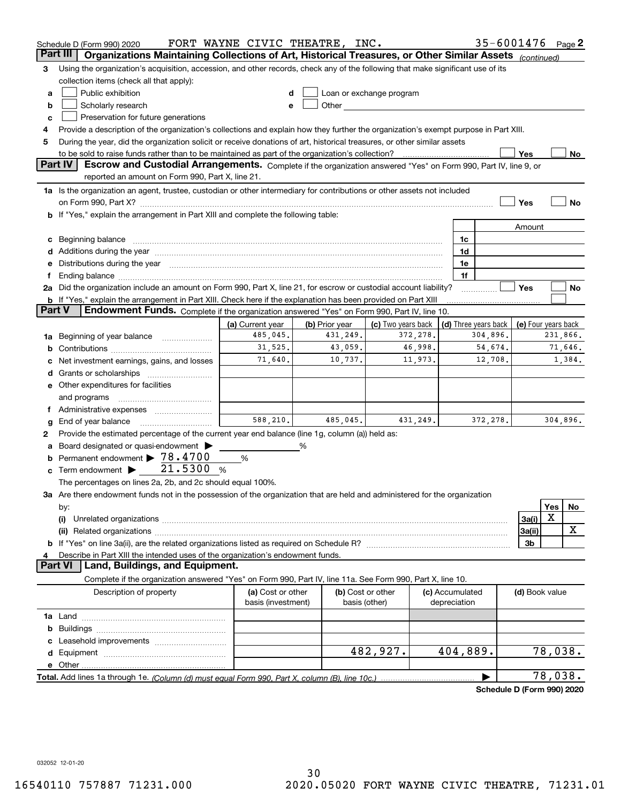|        | Schedule D (Form 990) 2020                                                                                                                                                                                                                  | FORT WAYNE CIVIC THEATRE, INC. |                |                                                                                                                                                                                                                                |          |                 | 35-6001476 Page 2          |                     |            |          |
|--------|---------------------------------------------------------------------------------------------------------------------------------------------------------------------------------------------------------------------------------------------|--------------------------------|----------------|--------------------------------------------------------------------------------------------------------------------------------------------------------------------------------------------------------------------------------|----------|-----------------|----------------------------|---------------------|------------|----------|
|        | Organizations Maintaining Collections of Art, Historical Treasures, or Other Similar Assets (continued)<br>Part III                                                                                                                         |                                |                |                                                                                                                                                                                                                                |          |                 |                            |                     |            |          |
| з      | Using the organization's acquisition, accession, and other records, check any of the following that make significant use of its                                                                                                             |                                |                |                                                                                                                                                                                                                                |          |                 |                            |                     |            |          |
|        | collection items (check all that apply):                                                                                                                                                                                                    |                                |                |                                                                                                                                                                                                                                |          |                 |                            |                     |            |          |
| a      | Public exhibition                                                                                                                                                                                                                           |                                |                | Loan or exchange program                                                                                                                                                                                                       |          |                 |                            |                     |            |          |
| b      | Scholarly research                                                                                                                                                                                                                          |                                |                | Other the contract of the contract of the contract of the contract of the contract of the contract of the contract of the contract of the contract of the contract of the contract of the contract of the contract of the cont |          |                 |                            |                     |            |          |
| c      | Preservation for future generations                                                                                                                                                                                                         |                                |                |                                                                                                                                                                                                                                |          |                 |                            |                     |            |          |
| 4      | Provide a description of the organization's collections and explain how they further the organization's exempt purpose in Part XIII.                                                                                                        |                                |                |                                                                                                                                                                                                                                |          |                 |                            |                     |            |          |
| 5      | During the year, did the organization solicit or receive donations of art, historical treasures, or other similar assets                                                                                                                    |                                |                |                                                                                                                                                                                                                                |          |                 |                            |                     |            |          |
|        | to be sold to raise funds rather than to be maintained as part of the organization's collection?                                                                                                                                            |                                |                |                                                                                                                                                                                                                                |          |                 |                            | Yes                 |            | No       |
|        | <b>Part IV</b><br>Escrow and Custodial Arrangements. Complete if the organization answered "Yes" on Form 990, Part IV, line 9, or                                                                                                           |                                |                |                                                                                                                                                                                                                                |          |                 |                            |                     |            |          |
|        | reported an amount on Form 990, Part X, line 21.                                                                                                                                                                                            |                                |                |                                                                                                                                                                                                                                |          |                 |                            |                     |            |          |
|        | 1a Is the organization an agent, trustee, custodian or other intermediary for contributions or other assets not included                                                                                                                    |                                |                |                                                                                                                                                                                                                                |          |                 |                            |                     |            |          |
|        |                                                                                                                                                                                                                                             |                                |                |                                                                                                                                                                                                                                |          |                 |                            | Yes                 |            | No       |
|        | b If "Yes," explain the arrangement in Part XIII and complete the following table:                                                                                                                                                          |                                |                |                                                                                                                                                                                                                                |          |                 |                            |                     |            |          |
|        |                                                                                                                                                                                                                                             |                                |                |                                                                                                                                                                                                                                |          |                 |                            | Amount              |            |          |
| c      | Beginning balance material continuum contracts and contact the contract of the contract of the contract of the                                                                                                                              |                                |                |                                                                                                                                                                                                                                |          | 1c              |                            |                     |            |          |
|        |                                                                                                                                                                                                                                             |                                |                |                                                                                                                                                                                                                                |          | 1d              |                            |                     |            |          |
| е      | Distributions during the year manufactured and an account of the state of the state of the state of the state o                                                                                                                             |                                |                |                                                                                                                                                                                                                                |          | 1e              |                            |                     |            |          |
| Ť.     | Ending balance manufactured and contact the contract of the contract of the contract of the contract of the contract of the contract of the contract of the contract of the contract of the contract of the contract of the co              |                                |                |                                                                                                                                                                                                                                |          | 1f              |                            | Yes                 |            |          |
|        | 2a Did the organization include an amount on Form 990, Part X, line 21, for escrow or custodial account liability?<br><b>b</b> If "Yes," explain the arrangement in Part XIII. Check here if the explanation has been provided on Part XIII |                                |                |                                                                                                                                                                                                                                |          |                 |                            |                     |            | No       |
| Part V | Endowment Funds. Complete if the organization answered "Yes" on Form 990, Part IV, line 10.                                                                                                                                                 |                                |                |                                                                                                                                                                                                                                |          |                 |                            |                     |            |          |
|        |                                                                                                                                                                                                                                             | (a) Current year               | (b) Prior year | (c) Two years back                                                                                                                                                                                                             |          |                 | (d) Three years back       | (e) Four years back |            |          |
| 1a     | Beginning of year balance                                                                                                                                                                                                                   | 485,045.                       | 431,249.       |                                                                                                                                                                                                                                | 372,278. |                 | 304,896.                   |                     |            | 231,866. |
| b      |                                                                                                                                                                                                                                             | 31,525.                        | 43,059.        |                                                                                                                                                                                                                                | 46,998.  |                 | 54,674.                    |                     |            | 71,646.  |
|        | Net investment earnings, gains, and losses                                                                                                                                                                                                  | 71,640.                        | 10,737.        |                                                                                                                                                                                                                                | 11,973.  |                 | 12,708.                    |                     |            | 1,384.   |
| d      |                                                                                                                                                                                                                                             |                                |                |                                                                                                                                                                                                                                |          |                 |                            |                     |            |          |
|        | e Other expenditures for facilities                                                                                                                                                                                                         |                                |                |                                                                                                                                                                                                                                |          |                 |                            |                     |            |          |
|        | and programs                                                                                                                                                                                                                                |                                |                |                                                                                                                                                                                                                                |          |                 |                            |                     |            |          |
|        | f Administrative expenses                                                                                                                                                                                                                   |                                |                |                                                                                                                                                                                                                                |          |                 |                            |                     |            |          |
| g      | End of year balance                                                                                                                                                                                                                         | 588.210.                       | 485,045.       |                                                                                                                                                                                                                                | 431,249. |                 | 372,278.                   |                     |            | 304,896. |
| 2      | Provide the estimated percentage of the current year end balance (line 1g, column (a)) held as:                                                                                                                                             |                                |                |                                                                                                                                                                                                                                |          |                 |                            |                     |            |          |
| а      | Board designated or quasi-endowment                                                                                                                                                                                                         |                                | %              |                                                                                                                                                                                                                                |          |                 |                            |                     |            |          |
| b      | Permanent endowment > 78.4700                                                                                                                                                                                                               | %                              |                |                                                                                                                                                                                                                                |          |                 |                            |                     |            |          |
| c      | 21.5300<br>Term endowment >                                                                                                                                                                                                                 | %                              |                |                                                                                                                                                                                                                                |          |                 |                            |                     |            |          |
|        | The percentages on lines 2a, 2b, and 2c should equal 100%.                                                                                                                                                                                  |                                |                |                                                                                                                                                                                                                                |          |                 |                            |                     |            |          |
|        | 3a Are there endowment funds not in the possession of the organization that are held and administered for the organization                                                                                                                  |                                |                |                                                                                                                                                                                                                                |          |                 |                            |                     |            |          |
|        | by:                                                                                                                                                                                                                                         |                                |                |                                                                                                                                                                                                                                |          |                 |                            |                     | <b>Yes</b> | No       |
|        | (i)                                                                                                                                                                                                                                         |                                |                |                                                                                                                                                                                                                                |          |                 |                            | 3a(i)               | X          |          |
|        |                                                                                                                                                                                                                                             |                                |                |                                                                                                                                                                                                                                |          |                 |                            | 3a(ii)              |            | х        |
|        |                                                                                                                                                                                                                                             |                                |                |                                                                                                                                                                                                                                |          |                 |                            | 3b                  |            |          |
| 4      | Describe in Part XIII the intended uses of the organization's endowment funds.                                                                                                                                                              |                                |                |                                                                                                                                                                                                                                |          |                 |                            |                     |            |          |
|        | Land, Buildings, and Equipment.<br>Part VI                                                                                                                                                                                                  |                                |                |                                                                                                                                                                                                                                |          |                 |                            |                     |            |          |
|        | Complete if the organization answered "Yes" on Form 990, Part IV, line 11a. See Form 990, Part X, line 10.                                                                                                                                  |                                |                |                                                                                                                                                                                                                                |          |                 |                            |                     |            |          |
|        | Description of property                                                                                                                                                                                                                     | (a) Cost or other              |                | (b) Cost or other                                                                                                                                                                                                              |          | (c) Accumulated |                            | (d) Book value      |            |          |
|        |                                                                                                                                                                                                                                             | basis (investment)             |                | basis (other)                                                                                                                                                                                                                  |          | depreciation    |                            |                     |            |          |
|        |                                                                                                                                                                                                                                             |                                |                |                                                                                                                                                                                                                                |          |                 |                            |                     |            |          |
| b      |                                                                                                                                                                                                                                             |                                |                |                                                                                                                                                                                                                                |          |                 |                            |                     |            |          |
|        |                                                                                                                                                                                                                                             |                                |                | 482,927.                                                                                                                                                                                                                       |          | 404,889.        |                            |                     | 78,038.    |          |
|        |                                                                                                                                                                                                                                             |                                |                |                                                                                                                                                                                                                                |          |                 |                            |                     |            |          |
|        |                                                                                                                                                                                                                                             |                                |                |                                                                                                                                                                                                                                |          |                 |                            |                     | 78,038.    |          |
|        |                                                                                                                                                                                                                                             |                                |                |                                                                                                                                                                                                                                |          |                 |                            |                     |            |          |
|        |                                                                                                                                                                                                                                             |                                |                |                                                                                                                                                                                                                                |          |                 | Schedule D (Form 990) 2020 |                     |            |          |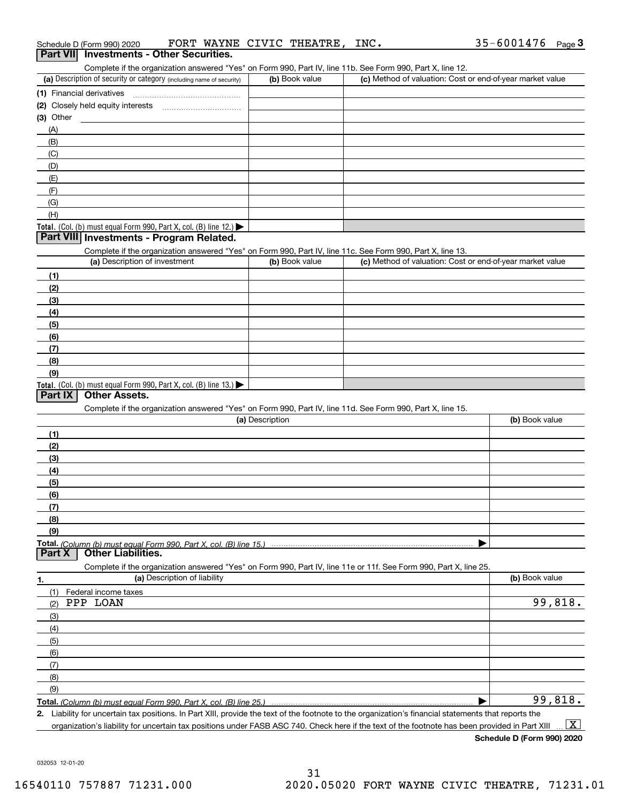| Schedule D (Form 990) 2020                                                                                                                                                         | FORT WAYNE CIVIC THEATRE, | INC.                                                      | $35 - 6001476$ Page 3 |
|------------------------------------------------------------------------------------------------------------------------------------------------------------------------------------|---------------------------|-----------------------------------------------------------|-----------------------|
| Part VII Investments - Other Securities.                                                                                                                                           |                           |                                                           |                       |
| Complete if the organization answered "Yes" on Form 990, Part IV, line 11b. See Form 990, Part X, line 12.<br>(a) Description of security or category (including name of security) | (b) Book value            | (c) Method of valuation: Cost or end-of-year market value |                       |
| (1) Financial derivatives                                                                                                                                                          |                           |                                                           |                       |
|                                                                                                                                                                                    |                           |                                                           |                       |
| $(3)$ Other                                                                                                                                                                        |                           |                                                           |                       |
| (A)                                                                                                                                                                                |                           |                                                           |                       |
| (B)                                                                                                                                                                                |                           |                                                           |                       |
| (C)                                                                                                                                                                                |                           |                                                           |                       |
| (D)                                                                                                                                                                                |                           |                                                           |                       |
| (E)                                                                                                                                                                                |                           |                                                           |                       |
| (F)                                                                                                                                                                                |                           |                                                           |                       |
| (G)                                                                                                                                                                                |                           |                                                           |                       |
| (H)                                                                                                                                                                                |                           |                                                           |                       |
| Total. (Col. (b) must equal Form 990, Part X, col. (B) line 12.)                                                                                                                   |                           |                                                           |                       |
| Part VIII Investments - Program Related.                                                                                                                                           |                           |                                                           |                       |
| Complete if the organization answered "Yes" on Form 990, Part IV, line 11c. See Form 990, Part X, line 13.                                                                         |                           |                                                           |                       |
| (a) Description of investment                                                                                                                                                      | (b) Book value            | (c) Method of valuation: Cost or end-of-year market value |                       |
| (1)                                                                                                                                                                                |                           |                                                           |                       |
| (2)                                                                                                                                                                                |                           |                                                           |                       |
| (3)                                                                                                                                                                                |                           |                                                           |                       |
| (4)                                                                                                                                                                                |                           |                                                           |                       |
| (5)                                                                                                                                                                                |                           |                                                           |                       |
| (6)                                                                                                                                                                                |                           |                                                           |                       |
| (7)                                                                                                                                                                                |                           |                                                           |                       |
| (8)<br>(9)                                                                                                                                                                         |                           |                                                           |                       |
| Total. (Col. (b) must equal Form 990, Part X, col. (B) line 13.)                                                                                                                   |                           |                                                           |                       |
| <b>Other Assets.</b><br>Part IX                                                                                                                                                    |                           |                                                           |                       |
| Complete if the organization answered "Yes" on Form 990, Part IV, line 11d. See Form 990, Part X, line 15.                                                                         |                           |                                                           |                       |
|                                                                                                                                                                                    | (a) Description           |                                                           | (b) Book value        |
| (1)                                                                                                                                                                                |                           |                                                           |                       |
| (2)                                                                                                                                                                                |                           |                                                           |                       |
| (3)                                                                                                                                                                                |                           |                                                           |                       |
| (4)                                                                                                                                                                                |                           |                                                           |                       |
| (5)                                                                                                                                                                                |                           |                                                           |                       |
| (6)                                                                                                                                                                                |                           |                                                           |                       |
| (7)                                                                                                                                                                                |                           |                                                           |                       |
| (8)                                                                                                                                                                                |                           |                                                           |                       |
| (9)                                                                                                                                                                                |                           |                                                           |                       |
|                                                                                                                                                                                    |                           |                                                           |                       |
| <b>Other Liabilities.</b><br>Part X                                                                                                                                                |                           |                                                           |                       |
| Complete if the organization answered "Yes" on Form 990, Part IV, line 11e or 11f. See Form 990, Part X, line 25.                                                                  |                           |                                                           |                       |
| (a) Description of liability<br>٦.                                                                                                                                                 |                           |                                                           | (b) Book value        |
| Federal income taxes<br>(1)                                                                                                                                                        |                           |                                                           |                       |
| PPP LOAN<br>(2)                                                                                                                                                                    |                           |                                                           | 99,818.               |
| (3)                                                                                                                                                                                |                           |                                                           |                       |
| (4)                                                                                                                                                                                |                           |                                                           |                       |
| (5)                                                                                                                                                                                |                           |                                                           |                       |
| (6)                                                                                                                                                                                |                           |                                                           |                       |
| (7)                                                                                                                                                                                |                           |                                                           |                       |
| (8)<br>(9)                                                                                                                                                                         |                           |                                                           |                       |
|                                                                                                                                                                                    |                           |                                                           | 99,818.               |
|                                                                                                                                                                                    |                           |                                                           |                       |

**2.**Liability for uncertain tax positions. In Part XIII, provide the text of the footnote to the organization's financial statements that reports the

organization's liability for uncertain tax positions under FASB ASC 740. Check here if the text of the footnote has been provided in Part XIII  $\boxed{\text{X}}$ 

**Schedule D (Form 990) 2020**

032053 12-01-20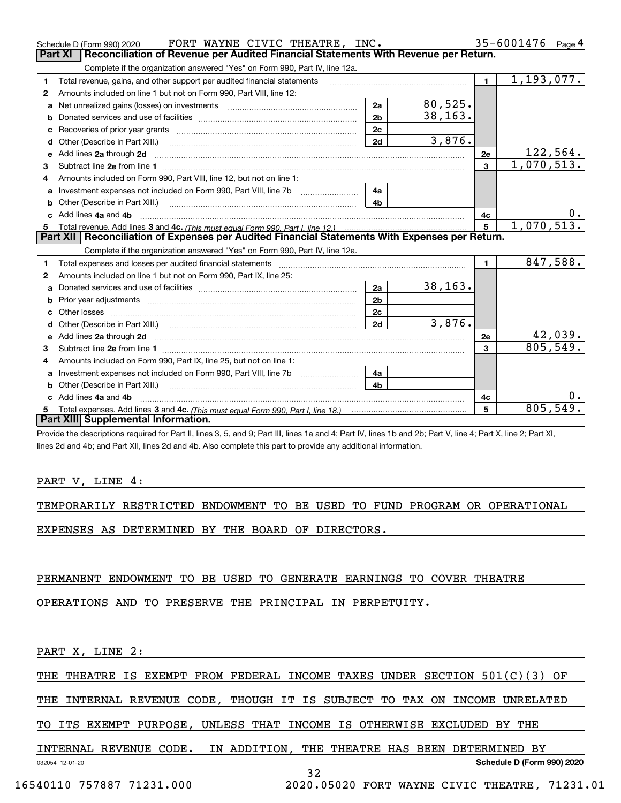|   | FORT WAYNE CIVIC THEATRE, INC.<br>Schedule D (Form 990) 2020                                                                                                                                                                        |                |          |                | 35-6001476<br>Page $4$ |
|---|-------------------------------------------------------------------------------------------------------------------------------------------------------------------------------------------------------------------------------------|----------------|----------|----------------|------------------------|
|   | Part XI<br>Reconciliation of Revenue per Audited Financial Statements With Revenue per Return.                                                                                                                                      |                |          |                |                        |
|   | Complete if the organization answered "Yes" on Form 990, Part IV, line 12a.                                                                                                                                                         |                |          |                |                        |
| 1 | Total revenue, gains, and other support per audited financial statements                                                                                                                                                            |                |          | $\blacksquare$ | 1, 193, 077.           |
| 2 | Amounts included on line 1 but not on Form 990, Part VIII, line 12:                                                                                                                                                                 |                |          |                |                        |
| a | Net unrealized gains (losses) on investments [11] matter contracts and the unrealized gains (losses) on investments                                                                                                                 | 2a             | 80,525.  |                |                        |
| b |                                                                                                                                                                                                                                     | 2 <sub>b</sub> | 38, 163. |                |                        |
|   |                                                                                                                                                                                                                                     | 2c             |          |                |                        |
| d | Other (Describe in Part XIII.) <b>Construction Contract Construction</b> Chern Construction Chern Chern Chern Chern Chern Chern Chern Chern Chern Chern Chern Chern Chern Chern Chern Chern Chern Chern Chern Chern Chern Chern Che | 2d             | 3,876.   |                |                        |
| e | Add lines 2a through 2d                                                                                                                                                                                                             |                |          | 2e             | 122,564.               |
| 3 |                                                                                                                                                                                                                                     |                |          | $\mathbf{3}$   | 1,070,513.             |
| 4 | Amounts included on Form 990, Part VIII, line 12, but not on line 1:                                                                                                                                                                |                |          |                |                        |
| a |                                                                                                                                                                                                                                     | 4a             |          |                |                        |
|   |                                                                                                                                                                                                                                     | 4b             |          |                |                        |
|   | Add lines 4a and 4b                                                                                                                                                                                                                 |                |          | 4c             | 0.                     |
| 5 |                                                                                                                                                                                                                                     |                |          | 5              | 1,070,513.             |
|   | Part XII   Reconciliation of Expenses per Audited Financial Statements With Expenses per Return.                                                                                                                                    |                |          |                |                        |
|   | Complete if the organization answered "Yes" on Form 990, Part IV, line 12a.                                                                                                                                                         |                |          |                |                        |
| 1 | Total expenses and losses per audited financial statements                                                                                                                                                                          |                |          | $\blacksquare$ | 847,588.               |
| 2 | Amounts included on line 1 but not on Form 990, Part IX, line 25:                                                                                                                                                                   |                |          |                |                        |
|   |                                                                                                                                                                                                                                     | 2a             | 38, 163. |                |                        |
| b | Prior year adjustments manufactured and contract and contract and contract and contract and contract and contract and contract and contract and contract and contract and contract and contract and contract and contract and       | 2 <sub>b</sub> |          |                |                        |
|   |                                                                                                                                                                                                                                     | 2c             |          |                |                        |
| d | Other (Describe in Part XIII.) (2000) (2000) (2000) (2000) (2000) (2000) (2000) (2000) (2000) (2000) (2000) (2000) (2000) (2000) (2000) (2000) (2000) (2000) (2000) (2000) (2000) (2000) (2000) (2000) (2000) (2000) (2000) (2      | 2d             | 3,876.   |                |                        |
| е | Add lines 2a through 2d <b>must be a constructed as the constant of the S</b> and lines 2a through 2d must be a constructed by a construction of the S and the S and the S and the S and the S and the S and the S and the S and th |                |          | 2e             | 42,039.                |
| 3 |                                                                                                                                                                                                                                     |                |          | 3              | 805,549.               |
|   | Amounts included on Form 990, Part IX, line 25, but not on line 1:                                                                                                                                                                  |                |          |                |                        |
| a | Investment expenses not included on Form 990, Part VIII, line 7b [11, 111, 111, 111]                                                                                                                                                | 4a             |          |                |                        |
| b | Other (Describe in Part XIII.)                                                                                                                                                                                                      | 4 <sub>b</sub> |          |                |                        |
|   | Add lines 4a and 4b                                                                                                                                                                                                                 |                |          | 4с             | υ.                     |
| 5 |                                                                                                                                                                                                                                     |                |          | 5              | 805,549.               |
|   |                                                                                                                                                                                                                                     |                |          |                |                        |
|   | Part XIII Supplemental Information.                                                                                                                                                                                                 |                |          |                |                        |

Provide the descriptions required for Part II, lines 3, 5, and 9; Part III, lines 1a and 4; Part IV, lines 1b and 2b; Part V, line 4; Part X, line 2; Part XI, lines 2d and 4b; and Part XII, lines 2d and 4b. Also complete this part to provide any additional information.

#### PART V, LINE 4:

TEMPORARILY RESTRICTED ENDOWMENT TO BE USED TO FUND PROGRAM OR OPERATIONAL

EXPENSES AS DETERMINED BY THE BOARD OF DIRECTORS.

### PERMANENT ENDOWMENT TO BE USED TO GENERATE EARNINGS TO COVER THEATRE

OPERATIONS AND TO PRESERVE THE PRINCIPAL IN PERPETUITY.

PART X, LINE 2:

|  |  |  |  |  | THE THEATRE IS EXEMPT FROM FEDERAL INCOME TAXES UNDER SECTION 501(C)(3) OF |  |
|--|--|--|--|--|----------------------------------------------------------------------------|--|
|  |  |  |  |  |                                                                            |  |

THE INTERNAL REVENUE CODE, THOUGH IT IS SUBJECT TO TAX ON INCOME UNRELATED

32

TO ITS EXEMPT PURPOSE, UNLESS THAT INCOME IS OTHERWISE EXCLUDED BY THE

## INTERNAL REVENUE CODE. IN ADDITION, THE THEATRE HAS BEEN DETERMINED BY

032054 12-01-20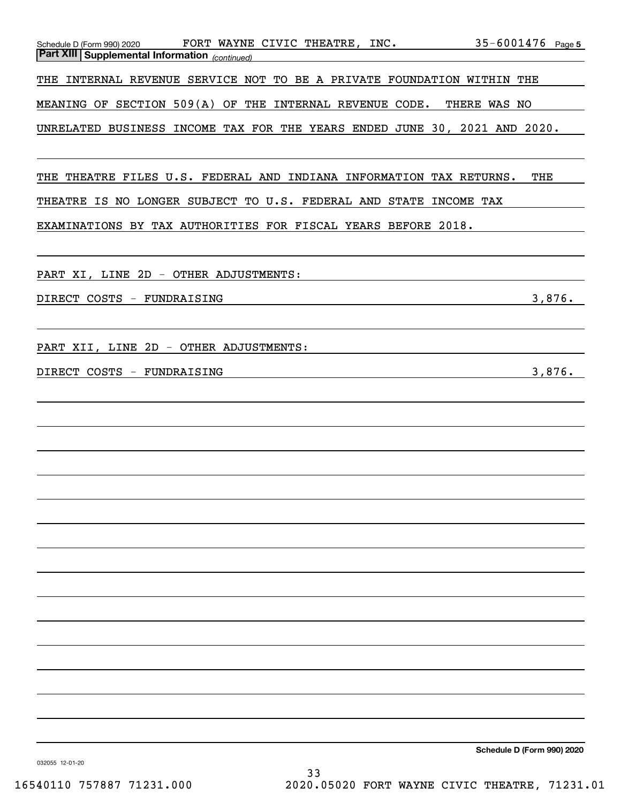| FORT WAYNE CIVIC THEATRE, INC.<br>Schedule D (Form 990) 2020<br><b>Part XIII Supplemental Information</b> (continued) | $35 - 6001476$ Page 5 |
|-----------------------------------------------------------------------------------------------------------------------|-----------------------|
| THE INTERNAL REVENUE SERVICE NOT TO BE A PRIVATE FOUNDATION WITHIN THE                                                |                       |
| MEANING OF SECTION 509(A) OF THE INTERNAL REVENUE CODE. THERE WAS NO                                                  |                       |
| UNRELATED BUSINESS INCOME TAX FOR THE YEARS ENDED JUNE 30, 2021 AND 2020.                                             |                       |
|                                                                                                                       |                       |
| THE THEATRE FILES U.S. FEDERAL AND INDIANA INFORMATION TAX RETURNS.                                                   | THE                   |
| THEATRE IS NO LONGER SUBJECT TO U.S. FEDERAL AND STATE INCOME TAX                                                     |                       |
| EXAMINATIONS BY TAX AUTHORITIES FOR FISCAL YEARS BEFORE 2018.                                                         |                       |
| PART XI, LINE 2D - OTHER ADJUSTMENTS:                                                                                 |                       |
| DIRECT COSTS - FUNDRAISING                                                                                            | 3,876.                |
| <u> 1989 - Johann Stoff, deutscher Stoff, der Stoff, der Stoff, der Stoff, der Stoff, der Stoff, der Stoff, der S</u> |                       |
| PART XII, LINE 2D - OTHER ADJUSTMENTS:                                                                                |                       |
| DIRECT COSTS - FUNDRAISING                                                                                            | 3,876.                |
|                                                                                                                       |                       |
|                                                                                                                       |                       |
|                                                                                                                       |                       |
|                                                                                                                       |                       |
|                                                                                                                       |                       |
|                                                                                                                       |                       |
|                                                                                                                       |                       |
|                                                                                                                       |                       |
|                                                                                                                       |                       |
|                                                                                                                       |                       |
|                                                                                                                       |                       |
|                                                                                                                       |                       |
|                                                                                                                       |                       |
|                                                                                                                       |                       |

**Schedule D (Form 990) 2020**

032055 12-01-20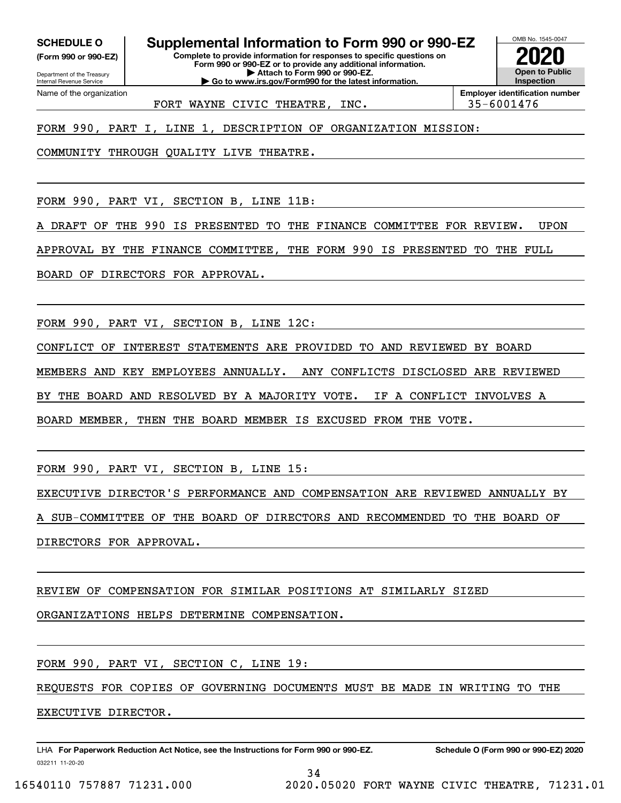**(Form 990 or 990-EZ)**

Department of the Treasury Internal Revenue Service Name of the organization

**SCHEDULE O Supplemental Information to Form 990 or 990-EZ**

**Complete to provide information for responses to specific questions on Form 990 or 990-EZ or to provide any additional information. | Attach to Form 990 or 990-EZ. | Go to www.irs.gov/Form990 for the latest information.**



FORT WAYNE CIVIC THEATRE, INC.  $\vert$  35-6001476

**Employer identification number**

FORM 990, PART I, LINE 1, DESCRIPTION OF ORGANIZATION MISSION:

COMMUNITY THROUGH QUALITY LIVE THEATRE.

FORM 990, PART VI, SECTION B, LINE 11B:

DRAFT OF THE 990 IS PRESENTED TO THE FINANCE COMMITTEE FOR REVIEW. UPON

APPROVAL BY THE FINANCE COMMITTEE, THE FORM 990 IS PRESENTED TO THE FULL

BOARD OF DIRECTORS FOR APPROVAL.

FORM 990, PART VI, SECTION B, LINE 12C:

CONFLICT OF INTEREST STATEMENTS ARE PROVIDED TO AND REVIEWED BY BOARD

MEMBERS AND KEY EMPLOYEES ANNUALLY. ANY CONFLICTS DISCLOSED ARE REVIEWED

BY THE BOARD AND RESOLVED BY A MAJORITY VOTE. IF A CONFLICT INVOLVES A

BOARD MEMBER, THEN THE BOARD MEMBER IS EXCUSED FROM THE VOTE.

FORM 990, PART VI, SECTION B, LINE 15:

EXECUTIVE DIRECTOR'S PERFORMANCE AND COMPENSATION ARE REVIEWED ANNUALLY BY

SUB-COMMITTEE OF THE BOARD OF DIRECTORS AND RECOMMENDED TO THE BOARD OF

DIRECTORS FOR APPROVAL.

## REVIEW OF COMPENSATION FOR SIMILAR POSITIONS AT SIMILARLY SIZED

ORGANIZATIONS HELPS DETERMINE COMPENSATION.

FORM 990, PART VI, SECTION C, LINE 19:

REQUESTS FOR COPIES OF GOVERNING DOCUMENTS MUST BE MADE IN WRITING TO THE

EXECUTIVE DIRECTOR.

032211 11-20-20 LHA For Paperwork Reduction Act Notice, see the Instructions for Form 990 or 990-EZ. Schedule O (Form 990 or 990-EZ) 2020